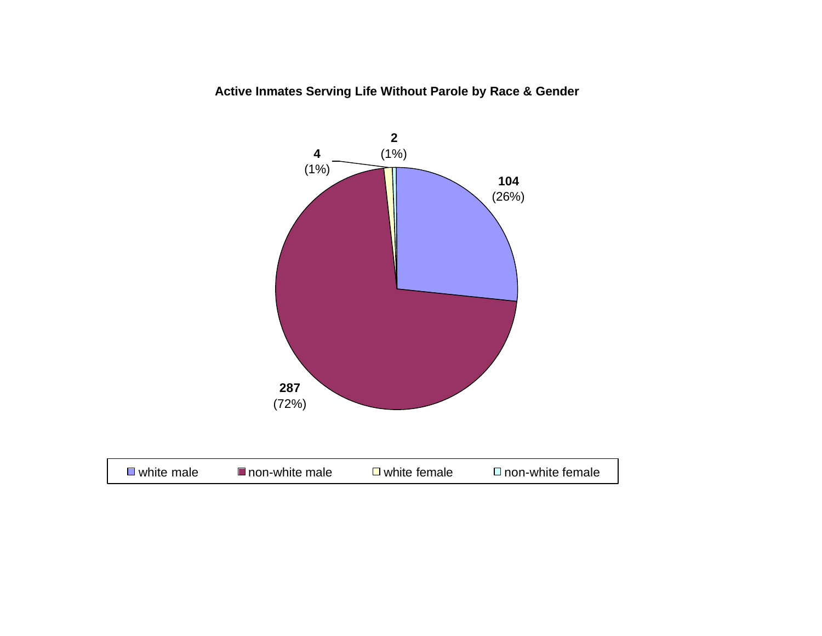

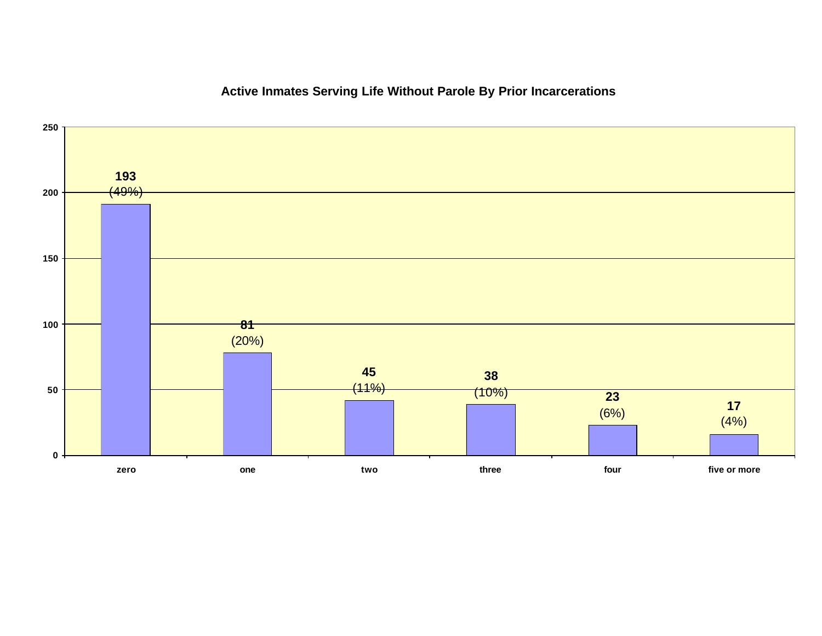

### **Active Inmates Serving Life Without Parole By Prior Incarcerations**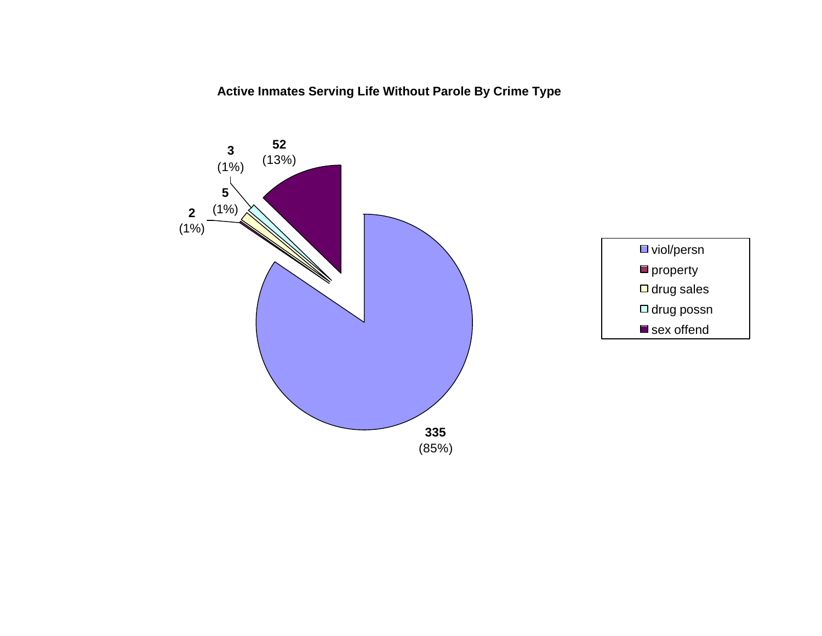**Active Inmates Serving Life Without Parole By Crime Type**

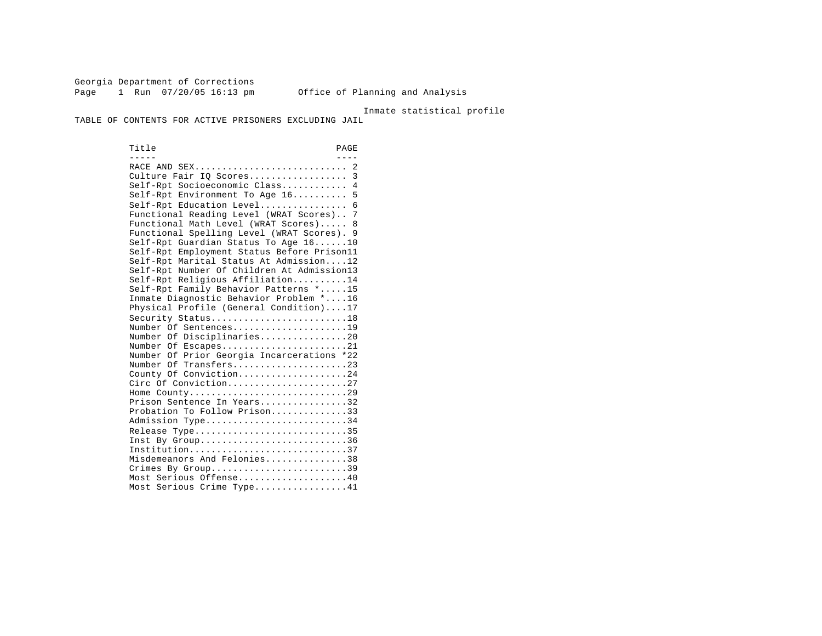Georgia Department of Corrections Page 1 Run 07/20/05 16:13 pm Office of Planning and Analysis

Inmate statistical profile

TABLE OF CONTENTS FOR ACTIVE PRISONERS EXCLUDING JAIL

Title PAGE ----- ---- RACE AND SEX............................ 2 Culture Fair IQ Scores...................... 3 Self-Rpt Socioeconomic Class............ 4 Self-Rpt Environment To Age 16.......... 5 Self-Rpt Education Level................ 6 Functional Reading Level (WRAT Scores).. 7 Functional Math Level (WRAT Scores)..... 8 Functional Spelling Level (WRAT Scores). 9 Self-Rpt Guardian Status To Age 16......10 Self-Rpt Employment Status Before Prison11 Self-Rpt Marital Status At Admission....12 Self-Rpt Number Of Children At Admission13 Self-Rpt Religious Affiliation..........14 Self-Rpt Family Behavior Patterns \*.....15 Inmate Diagnostic Behavior Problem \*....16 Physical Profile (General Condition)....17 Security Status..............................18 Number Of Sentences.....................19 Number Of Disciplinaries................20 Number Of Escapes.........................21 Number Of Prior Georgia Incarcerations \*22 Number Of Transfers.....................23 County Of Conviction....................24 Circ Of Conviction........................27 Home County.............................29 Prison Sentence In Years................32 Probation To Follow Prison..............33 Admission Type.............................34 Release Type...............................35 Inst By  $Group \ldots, \ldots, \ldots, \ldots, \ldots, \ldots, 36$  Institution.............................37 Misdemeanors And Felonies...............38 Crimes By Group............................39 Most Serious Offense....................40 Most Serious Crime Type.................41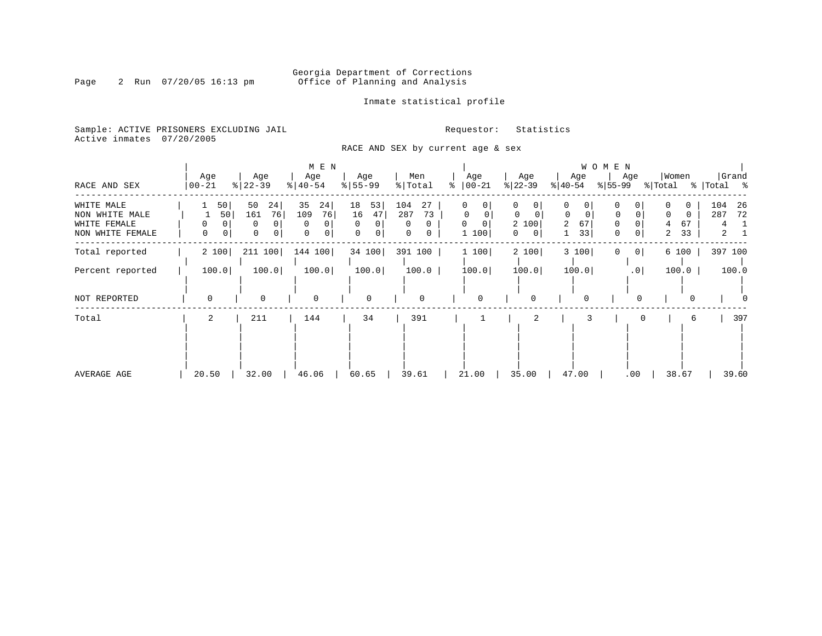Inmate statistical profile

Sample: ACTIVE PRISONERS EXCLUDING JAIL **Requestor:** Statistics Active inmates 07/20/2005

RACE AND SEX by current age & sex

|                                                                  |                      |                                                   | M E N                                          |                                                           |                                                       |                                              |                                                                                    |                                                                         | WOMEN                                       |                                                 |                                               |
|------------------------------------------------------------------|----------------------|---------------------------------------------------|------------------------------------------------|-----------------------------------------------------------|-------------------------------------------------------|----------------------------------------------|------------------------------------------------------------------------------------|-------------------------------------------------------------------------|---------------------------------------------|-------------------------------------------------|-----------------------------------------------|
| RACE AND SEX                                                     | Age<br>$ 00 - 21$    | Age<br>$8$   22 – 39                              | Age<br>$ 40-54 $                               | Age<br>$8 55-99$                                          | Men<br>$\frac{1}{2}$ Total                            | Age<br>$ 00-21$<br>⊱                         | Age<br>$ 22-39 $                                                                   | Age<br>$ 40-54 $                                                        | Age<br>$ 55-99 $                            | Women<br>% Total                                | Grand<br>%   Total %                          |
| WHITE MALE<br>NON WHITE MALE<br>WHITE FEMALE<br>NON WHITE FEMALE | 50 <br>50 <br>0<br>0 | 50<br>24<br>76<br>161<br>0<br>0<br>$\overline{0}$ | 35<br>24<br>109<br>76<br>0<br>$\mathbf 0$<br>0 | 18<br>53<br>16<br>47<br>$\Omega$<br>0<br>$\mathbf 0$<br>0 | 104<br>27<br>287<br>73<br>0<br>0<br>$\mathbf{0}$<br>0 | 0<br>0<br>$\Omega$<br>$\Omega$<br>0<br>1 100 | $\Omega$<br>0<br>$\Omega$<br>$\Omega$<br>2 100<br>$\overline{0}$<br>$\overline{0}$ | 0<br>0<br>$\mathbf 0$<br>$\mathbf 0$<br>67<br>$\overline{2}$<br>33<br>1 | 0<br>$\Omega$<br>0<br>0<br>0<br>$\mathbf 0$ | 0<br>$\Omega$<br>$\Omega$<br>67<br>4<br>33<br>2 | 104<br>26<br>287<br>72<br>4<br>$\overline{a}$ |
| Total reported                                                   | 2 100                | 211 100                                           | 144 100                                        | 34 100                                                    | 391 100                                               | 1 100                                        | 2 100                                                                              | 3 100                                                                   | 0 <br>0                                     | 6 100                                           | 397 100                                       |
| Percent reported                                                 | 100.0                | 100.0                                             | 100.0                                          | 100.0                                                     | 100.0                                                 | 100.0                                        | 100.0                                                                              | 100.0                                                                   | .0                                          | 100.0                                           | 100.0                                         |
| NOT REPORTED                                                     | $\Omega$             | $\Omega$                                          | $\mathbf 0$                                    | 0                                                         | $\mathbf 0$                                           | $\Omega$                                     | 0                                                                                  | 0                                                                       |                                             | 0                                               |                                               |
| Total                                                            | 2                    | 211                                               | 144                                            | 34                                                        | 391                                                   |                                              | 2                                                                                  |                                                                         |                                             | 6                                               | 397                                           |
| AVERAGE AGE                                                      | 20.50                | 32.00                                             | 46.06                                          | 60.65                                                     | 39.61                                                 | 21.00                                        | 35.00                                                                              | 47.00                                                                   | .00                                         | 38.67                                           | 39.60                                         |

### Page 2 Run  $07/20/05$  16:13 pm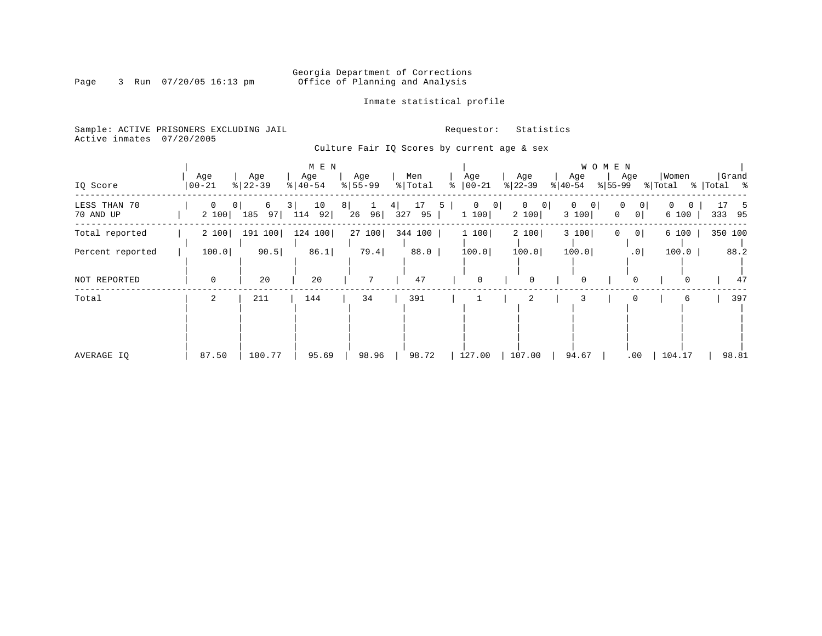### Georgia Department of Corrections<br>Page 3 Run 07/20/05 16:13 pm office of Planning and Analysis Office of Planning and Analysis

Inmate statistical profile

Sample: ACTIVE PRISONERS EXCLUDING JAIL **Requestor:** Statistics Active inmates 07/20/2005

Culture Fair IQ Scores by current age & sex

| IQ Score                  | Age<br>$ 00 - 21$     | Age<br>$ 22-39$                  |   | M E N<br>Age<br>$\frac{1}{6}$   40-54 |          | Age<br>$\frac{1}{6}$   55-99 |   | Men<br>% Total  | ႜ | Age<br>$ 00-21$         |           | Age<br>$ 22-39 $ |                | Age<br>$ 40-54$                        | W O M E N<br>$ 55-99 $ | Age                  | Women<br>% Total |                   |           | Grand<br>%   Total % |
|---------------------------|-----------------------|----------------------------------|---|---------------------------------------|----------|------------------------------|---|-----------------|---|-------------------------|-----------|------------------|----------------|----------------------------------------|------------------------|----------------------|------------------|-------------------|-----------|----------------------|
| LESS THAN 70<br>70 AND UP | $\mathbf{0}$<br>2 100 | 6<br>0 <sup>1</sup><br>185<br>97 | 3 | 10<br>92 <br>114                      | $8 \mid$ | $\mathbf 1$<br>96<br>26      | 4 | 17<br>327<br>95 | 5 | $\overline{0}$<br>1 100 | $\vert$ 0 | $\circ$<br>2 100 | $\overline{0}$ | $\mathbf 0$<br>$\overline{0}$<br>3 100 | 0<br>$\Omega$          | 0 <br>0 <sup>1</sup> | $\mathbf{0}$     | $\Omega$<br>6 100 | 17<br>333 | -5<br>95             |
| Total reported            | 2 100                 | 191<br>100                       |   | 124 100                               |          | 27100                        |   | 344 100         |   | 1 100                   |           | 2 100            |                | 3 100                                  | 0                      | 0 <sup>1</sup>       |                  | 6 100             |           | 350 100              |
| Percent reported          | 100.0                 | 90.5                             |   | 86.1                                  |          | 79.4                         |   | 88.0            |   | 100.0                   |           | 100.0            |                | 100.0                                  |                        | .0 <sub>1</sub>      |                  | 100.0             |           | 88.2                 |
| NOT REPORTED              | $\mathbf 0$           | 20                               |   | 20                                    |          | $7\phantom{.0}$              |   | 47              |   | $\mathbf 0$             |           | $\mathbf 0$      |                | $\mathbf 0$                            |                        | 0                    |                  | 0                 |           | 47                   |
| Total                     | 2                     | 211                              |   | 144                                   |          | 34                           |   | 391             |   |                         |           | 2                |                | 3                                      |                        |                      |                  | 6                 |           | 397                  |
| AVERAGE IO                | 87.50                 | 100.77                           |   | 95.69                                 |          | 98.96                        |   | 98.72           |   | 127.00                  |           | 107.00           |                | 94.67                                  |                        | .00                  | 104.17           |                   |           | 98.81                |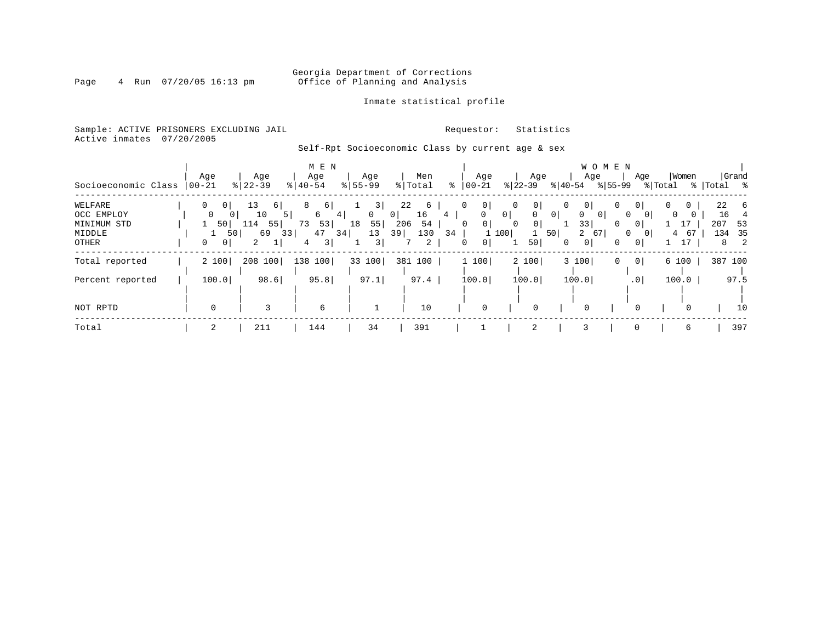### Georgia Department of Corrections<br>Page 4 Run 07/20/05 16:13 pm office of Planning and Analysis Office of Planning and Analysis

#### Inmate statistical profile

Sample: ACTIVE PRISONERS EXCLUDING JAIL **Requestor:** Statistics Active inmates 07/20/2005

### Self-Rpt Socioeconomic Class by current age & sex

|                     |                            |                      | M E N         |              |                      |                     |                                       | W O M E N                |                                         |                                 |
|---------------------|----------------------------|----------------------|---------------|--------------|----------------------|---------------------|---------------------------------------|--------------------------|-----------------------------------------|---------------------------------|
|                     | Age                        | Age                  | Age           | Age          | Men                  | Age                 | Age                                   | Age                      | Women<br>Age                            | Grand                           |
| Socioeconomic Class | 00-21                      | $8 22-39$            | $8   40 - 54$ | $8 55-99$    | % Total              | $ 00-21 $<br>ႜ      | $ 22-39 $                             | % 55-99<br>୫∣40-54       | % Total                                 | %  Total %                      |
| WELFARE             | $\Omega$<br>0 <sup>1</sup> | 13<br>6              | 6             | 3            | 22<br>6              | 0 <sup>1</sup>      | 0 <sup>1</sup><br>$\Omega$            | 0 <sup>1</sup><br>0      | $\overline{0}$<br>0                     | 22<br>-6                        |
| OCC EMPLOY          | 0                          | 10<br>5 <sup>1</sup> | 6<br>4        | $\mathbf{0}$ | 16<br>0 <sup>1</sup> | 0<br>4              | 0 <sup>1</sup><br>0<br>0 <sup>1</sup> | 0<br>0 <sup>1</sup>      | $\mathbf{0}$<br>0                       | 16                              |
| MINIMUM STD         | 50                         | $114$ 55             | 53<br>73      | 55<br>18     | 54<br>206            | 0 <sup>1</sup><br>0 | 0 <sup>1</sup><br>0                   | 33<br>0                  | $\sim$ 17 $\rightarrow$<br>$\mathbf{0}$ | 207<br>53                       |
| MIDDLE              |                            | 69<br>50 <br>33      | 47<br>34      | 13           | 130<br>39            | 34                  | 50<br>100                             | $\overline{2}$<br>67     | 67<br>$\mathbf{0}$<br>4                 | 35<br>134                       |
| OTHER               | 0<br>0 <sup>1</sup>        | 2                    | 3             | 3            | 2                    | 0 <sup>1</sup><br>0 | 50                                    | 0 <sup>1</sup><br>0<br>0 | 17<br> 0                                | $\overline{\phantom{0}}^2$<br>8 |
| Total reported      | 2 100                      | 208 100              | 138 100       | 33 100       | 381 100              | 1 100               | 2 100                                 | 3 100<br>0               | 0 <br>6 100                             | 387 100                         |
| Percent reported    | 100.0                      | 98.6                 | 95.8          | 97.1         | 97.4                 | 100.0               | 100.0                                 | 100.0                    | 100.0<br>.0 <sub>1</sub>                | 97.5                            |
|                     |                            |                      |               |              |                      |                     |                                       |                          |                                         |                                 |
| NOT RPTD            | $\Omega$                   | 3                    | 6             |              | 10                   | $\Omega$            |                                       | 0                        | 0<br>$\Omega$                           | 10                              |
| Total               | 2                          | 211                  | 144           | 34           | 391                  |                     | 2                                     | 3                        | $\mathbf 0$<br>6                        | 397                             |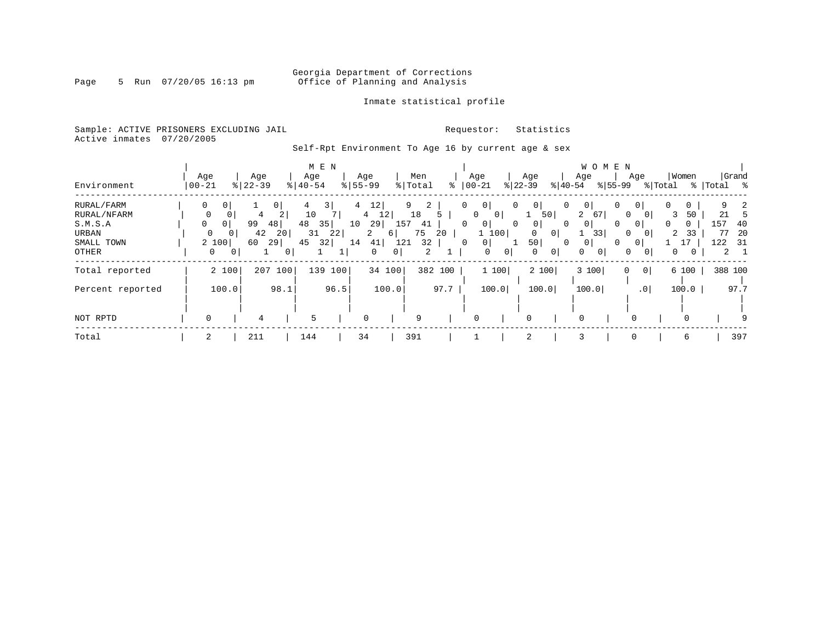### Georgia Department of Corrections<br>Page 5 Run 07/20/05 16:13 pm office of Planning and Analysis Office of Planning and Analysis

#### Inmate statistical profile

Sample: ACTIVE PRISONERS EXCLUDING JAIL **Requestor:** Statistics Active inmates 07/20/2005

Self-Rpt Environment To Age 16 by current age & sex

|                  |              |                |           |                |               | M E N |                |                       |     |         |         |            |                |                |                   |                |                                 | <b>WOMEN</b>   |                |         |   |              |             |             |
|------------------|--------------|----------------|-----------|----------------|---------------|-------|----------------|-----------------------|-----|---------|---------|------------|----------------|----------------|-------------------|----------------|---------------------------------|----------------|----------------|---------|---|--------------|-------------|-------------|
|                  | Age          |                | Age       |                | Age           |       | Age            |                       |     | Men     |         | Age        |                |                | Age               |                | Age                             |                | Age            |         |   | Women        |             | Grand       |
| Environment      | $ 00 - 21$   |                | $8 22-39$ |                | $8   40 - 54$ |       | $8155 - 99$    |                       |     | % Total | ⊱       | $ 00 - 21$ |                |                | $ 22-39 $         | $ 40-54 $      |                                 | $ 55-99 $      |                | % Total |   |              | %   Total % |             |
| RURAL/FARM       | 0            | 0 <sup>1</sup> |           | 0 <sup>1</sup> |               | 3     | $\overline{4}$ | 12                    |     | 9<br>2  |         | 0          | 0 <sup>1</sup> | $\mathbf{0}$   | 0 <sup>1</sup>    | 0              | $\overline{0}$                  | 0              | 0 <sup>1</sup> |         | 0 | 0            |             | 2           |
| RURAL/NFARM      | $\mathbf 0$  | 0              | 4         | 2              | 10            |       |                | 12<br>$4\overline{ }$ |     | 18      |         | 0          | 0 I            |                | $\mathbf 1$<br>50 |                | $\overline{2}$<br><sup>67</sup> |                | $\Omega$       |         | 3 | 50           | 21          |             |
| S.M.S.A          | 0            | 0 <sup>1</sup> | 99        | 48             | 48            | 35    | 10             | 29                    | 157 | 41      |         | 0          | 0 <sup>1</sup> | $\mathbf{0}$   | 0 <sup>1</sup>    | 0              | 0 <sup>1</sup>                  | 0              | 0 <sup>1</sup> |         | 0 | $\mathbf{0}$ | 157         | 40          |
| URBAN            | 0            | 0 <sup>1</sup> | 42        | 20             | 31            | 22    |                | 2                     | 6   | 75      | 20      |            | 1 100          |                | $\Omega$          | 0 <sup>1</sup> |                                 | 33             | $\Omega$       |         | 2 | 33           | 77          | -20         |
| SMALL TOWN       |              | 2 100          | 60        | 29             | 45            | 32    | 14             | 41                    | 121 | 32      |         | 0          | 0 <sup>1</sup> |                | 50                |                | $\mathbf{0}$                    | 0              | 0              |         |   |              | 122         | - 31        |
| OTHER            | $\mathbf{0}$ | 0              |           | 0              |               |       |                | $\Omega$              | 0   | 2       |         |            | $\mathbf 0$    | $\overline{0}$ | 0                 | $\mathbf{0}$   | $\Omega$                        | 0 <sup>1</sup> | 0              |         | 0 |              |             | $2 \quad 1$ |
| Total reported   |              | 2 100          | 207       | 100            | 139           | 100   |                | 34 100                |     |         | 382 100 |            | 1100           |                | 2 100             |                | 3 100                           |                | $\Omega$       | 0       |   | 6 100        |             | 388 100     |
|                  |              |                |           |                |               |       |                |                       |     |         |         |            |                |                |                   |                |                                 |                |                |         |   |              |             |             |
| Percent reported |              | 100.0          |           | 98.1           |               | 96.5  |                | 100.0                 |     |         | 97.7    |            | 100.0          |                | 100.0             |                | 100.0                           |                | $\cdot$ 0      |         |   | 100.0        |             | 97.7        |
|                  |              |                |           |                |               |       |                |                       |     |         |         |            |                |                |                   |                |                                 |                |                |         |   |              |             |             |
| NOT RPTD         | 0            |                | 4         |                | 5             |       | 0              |                       |     | 9       |         | 0          |                |                | 0                 |                | $\Omega$                        |                |                |         |   | $\Omega$     |             |             |
| Total            | 2            |                | 211       |                | 144           |       | 34             |                       |     | 391     |         |            |                |                | 2                 |                | 3                               |                | 0              |         |   | 6            |             | 397         |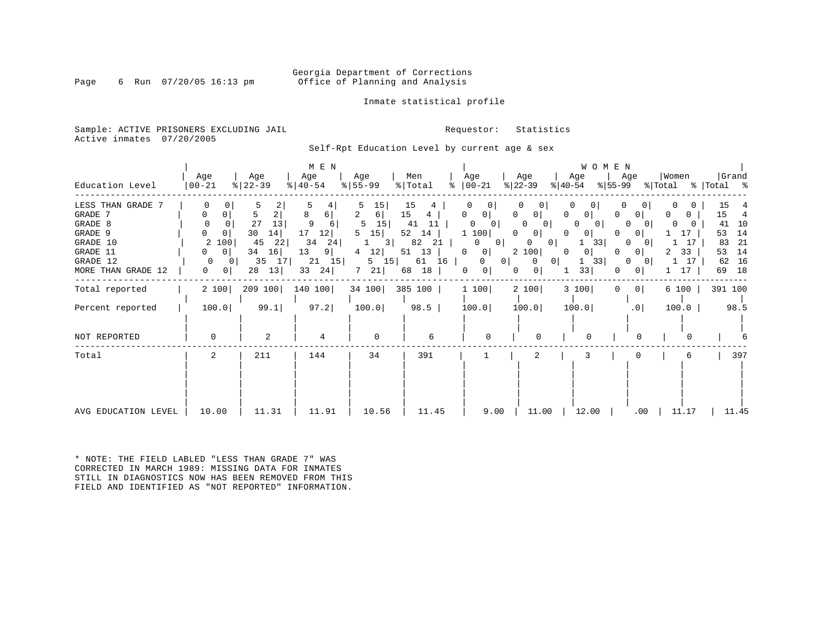#### Georgia Department of Corrections<br>Page 6 Run 07/20/05 16:13 pm office of Planning and Analysis Office of Planning and Analysis

#### Inmate statistical profile

Sample: ACTIVE PRISONERS EXCLUDING JAIL **Requestor:** Statistics Active inmates 07/20/2005

Self-Rpt Education Level by current age & sex

| Education Level                                                                                              | Age<br>$ 00 - 21$                                                                                                  | Age<br>$ 22-39 $                                                                       | M E N<br>Age<br>$\frac{1}{6}$   40-54                                            | Age<br>$8 55-99$                                                                     | Men<br>% Total                                                                          | Age<br>$\frac{1}{6}$   00 - 21                                                                                                                      | Age<br>$ 22-39 $<br>୫∣40-54                                                                                                                                                                           | <b>WOMEN</b><br>Age<br>%∣55-99                                                                                                                     | Women<br>Age                                                                                                                                                                       | Grand<br>% Total % Total %                                                             |
|--------------------------------------------------------------------------------------------------------------|--------------------------------------------------------------------------------------------------------------------|----------------------------------------------------------------------------------------|----------------------------------------------------------------------------------|--------------------------------------------------------------------------------------|-----------------------------------------------------------------------------------------|-----------------------------------------------------------------------------------------------------------------------------------------------------|-------------------------------------------------------------------------------------------------------------------------------------------------------------------------------------------------------|----------------------------------------------------------------------------------------------------------------------------------------------------|------------------------------------------------------------------------------------------------------------------------------------------------------------------------------------|----------------------------------------------------------------------------------------|
| LESS THAN GRADE 7<br>GRADE 7<br>GRADE 8<br>GRADE 9<br>GRADE 10<br>GRADE 11<br>GRADE 12<br>MORE THAN GRADE 12 | 0<br>0<br>$\Omega$<br>$\mathbf{0}$<br>2 100<br>$\circ$<br>0<br>$\Omega$<br>- 0 I<br>$\mathbf{0}$<br>0 <sup>1</sup> | 2<br>5<br>2 <br>27<br>13<br>30<br>14<br>22<br>45<br>34<br>16<br>35<br>17 <br>13 <br>28 | 8<br>6<br>9<br>6 I<br>17<br>12 <br>34<br>24<br>13<br>9 <br>15 <br>21<br>33<br>24 | 15 <br>$6 \mid$<br>15 <br>5<br>15 <br>5<br>3 <br>12 <br>4<br>$5 \quad 15$<br>7<br>21 | 15<br>15<br>4<br>11<br>41<br>$52 \quad 14$<br>82<br>21<br>13<br>51<br>61 16<br>18<br>68 | 0 <br>0<br>$\overline{0}$<br>$\mathbf{0}$<br>1 100<br>0<br>$\mathbf{0}$<br>$\mathbf{0}$<br> 0 <br>0 <sup>1</sup><br>$\Omega$<br>0<br>0 <sup>1</sup> | 0<br>$\Omega$<br>$\Omega$<br>0 <sup>1</sup><br>$\mathbf{0}$<br><sup>0</sup><br>0<br>0 <sup>1</sup><br>$\Omega$<br>$\circ$<br>0 <sup>1</sup><br>2 100<br>0<br>$0$  <br>$\Omega$<br>0 <sup>1</sup><br>0 | 0<br>$\mathbf{0}$<br>$\Omega$<br>$\Omega$<br>$\overline{0}$<br>0 <sup>1</sup><br>$\Omega$<br>33<br>0 <sup>1</sup><br>0<br>33<br>$\mathbf{1}$<br>33 | 0<br>0<br>U<br>$\Omega$<br>$\left( \right)$<br>$\Omega$<br>17<br>$\Omega$<br>17<br>$\Omega$<br>33<br>0 <sup>1</sup><br>2<br>17<br>$\Omega$<br>$\overline{0}$<br>17<br>$\mathbf{0}$ | 15<br>15<br>4<br>10<br>41<br>14<br>53<br>-21<br>83<br>14<br>53<br>16<br>62<br>18<br>69 |
| Total reported                                                                                               | 2 100                                                                                                              | 209 100                                                                                | 140 100                                                                          | 34 100                                                                               | 385 100                                                                                 | 1 100                                                                                                                                               | 2 100                                                                                                                                                                                                 | 3 100<br>$\mathbf{0}$                                                                                                                              | 0 <sup>1</sup><br>6 100                                                                                                                                                            | 391 100                                                                                |
| Percent reported                                                                                             | 100.0                                                                                                              | 99.1                                                                                   | 97.2                                                                             | 100.0                                                                                | 98.5                                                                                    | 100.0                                                                                                                                               | 100.0                                                                                                                                                                                                 | 100.0                                                                                                                                              | .0 <sub>1</sub><br>100.0                                                                                                                                                           | 98.5                                                                                   |
| NOT REPORTED                                                                                                 | 0                                                                                                                  | 2                                                                                      | 4                                                                                | $\mathbf 0$                                                                          | 6                                                                                       | $\Omega$                                                                                                                                            |                                                                                                                                                                                                       | $\Omega$                                                                                                                                           | <sup>0</sup>                                                                                                                                                                       |                                                                                        |
| Total                                                                                                        | 2                                                                                                                  | 211                                                                                    | 144                                                                              | 34                                                                                   | 391                                                                                     |                                                                                                                                                     | 2                                                                                                                                                                                                     | 3                                                                                                                                                  |                                                                                                                                                                                    | 397                                                                                    |
| AVG EDUCATION LEVEL                                                                                          | 10.00                                                                                                              | 11.31                                                                                  | 11.91                                                                            | 10.56                                                                                | 11.45                                                                                   | 9.00                                                                                                                                                | 11.00                                                                                                                                                                                                 | 12.00                                                                                                                                              | $.00 \,$<br>11.17                                                                                                                                                                  | 11.45                                                                                  |

\* NOTE: THE FIELD LABLED "LESS THAN GRADE 7" WAS CORRECTED IN MARCH 1989: MISSING DATA FOR INMATES STILL IN DIAGNOSTICS NOW HAS BEEN REMOVED FROM THIS FIELD AND IDENTIFIED AS "NOT REPORTED" INFORMATION.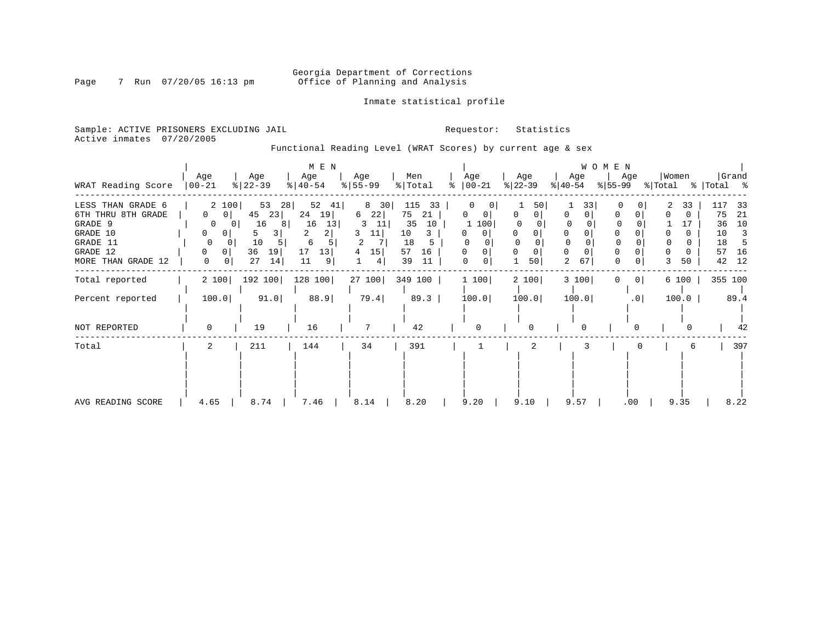### Georgia Department of Corrections<br>Page 7 Run 07/20/05 16:13 pm office of Planning and Analysis Office of Planning and Analysis

Inmate statistical profile

Sample: ACTIVE PRISONERS EXCLUDING JAIL **Requestor:** Statistics Active inmates 07/20/2005

Functional Reading Level (WRAT Scores) by current age & sex

|                    |                           |                           | M E N     |             |                |    |                |             |           | WOMEN          |                         |                               |
|--------------------|---------------------------|---------------------------|-----------|-------------|----------------|----|----------------|-------------|-----------|----------------|-------------------------|-------------------------------|
|                    | Age                       | Age                       | Age       | Age         | Men            |    | Age            | Age         | Age       | Age            | Women                   | Grand                         |
| WRAT Reading Score | $ 00-21$                  | $ 22-39 $                 | $ 40-54 $ | $ 55 - 99 $ | % Total        | °≈ | $ 00-21 $      | $ 22-39 $   | $ 40-54 $ | %∣55-99        | % Total                 | %   Total %                   |
| LESS THAN GRADE 6  | 2 100                     | 53<br>28                  | 52<br>41  | 8 30        | 115<br>33      |    |                | 50          |           | 33<br>$\Omega$ | 33                      | 33                            |
| 6TH THRU 8TH GRADE | $\circ$<br>0 <sup>1</sup> | 45<br>23                  | 24<br>19  | 22 <br>6    | 75<br>21       |    | 0              | 01          |           |                | 0                       | 75<br>-21                     |
| GRADE 9            | $\Omega$                  | 16<br>8<br>0 <sup>1</sup> | 16<br>13  | -11<br>3.   | 10<br>35       |    | 100            |             |           |                |                         | 10<br>36                      |
| GRADE 10           | 0<br>$\mathbf{0}$         | 3<br>5.                   | 2.        | 11          | 10<br>3        |    | 0 <sup>1</sup> |             |           |                |                         | 10<br>$\overline{\mathbf{3}}$ |
| GRADE 11           | $\Omega$                  | 10<br>$\Omega$            | 6         | 2           | 18<br>5        |    |                | $\Omega$    | $\Omega$  |                |                         | 18<br>-5                      |
| GRADE 12           | $\mathbf{0}$              | 36<br>19                  | 17<br>13  | 15<br>4     | 57<br>16       |    |                | $\mathbf 0$ | $\Omega$  |                |                         | 16<br>57                      |
| MORE THAN GRADE 12 | 0<br>$\circ$              | 27<br>14                  | 11<br>9   | 4           | 39<br>11       |    | 0<br>0         | 50          | 2<br>67   | 0              | 50                      | 42<br>12                      |
| Total reported     | 2 100                     | 192 100                   | 128 100   |             | 27 100 349 100 |    | 1 100          | 2 100       | 3 100     | 0              | 0 <sup>1</sup><br>6 100 | 355 100                       |
| Percent reported   | 100.0                     | 91.0                      | 88.9      | 79.4        | 89.3           |    | 100.0          | 100.0       | 100.0     |                | .0<br>100.0             | 89.4                          |
| NOT REPORTED       | $\Omega$                  | 19                        | 16        |             | 42             |    | $\Omega$       | 0           | 0         |                |                         | 42                            |
| Total              | $\overline{2}$            | 211                       | 144       | 34          | 391            |    |                | 2           | 3         |                |                         | 397<br>6                      |
|                    |                           |                           |           |             |                |    |                |             |           |                |                         |                               |
|                    |                           |                           |           |             |                |    |                |             |           |                |                         |                               |
|                    |                           |                           |           |             |                |    |                |             |           |                |                         |                               |
|                    |                           |                           |           |             |                |    |                |             |           |                |                         |                               |
| AVG READING SCORE  | 4.65                      | 8.74                      | 7.46      | 8.14        | 8.20           |    | 9.20           | 9.10        | 9.57      | .00            | 9.35                    | 8.22                          |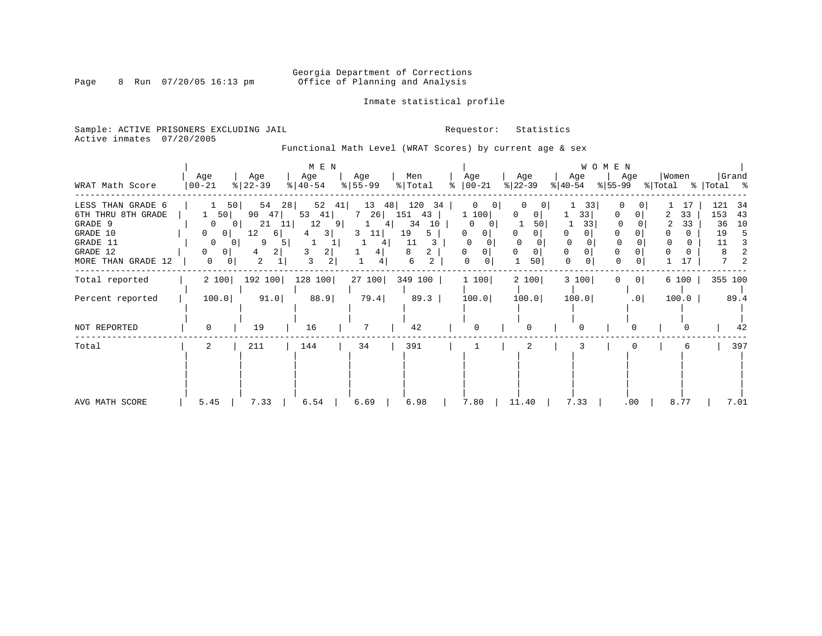### Georgia Department of Corrections<br>Page 8 Run 07/20/05 16:13 pm office of Planning and Analysis Office of Planning and Analysis

#### Inmate statistical profile

Sample: ACTIVE PRISONERS EXCLUDING JAIL **Requestor:** Statistics Active inmates 07/20/2005

Functional Math Level (WRAT Scores) by current age & sex

| WRAT Math Score                                                                                              | Age<br>$ 00-21 $                                                                                                                       | Age<br>$ 22-39 $                                                                      | M E N<br>Age<br>$ 40-54 $                                                                  | Age<br>$ 55 - 99 $                               | Men<br>% Total                                                    | Age<br>$\frac{1}{6}$   00-21                                                                        | Age<br>$ 22-39 $                   | WOMEN<br>Age<br>$ 40-54 $                                        | Age<br>%∣55-99   | Women<br>% Total % Total % | Grand                                                         |
|--------------------------------------------------------------------------------------------------------------|----------------------------------------------------------------------------------------------------------------------------------------|---------------------------------------------------------------------------------------|--------------------------------------------------------------------------------------------|--------------------------------------------------|-------------------------------------------------------------------|-----------------------------------------------------------------------------------------------------|------------------------------------|------------------------------------------------------------------|------------------|----------------------------|---------------------------------------------------------------|
| LESS THAN GRADE 6<br>6TH THRU 8TH GRADE<br>GRADE 9<br>GRADE 10<br>GRADE 11<br>GRADE 12<br>MORE THAN GRADE 12 | 50<br>50<br>0<br>0 <sub>1</sub><br>0<br>0 <sup>1</sup><br>$\mathbf{0}$<br>0 <sup>1</sup><br>0<br>0 <sub>1</sub><br>0<br>0 <sup>1</sup> | 54<br>28<br>90<br>47<br>21<br>11<br>12<br>6  <br>9<br>5<br>$\left 2\right $<br>4<br>2 | 52<br>41<br>53<br>41 <br>12<br>9 <sup>°</sup><br>3 <br>4<br>3<br>2 <br>3<br>$\overline{2}$ | 13<br>48<br>7 26 151<br>4  <br>11<br>3<br>4<br>4 | 120<br>34<br>43<br>10<br>34<br>19<br>5.<br>11<br>2<br>8<br>6<br>2 | $\mathbf 0$<br>01<br>1 100<br>0<br>0<br>01<br>$^{(1)}$<br>$\Omega$<br>0 <sup>1</sup><br>0<br>0<br>0 | O<br>0<br>50<br><sup>0</sup><br>50 | 33<br>33 <br>33<br>0<br>$\Omega$<br>0<br>$\Omega$<br>$\mathbf 0$ | 0<br>0<br>0<br>0 | 17<br>33<br>33<br>17       | 121<br>34<br>153<br>43<br>36<br>10<br>19<br>5<br>11<br>3<br>2 |
| Total reported                                                                                               | 2 100                                                                                                                                  | 192 100                                                                               | 128 100                                                                                    | 27 100                                           | 349 100                                                           | 1 100                                                                                               | 2 100                              | 3 100                                                            | 0 <br>0          | 6 100                      | 355 100                                                       |
| Percent reported                                                                                             | 100.0                                                                                                                                  | 91.0                                                                                  | 88.9                                                                                       | 79.4                                             | 89.3                                                              | 100.0                                                                                               | 100.0                              | 100.0                                                            | .0 <sub>1</sub>  | 100.0                      | 89.4                                                          |
| NOT REPORTED                                                                                                 | $\Omega$                                                                                                                               | 19                                                                                    | 16                                                                                         | 7                                                | 42                                                                | $\Omega$                                                                                            |                                    | 0                                                                | 0                |                            | 42                                                            |
| Total                                                                                                        | 2                                                                                                                                      | 211                                                                                   | 144                                                                                        | 34                                               | 391                                                               |                                                                                                     | 2                                  | 3                                                                |                  | 6                          | 397                                                           |
| AVG MATH SCORE                                                                                               | 5.45                                                                                                                                   | 7.33                                                                                  | 6.54                                                                                       | 6.69                                             | 6.98                                                              | 7.80                                                                                                | 11.40                              | 7.33                                                             | .00              | 8.77                       | 7.01                                                          |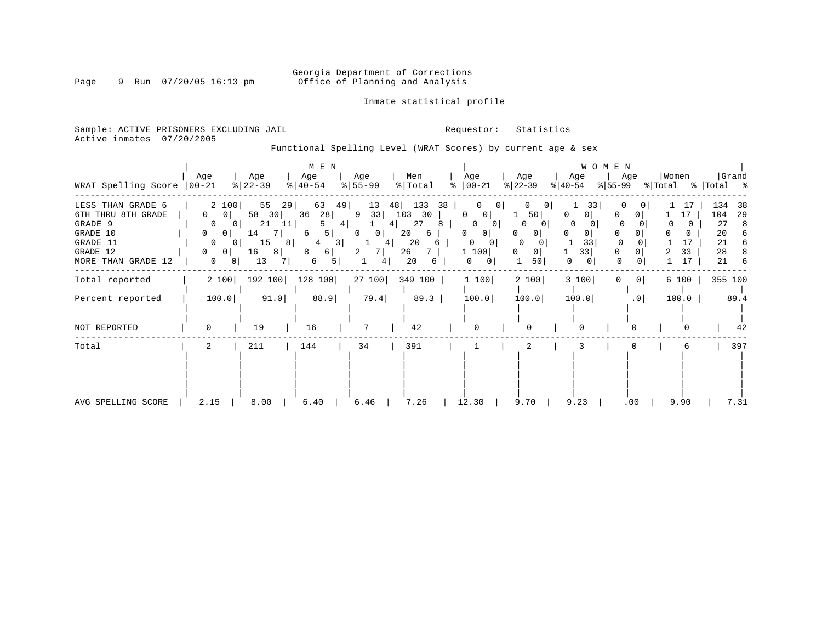### Georgia Department of Corrections<br>Page 9 Run 07/20/05 16:13 pm office of Planning and Analysis Office of Planning and Analysis

#### Inmate statistical profile

Sample: ACTIVE PRISONERS EXCLUDING JAIL **Requestor:** Statistics Active inmates 07/20/2005

Functional Spelling Level (WRAT Scores) by current age & sex

| WRAT Spelling Score                                                                                             | Age<br>$ 00 - 21$                                                                                                                                                          | Age<br>$ 22-39 $                                                                        | M E N<br>Age<br>$ 40-54 $                                                        | Age<br>$8 55-99$                                             | Men<br>% Total                                                           | Age<br>$8   00 - 21$                                                                                                 | Age<br>$ 22-39 $                                                                       | WOMEN<br>Age<br>$ 40-54 $                 | Age<br>% 55−99               | Women<br>% Total | Grand<br>%   Total %                                                      |
|-----------------------------------------------------------------------------------------------------------------|----------------------------------------------------------------------------------------------------------------------------------------------------------------------------|-----------------------------------------------------------------------------------------|----------------------------------------------------------------------------------|--------------------------------------------------------------|--------------------------------------------------------------------------|----------------------------------------------------------------------------------------------------------------------|----------------------------------------------------------------------------------------|-------------------------------------------|------------------------------|------------------|---------------------------------------------------------------------------|
| LESS THAN GRADE 6<br>6TH THRU 8TH GRADE<br>GRADE 9<br>GRADE 10<br>GRADE 11<br>GRADE 12<br>MORE THAN GRADE<br>12 | 2 100<br>0<br>0 <sup>1</sup><br>0<br>0 <sup>1</sup><br>$\mathbf{0}$<br>0 <sup>1</sup><br>$\mathbf{0}$<br>0<br>$\Omega$<br>0 <sub>1</sub><br>$\mathbf{0}$<br>0 <sup>1</sup> | 55<br>29<br>58<br>30<br>21<br>11 <br>14<br>-71<br>15<br>$8 \mid$<br>16<br>81<br>13<br>7 | 63<br>49 <br>28<br>36<br>4 <br>5  <br>6<br>3 <br>6  <br>8<br>6<br>5 <sup>1</sup> | 48<br>13<br>33<br>9<br>4  <br> 0 <br>0<br>4<br>7 I<br>2<br>4 | 133<br>38<br>103<br>30<br>27<br>8<br>20<br>6<br>20<br>6<br>26<br>20<br>6 | $\Omega$<br>$\Omega$<br>0<br>$\overline{0}$<br>0<br>0<br>0<br>0 <sup>1</sup><br>0<br>$\mathbf{0}$<br>1 100<br>0<br>0 | 50 <br>O<br>$\Omega$<br>$\Omega$<br>$\Omega$<br>0 <sup>1</sup><br>50 <sub>1</sub><br>1 | 33<br>0<br>$\Omega$<br>0<br>33<br>33<br>0 | 0<br>$\Omega$<br>0<br>0<br>0 | 17<br>33<br>17   | 134<br>-38<br>104<br>29<br>27<br>8<br>20<br>6<br>21<br>6<br>28<br>21<br>6 |
| Total reported                                                                                                  | 2 100                                                                                                                                                                      | 192 100                                                                                 | 128 100                                                                          | 27 100                                                       | 349 100                                                                  | 1 100                                                                                                                | 2 100                                                                                  | 3 100                                     | 0 <br>0                      | 6 100            | 355 100                                                                   |
| Percent reported                                                                                                | 100.0                                                                                                                                                                      | 91.0                                                                                    | 88.9                                                                             | 79.4                                                         | 89.3                                                                     | 100.0                                                                                                                | 100.0                                                                                  | 100.0                                     | .0                           | 100.0            | 89.4                                                                      |
| NOT REPORTED                                                                                                    | $\Omega$                                                                                                                                                                   | 19                                                                                      | 16                                                                               | 7                                                            | 42                                                                       | $\Omega$                                                                                                             |                                                                                        | 0                                         | $\Omega$                     |                  | 42                                                                        |
| Total                                                                                                           | 2                                                                                                                                                                          | 211                                                                                     | 144                                                                              | 34                                                           | 391                                                                      |                                                                                                                      | 2                                                                                      |                                           |                              | 6                | 397                                                                       |
| AVG SPELLING SCORE                                                                                              | 2.15                                                                                                                                                                       | 8.00                                                                                    | 6.40                                                                             | 6.46                                                         | 7.26                                                                     | 12.30                                                                                                                | 9.70                                                                                   | 9.23                                      | .00                          | 9.90             | 7.31                                                                      |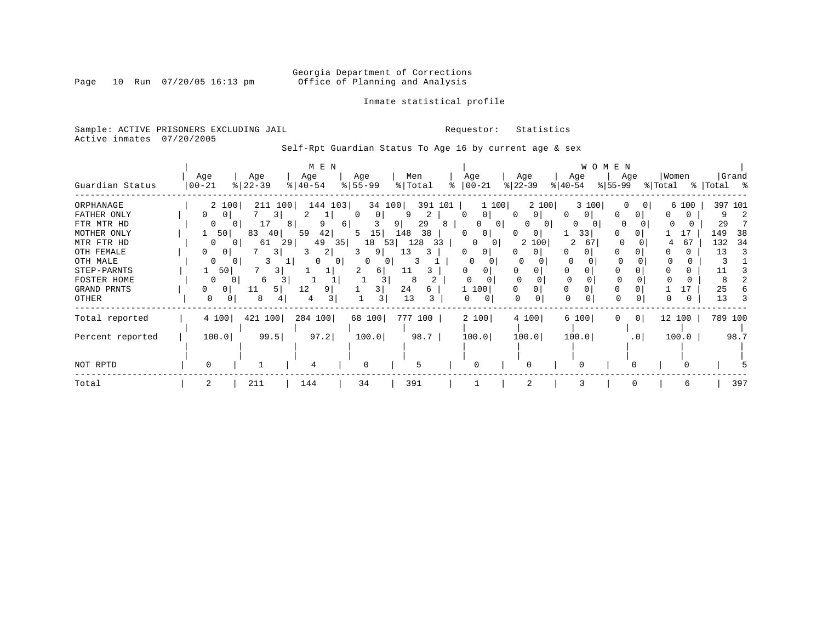#### Georgia Department of Corrections<br>Page 10 Run 07/20/05 16:13 pm office of Planning and Analysis Office of Planning and Analysis

#### Inmate statistical profile

Sample: ACTIVE PRISONERS EXCLUDING JAIL **Requestor:** Statistics Active inmates 07/20/2005

Self-Rpt Guardian Status To Age 16 by current age & sex

|                                                                                                                             |                        |                                           | M E N                                                       |                                                           |                                                                                                         |                              |                                                                                              |                                                               |                                                           | W O M E N                 |                                          |                                                    |
|-----------------------------------------------------------------------------------------------------------------------------|------------------------|-------------------------------------------|-------------------------------------------------------------|-----------------------------------------------------------|---------------------------------------------------------------------------------------------------------|------------------------------|----------------------------------------------------------------------------------------------|---------------------------------------------------------------|-----------------------------------------------------------|---------------------------|------------------------------------------|----------------------------------------------------|
| Guardian Status                                                                                                             | Age<br>$ 00 - 21$      | Age<br>$ 22-39$                           | Age<br>$ 40-54 $                                            | Age<br>$8 55-99$                                          | Men<br>% Total                                                                                          |                              | Age<br>$ 00-21 $                                                                             | Age<br>$ 22-39 $                                              | Age<br>$ 40-54 $                                          | Age<br>$ 55-99 $          | Women<br>% Total                         | Grand<br>%   Total %                               |
| ORPHANAGE<br>FATHER ONLY<br>FTR MTR HD<br>MOTHER ONLY<br>MTR FTR HD<br>OTH FEMALE<br>OTH MALE<br>STEP-PARNTS<br>FOSTER HOME | 0<br>0<br><sup>0</sup> | 2 100<br>50<br>83<br>61<br>0 I<br>50<br>6 | 211 100<br>3<br>9<br>81<br>42<br>59<br>40<br>49<br>29<br>3. | 144 103<br>$\Omega$<br>Τ.<br>6<br>5<br>18<br>35<br>2<br>0 | 34 100<br>q<br>$\mathbf{0}$<br>29<br>9<br>15<br>148<br>38<br>128<br>53<br>9<br>13<br>0<br>11<br>61<br>8 | 391 101<br>2<br>8<br>33<br>3 | 1 100<br>0 <sup>1</sup><br>$\Omega$<br>0<br>0 <sub>1</sub><br>$\Omega$<br>$\Omega$<br>0<br>0 | 2 100<br>$\Omega$<br>O<br>0<br>$\Omega$<br>0<br>100<br>2<br>0 | 3 100<br>0 <sup>1</sup><br>0<br>$\Omega$<br>33<br>2<br>67 | 0<br>$\Omega$<br>$\Omega$ | 6 100<br>0 <sup>1</sup><br>17<br>67<br>4 | 397 101<br>29<br>149<br>38<br>34<br>132<br>13<br>3 |
| GRAND PRNTS<br>OTHER                                                                                                        | 0                      | 0<br>11<br>8<br>0                         | 12<br>5 I<br>4                                              |                                                           | 3<br>24<br>13<br>3                                                                                      | 6<br>3                       | 1 100<br>$\Omega$                                                                            | 0<br>O                                                        | $\Omega$                                                  |                           | 0                                        | 25<br>13                                           |
| Total reported                                                                                                              | 4 100                  | 421 100                                   | 284 100                                                     | 68 100                                                    | 777 100                                                                                                 |                              | 2 100                                                                                        | 4 100                                                         | 6 100                                                     | $\overline{0}$<br>0       | 12 100                                   | 789 100                                            |
| Percent reported                                                                                                            | 100.0                  |                                           | 97.2<br>99.5                                                | 100.0                                                     | 98.7                                                                                                    |                              | 100.0                                                                                        | 100.0                                                         | 100.0                                                     | .0 <sub>1</sub>           | 100.0                                    | 98.7                                               |
| NOT RPTD                                                                                                                    | $\Omega$               |                                           | 4                                                           | O                                                         | 5                                                                                                       |                              | O                                                                                            |                                                               |                                                           |                           |                                          |                                                    |
| Total                                                                                                                       |                        | 211                                       | 144                                                         | 34                                                        | 391                                                                                                     |                              |                                                                                              | $\overline{2}$                                                |                                                           | $\Omega$                  | 6                                        | 397                                                |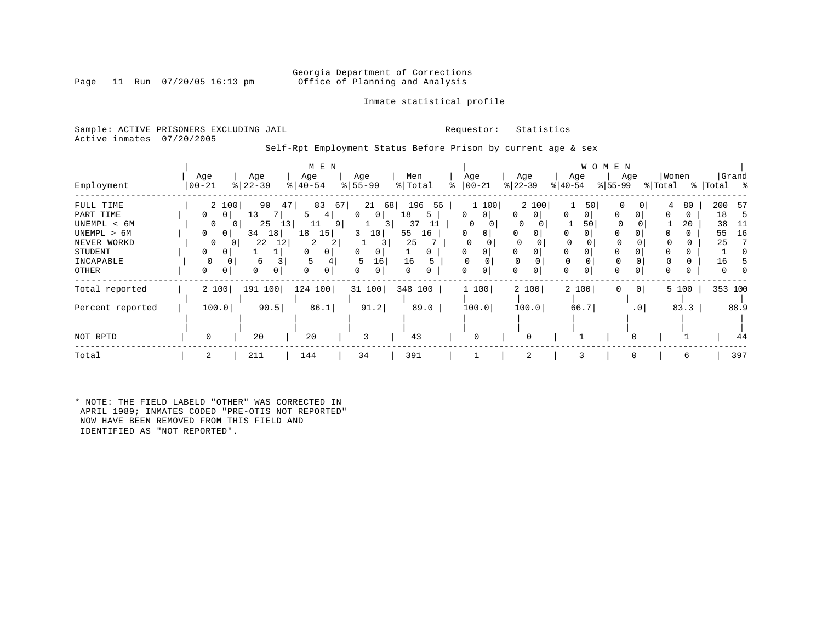#### Inmate statistical profile

Sample: ACTIVE PRISONERS EXCLUDING JAIL **Requestor:** Statistics Active inmates 07/20/2005

Self-Rpt Employment Status Before Prison by current age & sex

|                  |                                |                      | M E N           |                       |              |               |                          |                     | W O M E N   |                         |                |
|------------------|--------------------------------|----------------------|-----------------|-----------------------|--------------|---------------|--------------------------|---------------------|-------------|-------------------------|----------------|
|                  | Age                            | Age                  | Age             | Age                   | Men          | Age           | Age                      | Age                 | Age         | Women                   | Grand          |
| Employment       | $ 00 - 21$                     | $ 22-39$             | $ 40-54 $       | $\frac{1}{6}$   55-99 | % Total<br>⊱ | $ 00-21 $     | $ 22-39 $                | $ 40-54 $           | $ 55-99 $   | % Total                 | %   Total<br>ႜ |
| FULL TIME        | 2 100                          | 90                   | 83<br>47        | 67<br>21<br>68        | 196<br>56    | 1 100         | 2 100                    | 50                  | $\Omega$    | 80<br>4                 | 200<br>-57     |
| PART TIME        | $\mathbf{0}$<br>$\overline{0}$ | 13                   | 4               | 0 <sup>1</sup><br>0   | 18<br>5      | 0<br>0        | $\mathbf{0}$<br>$\Omega$ | 0<br>0 <sup>1</sup> | $\Omega$    | 0<br>0                  | 18<br>-5       |
| UNEMPL < 6M      | $\Omega$                       | 25                   | 13 <br>11<br>91 | 3 I                   | 37           | 0<br>$\Omega$ | 0                        | 50                  |             | 20                      | 38             |
| UNEMPL > 6M      | 0<br>$\overline{0}$            | 18<br>34             | 18<br>15        | 3<br>10               | 55<br>16     | 0<br>0        | 0                        | 0                   | $\Omega$    |                         | 16<br>55       |
| NEVER WORKD      | $\Omega$                       | 22<br>12<br>$\Omega$ | 2<br>2          | 31                    | 25           | $\Omega$      |                          | $\Omega$            |             |                         | 25             |
| STUDENT          | $\Omega$<br>0                  |                      | $\Omega$<br>0   | 0<br>0                | 0            | 0             | 0                        | 0<br>0              | $\Omega$    |                         |                |
| INCAPABLE        |                                | 6<br>0               |                 | 5<br>16               | 16           |               |                          |                     |             |                         | 16             |
| OTHER            | 0<br>0                         | 0<br>0               | 0<br>0          | 0<br>0                | 0<br>0       | 0             | 0<br>0                   | 0                   | 0           |                         | O              |
| Total reported   | 2 100                          | 191 100              | 124 100         | 31 100                | 348 100      | 1 100         | 2 100                    | 2 100               | $\mathbf 0$ | 0 <sup>1</sup><br>5 100 | 353 100        |
| Percent reported | 100.0                          | 90.5                 | 86.1            | 91.2                  | 89.0         | 100.0         | 100.0                    | 66.7                |             | 83.3<br>$\cdot$ 0       | 88.9           |
|                  |                                |                      |                 |                       |              |               |                          |                     |             |                         |                |
| NOT RPTD         | 0                              | 20                   | 20              | 3                     | 43           | 0             |                          |                     |             |                         | 44             |
| Total            |                                | 211                  | 144             | 34                    | 391          |               | 2                        |                     |             | 6                       | 397            |

\* NOTE: THE FIELD LABELD "OTHER" WAS CORRECTED IN APRIL 1989; INMATES CODED "PRE-OTIS NOT REPORTED" NOW HAVE BEEN REMOVED FROM THIS FIELD AND IDENTIFIED AS "NOT REPORTED".

Page 11 Run 07/20/05 16:13 pm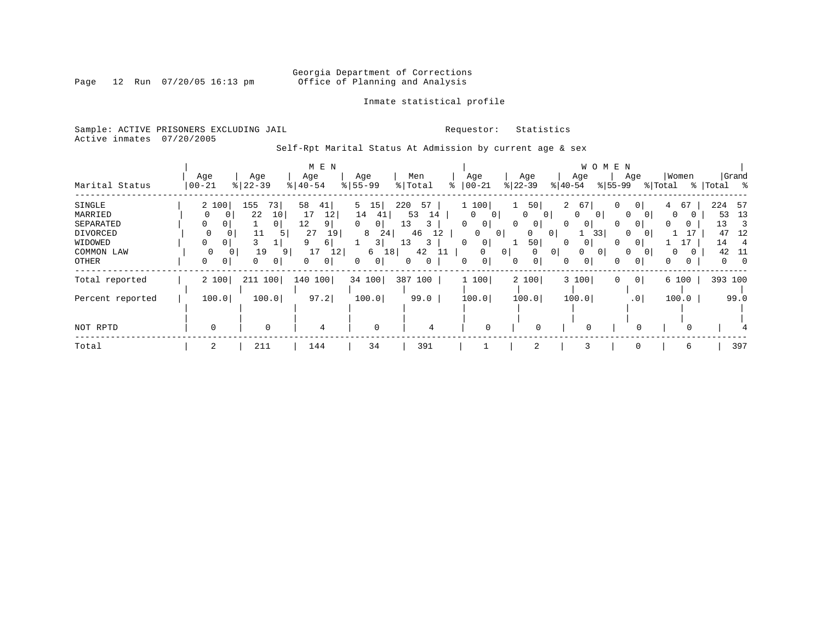### Georgia Department of Corrections<br>Page 12 Run 07/20/05 16:13 pm office of Planning and Analysis Office of Planning and Analysis

#### Inmate statistical profile

Sample: ACTIVE PRISONERS EXCLUDING JAIL **Requestor:** Statistics Active inmates 07/20/2005

Self-Rpt Marital Status At Admission by current age & sex

|                  |             |                | M E N          |                   |           |                |                                              | W O M E N         |                     |                   |             |
|------------------|-------------|----------------|----------------|-------------------|-----------|----------------|----------------------------------------------|-------------------|---------------------|-------------------|-------------|
|                  | Age         | Age            | Age            | Age               | Men       | Age            | Age                                          | Age               | Age                 | Women             | Grand       |
| Marital Status   | $ 00-21$    | $ 22-39$       | $8140 - 54$    | $8 55-99$         | % Total   | $ 00-21$       | $ 22-39 $                                    | $ 40-54 $         | $ 55-99 $           | % Total           | %   Total % |
| SINGLE           | 2 100       | 155<br>73      | 58<br>41       | 15<br>5           | 220<br>57 | 1 100          | 50<br>$\mathbf{1}$                           | 2 67              | 0<br>$\overline{0}$ | 67<br>4           | 224<br>57   |
| MARRIED          |             | 10<br>22       | 12<br>17       | 14<br>41          | 53<br>14  | $\Omega$<br>0  | $\overline{0}$<br>$\Omega$                   | $\Omega$<br>0     | $\Omega$            | $\Omega$          | 13<br>53    |
| SEPARATED        | 0           | 0 <sup>1</sup> | 12<br>9        | $\mathbf{0}$<br>0 | 13<br>3.  | 0<br>$\circ$   | $\mathbf{0}$<br>0                            | 0<br>$\mathbf{0}$ | 0<br>0              | <sup>0</sup><br>0 | 13<br>3     |
| DIVORCED         | $\mathbf 0$ | 11<br>5.       | 27<br>19       | 8<br>24           | 46<br>12  | 0<br>$\circ$   | 0<br>0                                       | 33                | $\Omega$            |                   | 47<br>12    |
| WIDOWED          | 0           |                | 6              | $\overline{3}$    | 13<br>3   | $\overline{0}$ | 50                                           | $\Omega$          |                     |                   | 14          |
| COMMON LAW       | 0           | 19<br>9        | 17<br>12       | 18<br>6           | 42<br>11  | $\Omega$       | 0 <sup>1</sup><br>0 <sup>1</sup><br>$\Omega$ | $\Omega$          | $\Omega$            | 0                 | 42<br>-11   |
| OTHER            | 0<br>0      | 0<br>$\circ$   | $\overline{0}$ | 0<br>0            | 0<br>0    | 0<br>0         | 0<br>$\mathbf{0}$                            | 0<br>0            | 0<br>0              | 0<br>0            | 0<br>-0     |
| Total reported   | 2 100       | 211 100        | 140 100        | 34 100            | 387 100   | 1 100          | 2 100                                        | 3 100             | 0 <sup>1</sup><br>0 | 6 100             | 393 100     |
| Percent reported | 100.0       | 100.0          | 97.2           | 100.0             | 99.0      | 100.0          | 100.0                                        | 100.0             | .0 <sub>1</sub>     | 100.0             | 99.0        |
|                  |             |                |                |                   |           |                |                                              |                   |                     |                   |             |
| NOT RPTD         | $\mathbf 0$ | $\Omega$       | 4              | $\mathbf 0$       | 4         | $\Omega$       | $\Omega$                                     |                   | $\Omega$            |                   |             |
| Total            | 2           | 211            | 144            | 34                | 391       |                | 2                                            |                   |                     | 6                 | 397         |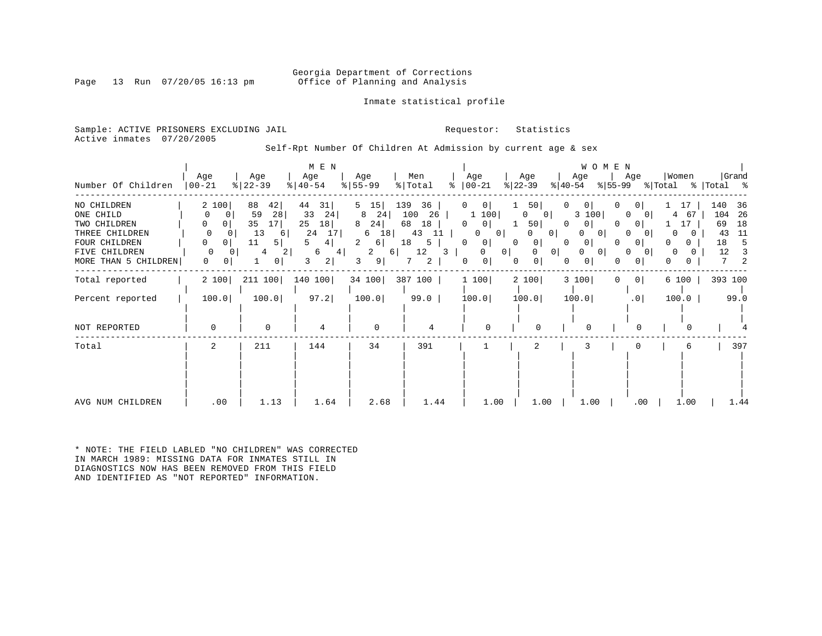#### Georgia Department of Corrections<br>Page 13 Run 07/20/05 16:13 pm office of Planning and Analysis Office of Planning and Analysis

Inmate statistical profile

Sample: ACTIVE PRISONERS EXCLUDING JAIL **Requestor:** Statistics Active inmates 07/20/2005

Self-Rpt Number Of Children At Admission by current age & sex

| Number Of Children                                                                                                   | Age<br>$00 - 21$                                                                         | Age<br>$ 22-39$                                                                                  | M E N<br>Age<br>$8   40 - 54$                                            | Age<br>$8 55-99$                                                                           | Men<br>% Total<br>៖                                                            | Age<br>$ 00-21$                                                                                                                             | Age<br>$ 22-39 $<br>$ 40-54 $                                                                                                                      | WOMEN<br>Age<br>$ 55-99 $                                                     | Age                                                                             | Women<br>% Total                                    | Grand<br>% Total %                                                          |
|----------------------------------------------------------------------------------------------------------------------|------------------------------------------------------------------------------------------|--------------------------------------------------------------------------------------------------|--------------------------------------------------------------------------|--------------------------------------------------------------------------------------------|--------------------------------------------------------------------------------|---------------------------------------------------------------------------------------------------------------------------------------------|----------------------------------------------------------------------------------------------------------------------------------------------------|-------------------------------------------------------------------------------|---------------------------------------------------------------------------------|-----------------------------------------------------|-----------------------------------------------------------------------------|
| NO CHILDREN<br>ONE CHILD<br>TWO CHILDREN<br>THREE CHILDREN<br>FOUR CHILDREN<br>FIVE CHILDREN<br>MORE THAN 5 CHILDREN | 2 100<br>0<br>0<br>0<br>0  <br>0<br>$\Omega$<br>0<br>0<br>$\Omega$<br>0<br>$\Omega$<br>0 | 42 <br>88<br>59<br>28<br>35<br>17<br>13<br>6<br>11<br>5<br>4<br>$\overline{2}$<br>$\overline{0}$ | 44<br>31<br>33<br>24<br>18<br>25<br>24<br>17<br>4  <br>6<br>4<br>2 <br>3 | 15<br>5<br>24<br>8<br>24<br>8<br>18<br>6<br>2<br>6<br>2<br>$6 \mid$<br>9 <sup>1</sup><br>3 | 139<br>36<br>26<br>100<br>68<br>18<br>43<br>11<br>18<br>5<br>12<br>3<br>2<br>7 | 0 <br>0<br>1 100<br><sup>0</sup><br>0 <sup>1</sup><br>0<br>0 <sup>1</sup><br>0 <sup>1</sup><br>0<br>0<br>0 <sup>1</sup><br>0<br>0<br>0<br>0 | 50<br>0<br>$\mathbf{0}$<br>$\overline{0}$<br>50 <br>0<br>0 <sup>1</sup><br>0<br>$\overline{0}$<br>$\Omega$<br>0<br>0 <sup>1</sup><br>0<br>$\Omega$ | 0<br>3 100<br>0<br>0<br>$\overline{0}$<br>0<br>0<br>$\circ$<br>0 <sup>1</sup> | 0<br>0<br>0<br>0 <sup>1</sup><br>$\Omega$<br>$\Omega$<br>0<br>0<br>0<br>$\circ$ | 17<br>4<br>67<br>17<br>$\Omega$<br>0<br>0<br>0<br>0 | 140<br>36<br>104<br>- 26<br>69<br>18<br>11<br>43<br>18<br>5<br>12<br>3<br>2 |
| Total reported                                                                                                       | 2 100                                                                                    | 211 100                                                                                          | 140 100                                                                  | 34 100                                                                                     | 387 100                                                                        | 1 100                                                                                                                                       | 2 100                                                                                                                                              | 3 100<br>$\Omega$                                                             | 0 <sup>1</sup>                                                                  | 6 100                                               | 393 100                                                                     |
| Percent reported                                                                                                     | 100.0                                                                                    | 100.0                                                                                            | 97.2                                                                     | 100.0                                                                                      | 99.0                                                                           | 100.0                                                                                                                                       | 100.0                                                                                                                                              | 100.0                                                                         | .0 <sub>1</sub>                                                                 | 100.0                                               | 99.0                                                                        |
| NOT REPORTED                                                                                                         | $\mathbf 0$                                                                              | $\mathbf 0$                                                                                      | 4                                                                        | $\mathbf 0$                                                                                | 4                                                                              | $\Omega$                                                                                                                                    | $\Omega$                                                                                                                                           | $\Omega$                                                                      | O                                                                               |                                                     |                                                                             |
| Total                                                                                                                | 2                                                                                        | 211                                                                                              | 144                                                                      | 34                                                                                         | 391                                                                            |                                                                                                                                             | 2                                                                                                                                                  | 3                                                                             |                                                                                 | 6                                                   | 397                                                                         |
| AVG NUM CHILDREN                                                                                                     | .00                                                                                      | 1.13                                                                                             | 1.64                                                                     | 2.68                                                                                       | 1.44                                                                           | 1.00                                                                                                                                        | 1.00                                                                                                                                               | 1.00                                                                          | .00                                                                             | 1.00                                                | 1.44                                                                        |

\* NOTE: THE FIELD LABLED "NO CHILDREN" WAS CORRECTED IN MARCH 1989: MISSING DATA FOR INMATES STILL IN DIAGNOSTICS NOW HAS BEEN REMOVED FROM THIS FIELD AND IDENTIFIED AS "NOT REPORTED" INFORMATION.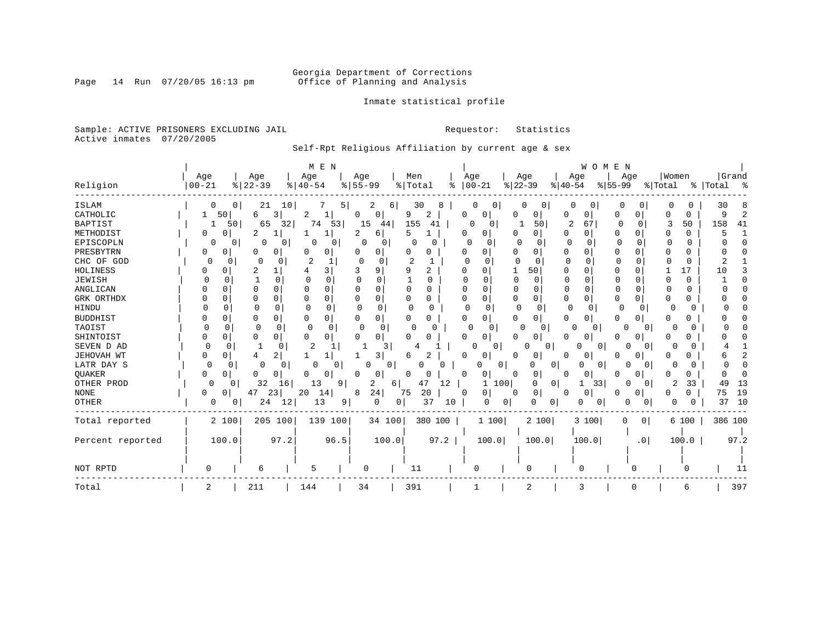### Georgia Department of Corrections<br>Page 14 Run 07/20/05 16:13 pm office of Planning and Analysis Office of Planning and Analysis

Inmate statistical profile

Sample: ACTIVE PRISONERS EXCLUDING JAIL **Requestor:** Statistics Active inmates 07/20/2005

Self-Rpt Religious Affiliation by current age & sex

|                  |                   |                      |              | M E N                |                  |          |                  |          |                 |                     |                 |              |                  | WOMEN        |                 |                 |                  |       |                      |      |
|------------------|-------------------|----------------------|--------------|----------------------|------------------|----------|------------------|----------|-----------------|---------------------|-----------------|--------------|------------------|--------------|-----------------|-----------------|------------------|-------|----------------------|------|
| Religion         | Age<br>$ 00 - 21$ | Age<br>$8   22 - 39$ |              | Age<br>$8   40 - 54$ | Age<br>$8 55-99$ |          | Men<br>%   Total | နွ       | Age<br>$ 00-21$ |                     | Age<br>$ 22-39$ |              | Age<br>$ 40-54 $ |              | Age<br>$ 55-99$ |                 | Women<br>% Total |       | Grand<br>%   Total % |      |
|                  |                   |                      |              |                      |                  |          |                  |          |                 |                     |                 |              |                  |              |                 |                 |                  |       |                      |      |
| <b>ISLAM</b>     | 0                 | 0                    | 10<br>21     |                      | 5                | 2<br>6   | 30               | 8        |                 | U                   |                 |              |                  | 0            | 0               |                 | 0                | 0     | 30                   | 8    |
| CATHOLIC         | 50                | 6                    | 3            | 2<br>ı.              | 0                | 0        | 9                | 2        | 0               | 0                   |                 | 0            | 0                | 0            | 0               | 0               | Ω                | 0     |                      |      |
| <b>BAPTIST</b>   | 1                 | 50                   | 65<br>32     | 74<br>53             | 15               | 44       | 155              | 41       | 0               | 0                   |                 | 50           | 2                | 67           | 0               | $\Omega$        | 3                | 50    | 158                  | 41   |
| METHODIST        | 0<br>O            | 2                    |              |                      |                  | 6        | 5                |          | O               | 0                   | 0               | 0            | 0                | 0            | 0               | 0               | 0                | 0     |                      |      |
| EPISCOPLN        | 0                 | 0                    | 0<br>0       | 0<br>0               | 0                | 0        | O                | O        | <sup>0</sup>    | O                   |                 | O            | $\Omega$         | O            |                 | U               |                  | O     |                      |      |
| PRESBYTRN        | 0<br>0            | 0                    | 0            | 0                    |                  | 0        | 0                | 0        |                 | U                   |                 | 0            | $\Omega$         | 0            | O               |                 | O                | 0     |                      |      |
| CHC OF GOD       | 0                 | $\Omega$<br>$\Omega$ | O            | 2                    | $\Omega$         | 0        |                  |          |                 |                     |                 | <sup>n</sup> | $\Omega$         |              | C               |                 |                  | O     |                      |      |
| HOLINESS         | 0                 | 2                    |              | 31                   |                  | 9        | q                | 2        | n               |                     | -1              | 50           | $\Omega$         | $\Omega$     | U               | <sup>n</sup>    |                  | 17    | 1 O                  |      |
| JEWISH           |                   | O                    | 0            | 0                    | O                | C        |                  | O        |                 | U                   | $\Omega$        | $\Omega$     | O                | <sup>0</sup> | $\Omega$        | $\Omega$        | C                | 0     |                      |      |
| ANGLICAN         |                   |                      | 0            | U                    |                  | $\Omega$ | 0                | O        | $\Omega$        |                     | O               | $\Omega$     | 0                | U            |                 |                 |                  | U     |                      |      |
| GRK ORTHDX       | $\Omega$          | 0                    | 0            | 0                    |                  | 0        | 0                | 0        | $\Omega$        |                     | 0               | 0            | 0                | $\Omega$     | 0               | O               | 0                | 0     |                      |      |
| <b>HINDU</b>     | C                 |                      | 0            | $\Omega$             | <sup>0</sup>     | 0        | C                | O        | $\Omega$        | 0                   | 0               | 0            | 0                | $\Omega$     | 0               | $\Omega$        |                  |       |                      |      |
| <b>BUDDHIST</b>  | O                 | 0                    | 0            | 0                    |                  | 0        | 0                | 0        | O               | 0                   | 0               | 0            | 0                | 0            | 0               | 0               | 0                | N     |                      |      |
| TAOIST           | <sup>0</sup>      | $\Omega$             | <sup>0</sup> | $\Omega$<br>$\Omega$ | $\Omega$         | $\Omega$ | O                | U        | O               | $\Omega$            | <sup>0</sup>    | 0            | O                | 0            | $\Omega$        |                 | O                |       |                      |      |
| SHINTOIST        | 0<br>O            | 0                    | 0            | $\cap$<br>$\Omega$   |                  | 0        |                  | Ω        | U               | $\Omega$            |                 | 0            | U                | O            | O               | 0               | U                |       |                      |      |
| SEVEN D AD       | $\Omega$          | U<br>1               |              | 2                    |                  | 3        |                  |          |                 | $\Omega$            | O               | $\Omega$     |                  | $\Omega$     |                 |                 | U                |       |                      |      |
| JEHOVAH WT       | 0<br>0            |                      | 2            |                      |                  | 3        |                  | 2        | O               | 0                   |                 | 0            |                  | 0            | U               | 0               |                  |       |                      |      |
| LATR DAY S       | 0                 |                      | 0<br>O       | ∩<br>0               |                  | 0<br>0   |                  |          |                 | 0                   |                 | 0<br>n       | n                | 0            |                 |                 | O                |       |                      |      |
| QUAKER           | $\Omega$<br>0     | O                    | 0            | 0<br>O               | U                | 0        | U                | 0        | <sup>0</sup>    | 0 <sup>1</sup>      |                 | 0            | U                | 0            |                 | 0               |                  | 0     |                      |      |
| OTHER PROD       | $\Omega$          | 0                    | 32<br>16     | 13                   | 9                | 2<br>6   | 47               | 12       |                 | 100<br>1            |                 | 0<br>0       | 1                | 33           | 0               |                 | 2                | 33    | 49                   | 13   |
| <b>NONE</b>      | 0<br>0            | 47                   | 23           | 20<br>14             | 8                | 24       | 75               | 20       | 0               | 0                   | 0               | 0            |                  | 0            |                 | 0               | 0                | 0     | 75                   | 19   |
| OTHER            | 0                 | 0                    | 24<br>12     | 13                   | 9                | 0        | 0 <sup>1</sup>   | 37<br>10 |                 | 0<br>$\overline{0}$ |                 | 0<br>0       | 0                | 0            | 0               |                 |                  | U     | 37                   | 10   |
| Total reported   | 2 100             |                      | 205 100      | 139 100              |                  | 34 100   |                  | 380 100  |                 | 1 100               |                 | 2 100        |                  | 3 100        | 0               | 0 <sup>1</sup>  |                  | 6 100 | 386 100              |      |
| Percent reported | 100.0             |                      | 97.2         | 96.5                 |                  | 100.0    |                  | 97.2     |                 | 100.0               |                 | 100.0        |                  | 100.0        |                 | .0 <sub>1</sub> |                  | 100.0 |                      | 97.2 |
| NOT RPTD         | O                 | 6                    |              | 5                    |                  | O        | 11               |          | 0               |                     |                 | 0            | $\Omega$         |              |                 |                 |                  |       |                      | 11   |
| Total            | 2                 | 211                  |              | 144                  | 34               |          | 391              |          |                 |                     |                 | 2            | 3                |              |                 |                 |                  | 6     |                      | 397  |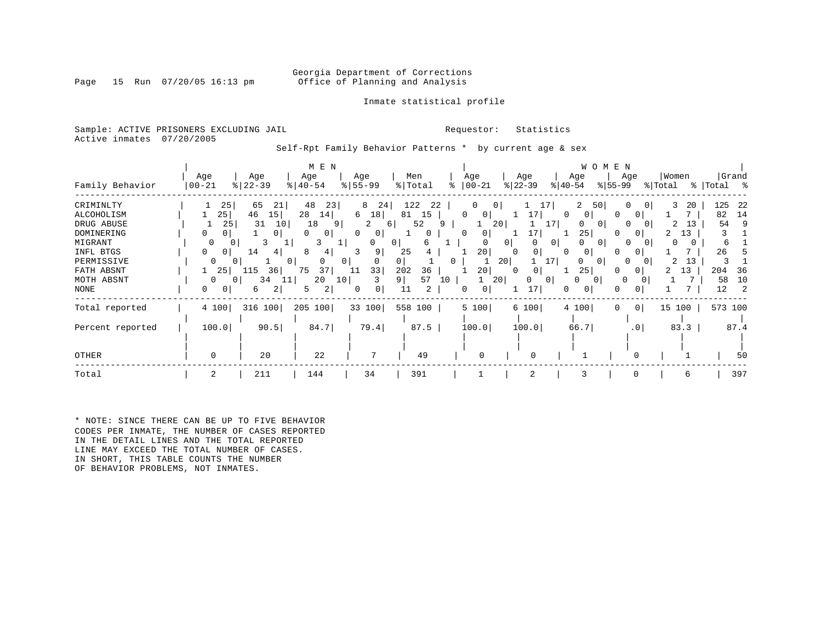#### Georgia Department of Corrections<br>Page 15 Run 07/20/05 16:13 pm office of Planning and Analysis Office of Planning and Analysis

#### Inmate statistical profile

Sample: ACTIVE PRISONERS EXCLUDING JAIL **Requestor:** Statistics Active inmates 07/20/2005

Self-Rpt Family Behavior Patterns \* by current age & sex

|                                                                                                                               |                                                                      |                                                                                                              | M E N                                                                                                                                       |                                                                                                                        |                                                                                                   |                                                                                                        |                                                                                                               | W O M E N                                                                                                                                       |                                                                                                           |                                                                        |
|-------------------------------------------------------------------------------------------------------------------------------|----------------------------------------------------------------------|--------------------------------------------------------------------------------------------------------------|---------------------------------------------------------------------------------------------------------------------------------------------|------------------------------------------------------------------------------------------------------------------------|---------------------------------------------------------------------------------------------------|--------------------------------------------------------------------------------------------------------|---------------------------------------------------------------------------------------------------------------|-------------------------------------------------------------------------------------------------------------------------------------------------|-----------------------------------------------------------------------------------------------------------|------------------------------------------------------------------------|
| Family Behavior                                                                                                               | Age<br>  00-21                                                       | Age<br>$8   22 - 39$                                                                                         | Age<br>$ 40-54 $                                                                                                                            | Age<br>$8 55-99$                                                                                                       | Men<br>% Total                                                                                    | Age<br>$ 00-21 $                                                                                       | Age<br>$ 22 - 39 $                                                                                            | Age<br>Age<br>$ 40-54 $<br>$8155 - 99$                                                                                                          | Women<br>% Total                                                                                          | Grand<br>%   Total %                                                   |
| CRIMINLTY<br>ALCOHOLISM<br>DRUG ABUSE<br>DOMINERING<br>MIGRANT<br>INFL BTGS<br>PERMISSIVE<br>FATH ABSNT<br>MOTH ABSNT<br>NONE | 25<br>25 <br>25<br>0<br>$\Omega$<br>0<br>0<br>0<br>25<br>0<br>0<br>0 | 65<br>21<br>46<br>15<br>31<br>10<br>0<br>3<br>┸<br>14<br>41<br>$^{\circ}$<br>L15<br>36<br>34<br>11<br>2<br>6 | 48<br>23<br>28<br>14 <br>18<br>9<br>$\Omega$<br>0<br>3<br>┸<br>8<br>4<br>0<br>0 <sup>1</sup><br>75<br>37<br>20<br>10 <sup>1</sup><br>2<br>5 | 8<br>24<br>6<br>18<br>2<br>6<br>$\circ$<br>$\Omega$<br>0<br>$\overline{0}$<br>9<br>$\Omega$<br>33<br>11<br>3<br>0<br>0 | 122<br>22<br>81<br>15<br>52<br>$\Omega$<br>6<br>25<br>0<br>202<br>36<br>57<br>9 <br>10<br>11<br>2 | 0<br>0<br>$\Omega$<br>0<br>20<br>0<br><sup>0</sup><br>20<br>20 <sub>1</sub><br>0<br>20<br>20<br>0<br>0 | 17<br>17 <br>17<br>0 <sup>1</sup><br>0 <sup>1</sup><br>$\Omega$<br>0<br>17  <br>0<br>$\Omega$<br>0<br>0<br>17 | 2<br>50<br>$\Omega$<br>0<br>$\Omega$<br>$\Omega$<br>$\Omega$<br>25<br>$\Omega$<br>$\Omega$<br>0<br>U<br>0<br>$\Omega$<br>25<br>0<br>0<br>0<br>0 | 3<br>20<br>$\overline{0}$<br>$\Omega$<br>13<br>2<br>$\Omega$<br>13<br>$\Omega$<br>0<br>2<br>13<br>13<br>0 | 125<br>22<br>82<br>14<br>54<br>б<br>26<br>204<br>-36<br>58<br>10<br>12 |
| Total reported<br>Percent reported                                                                                            | 4 100<br>100.0                                                       | 316 100<br>90.5                                                                                              | 205 100<br>84.7                                                                                                                             | 33 100<br>79.4                                                                                                         | 558 100  <br>87.5                                                                                 | 5 100<br>100.0                                                                                         | 6 100<br>100.0                                                                                                | 4 100<br>$\Omega$<br>66.7                                                                                                                       | 0 <br>15 100<br>.0 <sub>1</sub><br>83.3                                                                   | 573 100<br>87.4                                                        |
| OTHER                                                                                                                         | $\Omega$                                                             | 20                                                                                                           | 22                                                                                                                                          |                                                                                                                        | 49                                                                                                |                                                                                                        | $\cap$                                                                                                        |                                                                                                                                                 |                                                                                                           | 50                                                                     |
| Total                                                                                                                         | 2                                                                    | 211                                                                                                          | 144                                                                                                                                         | 34                                                                                                                     | 391                                                                                               |                                                                                                        | 2                                                                                                             | 3                                                                                                                                               | 0<br>6                                                                                                    | 397                                                                    |

\* NOTE: SINCE THERE CAN BE UP TO FIVE BEHAVIOR CODES PER INMATE, THE NUMBER OF CASES REPORTED IN THE DETAIL LINES AND THE TOTAL REPORTED LINE MAY EXCEED THE TOTAL NUMBER OF CASES. IN SHORT, THIS TABLE COUNTS THE NUMBER OF BEHAVIOR PROBLEMS, NOT INMATES.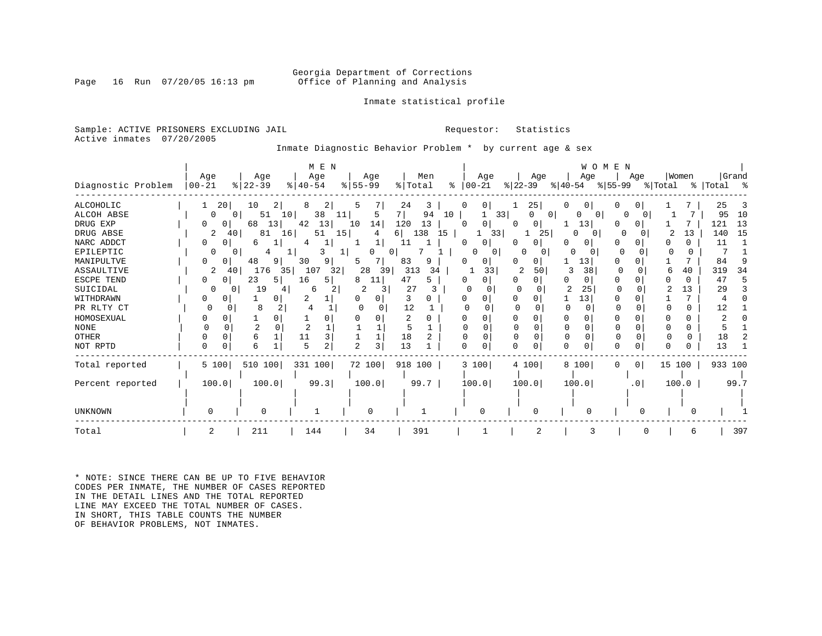#### Georgia Department of Corrections<br>Page 16 Run 07/20/05 16:13 pm office of Planning and Analysis Office of Planning and Analysis

#### Inmate statistical profile

Sample: ACTIVE PRISONERS EXCLUDING JAIL **Requestor:** Statistics Active inmates 07/20/2005

Inmate Diagnostic Behavior Problem \* by current age & sex

|                    |            |                |           |               | M E N |                     |     |             |    |               |                |           |       |                |          | WOMEN        |                 |         |              |             |       |
|--------------------|------------|----------------|-----------|---------------|-------|---------------------|-----|-------------|----|---------------|----------------|-----------|-------|----------------|----------|--------------|-----------------|---------|--------------|-------------|-------|
|                    | Age        |                | Age       | Age           |       | Age                 |     | Men         |    |               | Age            |           | Age   |                | Age      |              | Age             |         | Women        |             | Grand |
| Diagnostic Problem | $ 00 - 21$ | $ 22-39 $      |           | $8   40 - 54$ |       | $ 55 - 99 $         |     | % Total     |    | $8   00 - 21$ |                | $ 22-39 $ |       | $ 40-54 $      |          | % 55−99      |                 | % Total |              | %   Total % |       |
| <b>ALCOHOLIC</b>   | 20<br>1    | 10             | 2         | 8             | 2     | 5                   | 24  | 3           |    |               | 0 <sup>1</sup> |           | 25    |                |          |              |                 |         |              | 25          |       |
| ALCOH ABSE         | $\Omega$   | $\overline{0}$ | 10<br>51  | 38            | 11    | 5                   | 7   | 94          | 10 |               | 33             |           | 0     | $\overline{0}$ | $\Omega$ | $\Omega$     | <sup>0</sup>    |         |              | 95          | 10    |
| DRUG EXP           |            | 68             | 13        | 42            | 13    | 14<br>10            | 120 | 13          |    |               | 0 I            |           | 0     |                | 13       |              |                 |         |              | 121         | 13    |
| DRUG ABSE          | 2          | 40             | 81<br>16  | 51            | 15    | 4                   | 6   | 138         | 15 |               | 33             |           | 25    |                | 0<br>0   |              |                 | 2       | 13           | 140         | 15    |
| NARC ADDCT         | 0          | 6<br>0         |           |               |       | 1                   | 11  |             |    |               | 01             |           | 0     |                |          |              | U               |         | <sup>n</sup> | 11          |       |
| EPILEPTIC          |            | 0              | 4         |               |       |                     | 0   |             |    |               | 0              |           |       |                |          | <sup>0</sup> |                 |         | 0            |             |       |
| MANIPULTVE         | 0          | 48             | 9         | 30            | 9     | 5                   | 83  | 9           |    |               |                |           | 0     |                | 13       |              |                 |         |              | 84          |       |
| ASSAULTIVE         | 2          | 40             | 176<br>35 | 107           | 32    | 28                  | 39  | 313         | 34 |               | 33             | 2         | 50    |                | 38       |              |                 |         | 40           | 319         | 34    |
| ESCPE TEND         | 0          | 23<br>0        | 5.        | 16            | 5     | 8<br>11             | 47  | 5.          |    |               | 0              |           | O.    |                |          |              |                 |         |              | 47          |       |
| SUICIDAL           |            |                | 19        | 6             | 2     |                     |     | 27          |    |               |                |           |       |                | 25       |              |                 |         | 13           | 29          |       |
| WITHDRAWN          | 0          |                |           |               |       |                     |     | 3           |    |               |                |           |       |                | 13       |              |                 |         |              |             |       |
| PR RLTY CT         | 0          | 8<br>O         |           |               |       |                     |     | 12          |    |               |                |           |       | U              |          |              |                 |         | 0            | 12          |       |
| HOMOSEXUAL         |            |                |           |               |       |                     |     |             |    |               |                |           |       |                |          |              |                 |         |              |             |       |
| <b>NONE</b>        |            |                |           |               |       |                     |     | 5           |    |               |                |           |       |                |          |              |                 |         | 0            |             |       |
| <b>OTHER</b>       |            | 6              |           | 11            | 3     |                     | 18  |             |    |               |                |           |       | $\Omega$       |          |              |                 |         | 0            | 18          |       |
| NOT RPTD           | 0          | 6              |           |               | 2     | $\mathfrak{D}$<br>3 | 13  |             |    |               | $\Omega$       |           | O     | $\Omega$       |          |              |                 |         |              | 13          |       |
| Total reported     | 5 100      |                | 510 100   | 331 100       |       | 72 100              |     | 918 100     |    | 3 100         |                |           | 4 100 |                | 8 100    | 0            | 0 <sup>1</sup>  | 15      | 100          | 933 100     |       |
| Percent reported   | 100.0      |                | 100.0     | 99.3          |       | 100.0               |     | $99.7 \mid$ |    | 100.0         |                |           | 100.0 |                | 100.0    |              | .0 <sub>1</sub> |         | 100.0        |             | 99.7  |
|                    |            |                |           |               |       |                     |     |             |    |               |                |           |       |                |          |              |                 |         |              |             |       |
| UNKNOWN            | U          |                |           |               |       | n                   |     |             |    |               |                |           |       |                |          |              |                 |         |              |             |       |
| Total              | 2          | 211            |           | 144           |       | 34                  |     | 391         |    |               |                |           |       |                |          |              |                 |         | 6            |             | 397   |

\* NOTE: SINCE THERE CAN BE UP TO FIVE BEHAVIOR CODES PER INMATE, THE NUMBER OF CASES REPORTED IN THE DETAIL LINES AND THE TOTAL REPORTED LINE MAY EXCEED THE TOTAL NUMBER OF CASES. IN SHORT, THIS TABLE COUNTS THE NUMBER OF BEHAVIOR PROBLEMS, NOT INMATES.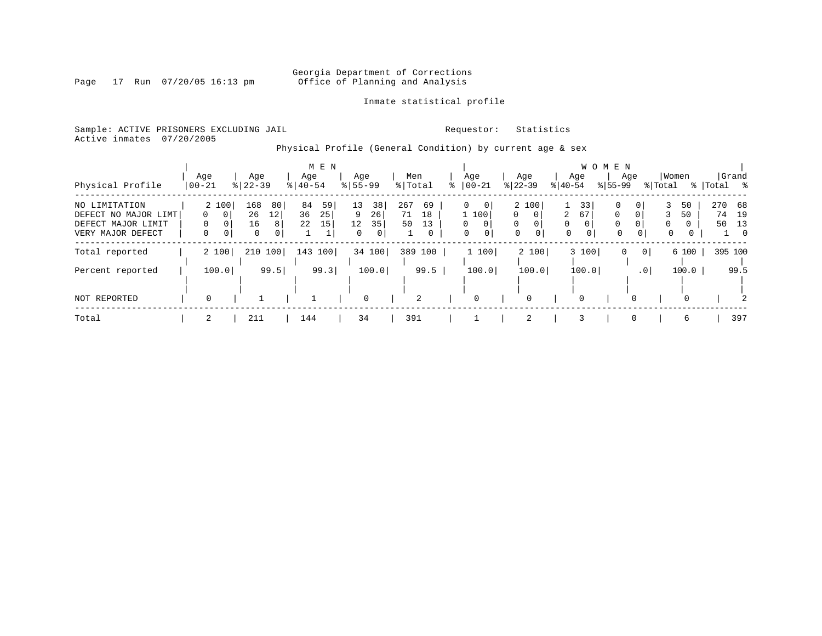### Georgia Department of Corrections<br>Page 17 Run 07/20/05 16:13 pm office of Planning and Analysis Office of Planning and Analysis

#### Inmate statistical profile

Sample: ACTIVE PRISONERS EXCLUDING JAIL **Requestor:** Statistics Active inmates 07/20/2005

Physical Profile (General Condition) by current age & sex

|                      |                     |                  | M E N      |             |           |                          |                      |                      | W O M E N                      |                      |           |
|----------------------|---------------------|------------------|------------|-------------|-----------|--------------------------|----------------------|----------------------|--------------------------------|----------------------|-----------|
|                      | Age                 | Age              | Age        | Age         | Men       | Age                      | Age                  | Age                  | Age                            | Women                | Grand     |
| Physical Profile     | $00 - 21$           | $8   22 - 39$    | $8 40-54$  | $8155 - 99$ | % Total   | $ 00-21$                 | $ 22-39 $            | $ 40-54 $            | $8155 - 99$                    | % Total              | % Total % |
| NO LIMITATION        | 2 100               | 168<br>80        | 84<br>59   | 38<br>13    | 267<br>69 | $\Omega$<br>$\mathbf{0}$ | 2 100                | 33                   | 0<br>0                         | 50                   | 270<br>68 |
| DEFECT NO MAJOR LIMT | $\circ$<br>0        | 26<br>$12 \,$    | 36<br>25   | 9<br>26     | 71<br>18  | 1 100                    | $\Omega$<br>$\Omega$ | 67<br>2              | $\Omega$<br>0                  | 3<br>50              | 19<br>74  |
| DEFECT MAJOR LIMIT   |                     | 16<br>8          | 22<br>15   | 35<br>12    | 50<br>13  | $\mathbf{0}$<br>$\Omega$ | $\Omega$<br>0        | $\Omega$<br>$\Omega$ | $\Omega$<br>$\Omega$           | $\Omega$<br>$\Omega$ | 50<br>13  |
| VERY MAJOR DEFECT    | $\overline{0}$<br>0 | $\mathbf 0$<br>0 |            | 0           | 0         | 0<br>$\mathbf{0}$        | 0<br>$\mathbf{0}$    | 0<br>0               | $\mathbf 0$<br>0 <sup>1</sup>  | 0<br>0               | $\Omega$  |
| Total reported       | 2 100               | 210 100          | 143<br>100 | 34 100      | 389 100   | 1 100                    | 2 100                | 3 100                | 0 <sup>1</sup><br>$\mathbf{0}$ | 6 100                | 395 100   |
|                      |                     |                  |            |             |           |                          |                      |                      |                                |                      |           |
| Percent reported     | 100.0               | 99.5             | 99.3       | 100.0       | 99.5      | 100.0                    | 100.0                | 100.0                | $\cdot$ 0                      | 100.0                | 99.5      |
|                      |                     |                  |            |             |           |                          |                      |                      |                                |                      |           |
| NOT REPORTED         | $\Omega$            |                  |            | 0           | 2         | 0                        | 0                    | $\Omega$             |                                | 0                    |           |
| Total                | 2                   | 211              | 144        | 34          | 391       |                          | $\overline{2}$       | 3                    |                                | 6                    | 397       |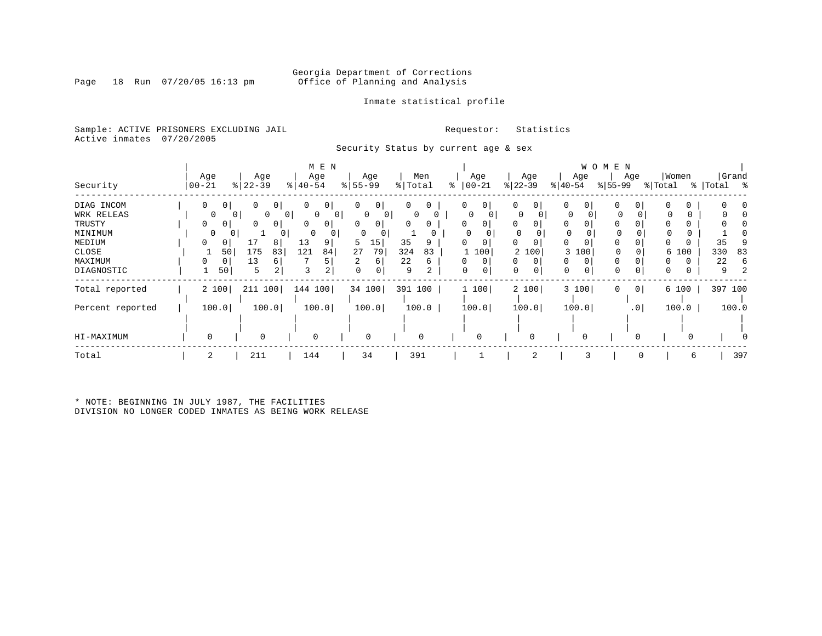Page 18 Run 07/20/05 16:13 pm

#### Inmate statistical profile

Sample: ACTIVE PRISONERS EXCLUDING JAIL **Requestor:** Statistics Active inmates 07/20/2005

Security Status by current age & sex

|                  |                                |                          | M E N                    |                     |           |               |               |                     | W O M E N           |              |            |
|------------------|--------------------------------|--------------------------|--------------------------|---------------------|-----------|---------------|---------------|---------------------|---------------------|--------------|------------|
|                  | Age                            | Age                      | Age                      | Age                 | Men       | Age           | Age           | Age                 | Age                 | Women        | Grand      |
| Security         | $ 00 - 21$                     | $ 22-39 $                | $ 40-54 $                | $8 55-99$           | % Total   | $ 00-21$<br>⊱ | $ 22-39 $     | $ 40-54 $           | $ 55-99 $           | % Total<br>ະ | Total<br>ႜ |
| DIAG INCOM       | $\mathbf{0}$<br>0 <sup>1</sup> | 0 <sub>1</sub><br>0      | 0 <sup>1</sup><br>0      | 0<br>0              | 0<br>0    | $\circ$<br>0  | 0<br>0        | 0<br>0 <sup>1</sup> | 0<br>0              |              |            |
| WRK RELEAS       | 0                              | 0<br>$\overline{0}$<br>0 | $\circ$<br>$\circ$       | 0<br>0 <sup>1</sup> | $\Omega$  | 0             | 0             | 0                   | 0                   | 0            |            |
| TRUSTY           | $\Omega$<br>0                  | 0 I<br>0                 | $\Omega$<br>$\mathbf{0}$ | 0<br>0              | $\Omega$  |               | 0<br>$\Omega$ | $\Omega$            |                     |              |            |
| MINIMUM          | 0                              | 0<br>0                   | 0                        | 0                   |           |               | 0             | 0                   | 0                   |              |            |
| MEDIUM           | 0<br>0                         | 8                        | 13<br>9                  | 5<br>15             | 35<br>9   | 0             | $\Omega$<br>0 | 0<br>$\Omega$       | $\Omega$            |              | 35         |
| CLOSE            | 50                             | 175<br>83                | 121<br>84                | 27<br>79            | 324<br>83 | 100           | 2 100         | 100<br>3            | 0                   | 6 100        | 330<br>83  |
| MAXIMUM          | 0<br>0                         | 13<br>6                  |                          | 6                   | 22<br>6   | 0             | $\Omega$<br>0 | 0<br>$\Omega$       |                     |              | 22<br>6    |
| DIAGNOSTIC       | 50                             | 5<br>2                   | 2<br>3                   | $\mathbf 0$<br>0    | 9<br>2    | 0<br>0        | 0             | 0<br>0              | $\mathbf 0$<br>0    | 0<br>0       | 9          |
| Total reported   | 2 100                          | 211 100                  | 144 100                  | 34 100              | 391 100   | 1 100         | 2 100         | 3 100               | 0 <sup>1</sup><br>0 | 6 100        | 397 100    |
| Percent reported | 100.0                          | 100.0                    | 100.0                    | 100.0               | 100.0     | 100.0         | 100.0         | 100.0               | .0 <sub>1</sub>     | 100.0        | 100.0      |
|                  |                                |                          |                          |                     |           |               |               |                     |                     |              |            |
| HI-MAXIMUM       |                                | 0                        | 0                        | $\mathbf 0$         | 0         | 0             |               |                     |                     |              |            |
| Total            | 2                              | 211                      | 144                      | 34                  | 391       |               | 2             |                     | $\Omega$            | 6            | 397        |
|                  |                                |                          |                          |                     |           |               |               |                     |                     |              |            |

\* NOTE: BEGINNING IN JULY 1987, THE FACILITIES DIVISION NO LONGER CODED INMATES AS BEING WORK RELEASE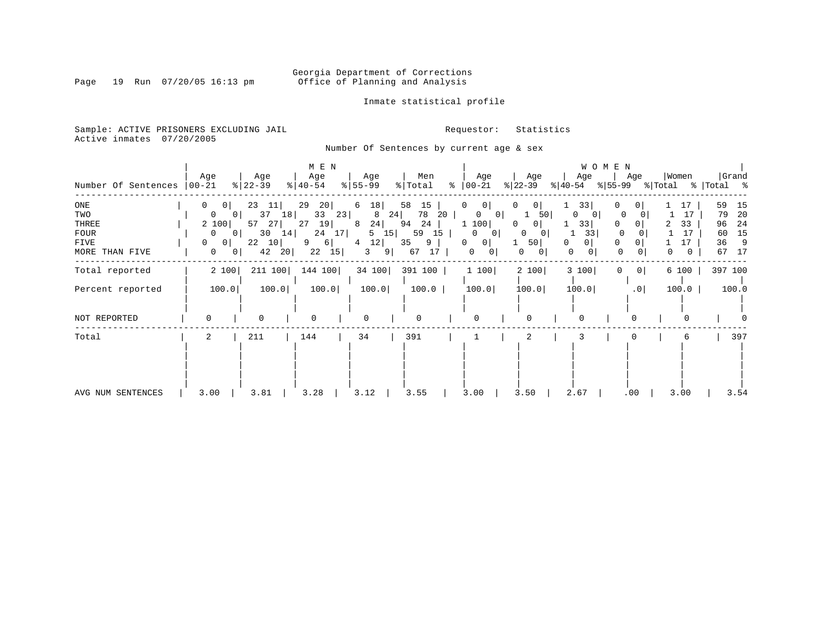Page 19 Run 07/20/05 16:13 pm

#### Inmate statistical profile

Sample: ACTIVE PRISONERS EXCLUDING JAIL **Requestor:** Statistics Active inmates 07/20/2005

Number Of Sentences by current age & sex

| Number Of Sentences                                          | Age<br>$ 00 - 21 $                                                                                                                             | Age<br>$ 22-39 $                                                     | M E N<br>Age<br>$8   40 - 54$                                         | Age<br>$8 55-99$                                                | Men<br>% Total                                                      | Age<br>$\approx$ 00-21                                                                                    | Age<br>$ 22-39 $                                                                       | W O M E N<br>Age<br>$ 40-54 $                           | Age<br>% 55-99 % Total                                                                         | Women                                      | Grand                                                                  |
|--------------------------------------------------------------|------------------------------------------------------------------------------------------------------------------------------------------------|----------------------------------------------------------------------|-----------------------------------------------------------------------|-----------------------------------------------------------------|---------------------------------------------------------------------|-----------------------------------------------------------------------------------------------------------|----------------------------------------------------------------------------------------|---------------------------------------------------------|------------------------------------------------------------------------------------------------|--------------------------------------------|------------------------------------------------------------------------|
| ONE<br>TWO<br>THREE<br><b>FOUR</b><br>FIVE<br>MORE THAN FIVE | 0<br>0 <sup>1</sup><br>$\overline{0}$<br>0 I<br>2 100<br>0 <sup>1</sup><br>$\overline{0}$<br>0<br>$\Omega$<br>$\overline{0}$<br>0 <sup>1</sup> | 23<br>11<br>37<br>18<br>57<br>27<br>30<br>14<br>22<br>10<br>42<br>20 | 29<br>20<br>33<br>23<br>27<br>19 <br>24<br>17 <br>9<br>6 <br>15<br>22 | 6<br>18<br>24<br>8<br>24<br>8<br>15<br>5<br>12 <br>4<br>9 <br>3 | 58<br>15<br>78<br>20<br>94<br>24<br>59<br>15<br>35<br>9<br>67<br>17 | 0<br>$\mathbf{0}$<br>0<br>$\overline{0}$<br>1 100<br>0<br>$\overline{0}$<br>0<br> 0 <br>0<br>$\mathbf{0}$ | 0<br>0<br>50<br>0<br>0 <sub>1</sub><br>0<br>0<br>50 <br>$\mathbf{0}$<br>0 <sup>1</sup> | 33<br>0<br>$\mathbf{0}$<br>33<br>33<br>0<br>0<br>0<br>0 | $\circ$<br>0<br>$\circ$<br>0<br>0<br>$\overline{0}$<br>0<br>0 <sup>1</sup><br>$\mathbf 0$<br>0 | 17<br>17<br>33<br>17<br>17<br>$\mathbf{0}$ | 59<br>15<br>20<br>79<br>-24<br>96<br>15<br>60<br>36<br>- 9<br>67<br>17 |
| Total reported                                               | 2 100                                                                                                                                          | 211 100                                                              | 144 100                                                               | 34 100                                                          | 391 100                                                             | 1 100                                                                                                     | 2 100                                                                                  | 3 100                                                   | 0 <sup>1</sup><br>$\Omega$                                                                     | 6 100                                      | 397 100                                                                |
| Percent reported                                             | 100.0                                                                                                                                          | 100.0                                                                | 100.0                                                                 | 100.0                                                           | 100.0                                                               | 100.0                                                                                                     | 100.0                                                                                  | 100.0                                                   | .0                                                                                             | 100.0                                      | 100.0                                                                  |
| NOT REPORTED                                                 | $\Omega$                                                                                                                                       | $\Omega$                                                             | $\Omega$                                                              | 0                                                               | U                                                                   | $\mathbf 0$                                                                                               | $\Omega$                                                                               | 0                                                       |                                                                                                |                                            |                                                                        |
| Total                                                        | 2                                                                                                                                              | 211                                                                  | 144                                                                   | 34                                                              | 391                                                                 |                                                                                                           | $\overline{c}$                                                                         |                                                         |                                                                                                | 6                                          | 397                                                                    |
| AVG NUM SENTENCES                                            | 3.00                                                                                                                                           | 3.81                                                                 | 3.28                                                                  | 3.12                                                            | 3.55                                                                | 3.00                                                                                                      | 3.50                                                                                   | 2.67                                                    | .00                                                                                            | 3.00                                       | 3.54                                                                   |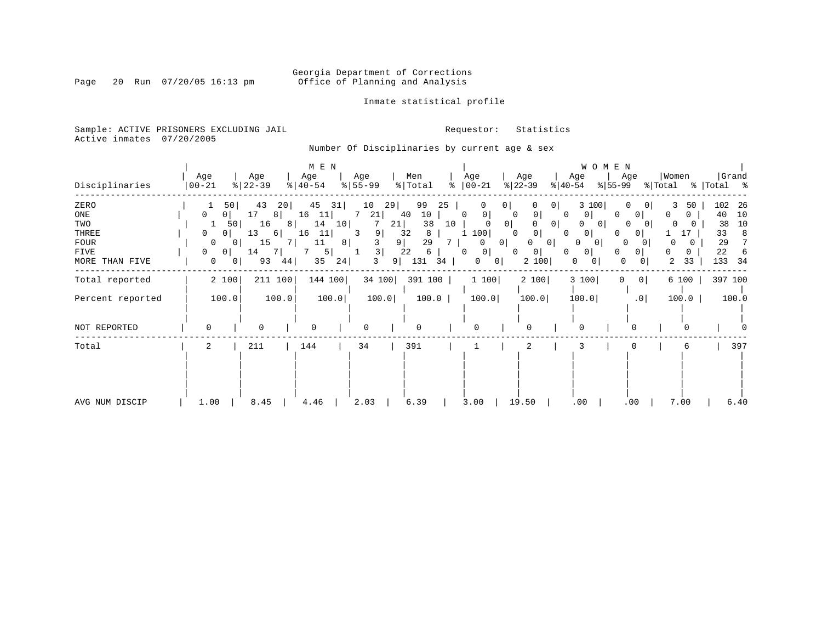### Georgia Department of Corrections<br>Page 20 Run 07/20/05 16:13 pm office of Planning and Analysis Office of Planning and Analysis

#### Inmate statistical profile

Sample: ACTIVE PRISONERS EXCLUDING JAIL **Requestor:** Statistics Active inmates 07/20/2005

Number Of Disciplinaries by current age & sex

|                  |                     |           | M E N                 |           |                          |                                  |                                        | W O M E N                           |          |             |
|------------------|---------------------|-----------|-----------------------|-----------|--------------------------|----------------------------------|----------------------------------------|-------------------------------------|----------|-------------|
|                  | Age                 | Age       | Age                   | Age       | Men                      | Age                              | Age                                    | Age<br>Age                          | Women    | Grand       |
| Disciplinaries   | $00 - 21$           | $ 22-39 $ | $\frac{1}{6}$   40-54 | $8 55-99$ | $\frac{1}{2}$ Total<br>ႜ | $ 00-21$                         | $ 22-39 $<br>$ 40-54 $                 | $ 55-99 $                           | % Total  | %   Total % |
| ZERO             | 50                  | 43<br>20  | 45<br>31              | 10<br>29  | 99<br>25                 | 0                                | 0<br>0 <sup>1</sup>                    | 3 100                               | 3<br>50  | 102<br>26   |
| ONE              | 0 <sup>1</sup><br>0 | 17<br>8   | 16<br>11              | 21<br>7   | 10<br>40                 | $\mathbf{0}$<br>$\mathbf 0$<br>0 | 0<br>$\Omega$                          | 0<br>0                              | 0<br>0   | 10<br>40    |
| TWO              | 50                  | 16<br>8   | 14<br>10 <sup>°</sup> | 21        | 38<br>10                 | 0 <sup>1</sup>                   | 0                                      | $\mathbf{0}$<br>O                   | $\Omega$ | 10<br>38    |
| THREE            | 0 <sup>1</sup><br>0 | 13<br>6   | 11<br>16              | 9<br>3    | 32<br>8                  | 100                              | 0 <sub>1</sub><br>$\Omega$<br>$\Omega$ | $\overline{0}$<br>0 <sup>1</sup>    | 17       | 33<br>8     |
| <b>FOUR</b>      | 0<br>$\mathbf{0}$   | 15        | 8 <br>11              | 9         | 29                       | 0 <sup>1</sup><br>0              | 0 I<br>0                               | 0<br>$\circ$                        | 0        | 29<br>7     |
| FIVE             | 0 <sup>1</sup><br>0 | 7<br>14   | 5                     | 3         | 22<br>6                  | 0 <sup>1</sup><br>0              | $\Omega$<br>0 <sup>1</sup><br>0        | 0<br>0<br><sup>o</sup>              | 0<br>0   | 22<br>6     |
| MORE THAN FIVE   | 0                   | 93<br>44  | 35<br>24              | 3<br>9    | 131<br>34                | 0<br> 0                          | 2 100                                  | 0<br>0<br>0<br>0 <sub>1</sub>       | 2<br>33  | 133<br>-34  |
| Total reported   | 2 100               | 211 100   | 144 100               | 34 100    | 391 100                  | 1 100                            | 2 100                                  | 3 100<br>$\overline{0}$<br>$\Omega$ | 6 100    | 397 100     |
| Percent reported | 100.0               | 100.0     | 100.0                 | 100.0     | 100.0                    | 100.0                            | 100.0                                  | 100.0<br>.0 <sub>1</sub>            | 100.0    | 100.0       |
| NOT REPORTED     | $\Omega$            | 0         | $\Omega$              |           | 0                        | $\Omega$                         | $\Omega$                               |                                     |          |             |
| Total            | 2                   | 211       | 144                   | 34        | 391                      |                                  | 2                                      |                                     | 6        | 397         |
|                  |                     |           |                       |           |                          |                                  |                                        |                                     |          |             |
| AVG NUM DISCIP   | 1.00                | 8.45      | 4.46                  | 2.03      | 6.39                     | 3.00                             | 19.50                                  | .00<br>.00.                         | 7.00     | 6.40        |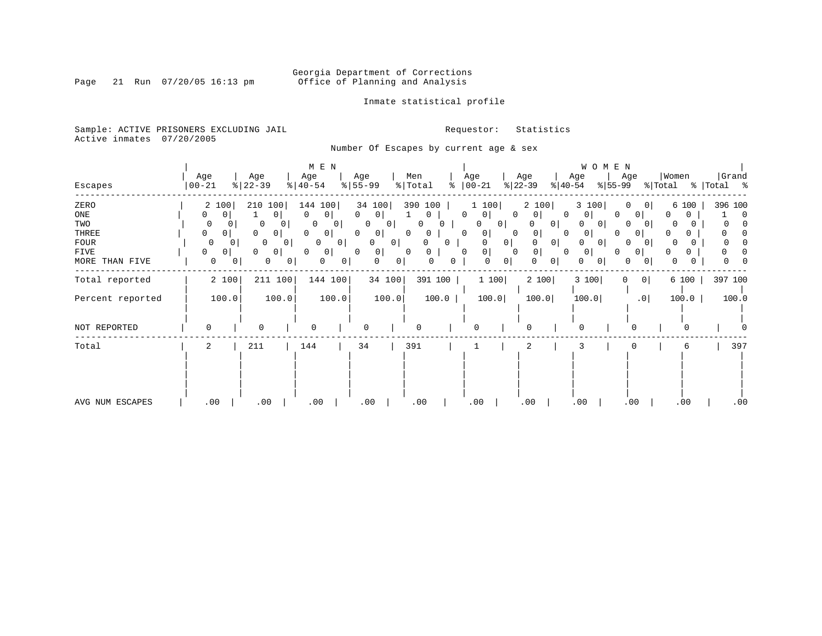Page 21 Run 07/20/05 16:13 pm

#### Inmate statistical profile

Sample: ACTIVE PRISONERS EXCLUDING JAIL **Requestor:** Statistics Active inmates 07/20/2005

Number Of Escapes by current age & sex

|                  |                  |                  |                 | M E N            |                |                  |              |                |         |                          |                |                  |                | W O M E N      |                  |                 |                  |              |             |         |
|------------------|------------------|------------------|-----------------|------------------|----------------|------------------|--------------|----------------|---------|--------------------------|----------------|------------------|----------------|----------------|------------------|-----------------|------------------|--------------|-------------|---------|
| Escapes          | Age<br>$00 - 21$ | Age<br>$ 22-39 $ |                 | Age<br>$ 40-54 $ |                | Age<br>$8 55-99$ |              | Men<br>% Total | နွ      | Age<br>$ 00-21 $         |                | Age<br>$ 22-39 $ | $ 40-54 $      | Age            | Age<br>$ 55-99 $ |                 | Women<br>% Total |              | %   Total % | Grand   |
| ZERO             | 2 100            |                  | 210 100         | 144 100          |                | 34 100           |              | 390 100        |         | 1 100                    |                | 2 100            |                | 3 100          | 0                | - O I           |                  | 6 100        |             | 396 100 |
| ONE              | 0<br>0           |                  | $\Omega$        | 0                | 0 I            | $\Omega$         | $\circ$      | 0              |         | $\Omega$<br>$\mathbf{0}$ | 0              | U                | $\Omega$       | 0              | $\Omega$         | 0 <sup>1</sup>  | 0                | $\mathbf{0}$ |             | 0       |
| TWO              | 0                | 0                | $\mathbf 0$     | 0                | 0 I            | 0                | 0            | O              |         | 0                        | 0 <sup>1</sup> |                  | 0 <sup>1</sup> | 0 <sup>1</sup> | 0                | $\Omega$        | 0                |              |             |         |
| THREE            | 0<br>0           | $\Omega$         | 0               | 0                | 0 <sup>1</sup> | 0                | $\circ$      | 0<br>0         |         | 0<br>0                   | 0              |                  | 0              | 0              |                  | 0               |                  |              |             |         |
| FOUR             | $\mathbf 0$      | $\mathbf{0}$     | 0 <sub>1</sub>  | $\circ$          | 0              | $\Omega$         | $\mathbf{0}$ |                | 0.      | $\Omega$                 | $\overline{0}$ |                  | 0              | 0 <sup>1</sup> | O                | $\Omega$        | n                |              |             |         |
| FIVE             | 0<br>0           | $\Omega$         | 0               | 0 <br>0          |                | $\Omega$         | 0            | 0<br>$\Omega$  |         | 0<br>$\Omega$            | 0              | 0                | 0              | 0              |                  | $\overline{0}$  |                  | 0            |             |         |
| MORE THAN FIVE   | 0                | 0                | 0<br>$^{\circ}$ | 0                | 0              | 0                | $\mathbf{0}$ | 0              | 0       | 0                        | $\circ$        |                  | $\Omega$       | 0              | 0                | 0               | 0                |              |             |         |
| Total reported   | 2 100            |                  | 211 100         |                  | 144 100        |                  | 34 100       |                | 391 100 |                          | 1 100          | 2 100            |                | 3 100          | 0                | 0               |                  | 6 100        |             | 397 100 |
| Percent reported | 100.0            |                  | 100.0           |                  | 100.0          |                  | 100.0        |                | 100.0   |                          | 100.0          | 100.0            |                | 100.0          |                  | .0 <sub>1</sub> |                  | 100.0        |             | 100.0   |
| NOT REPORTED     | 0                |                  | 0               | $\Omega$         |                | O                |              |                |         | $\Omega$                 |                | $\Omega$         |                |                |                  | $\Omega$        |                  | O            |             |         |
| Total            | 2                | 211              |                 | 144              |                | 34               |              | 391            |         |                          |                | 2                |                |                |                  |                 |                  | 6            |             | 397     |
|                  |                  |                  |                 |                  |                |                  |              |                |         |                          |                |                  |                |                |                  |                 |                  |              |             |         |
| AVG NUM ESCAPES  | .00              |                  | .00             | .00              |                | .00              |              | .00            |         | .00                      |                | .00              |                | .00            |                  | .00             |                  | .00          |             | .00     |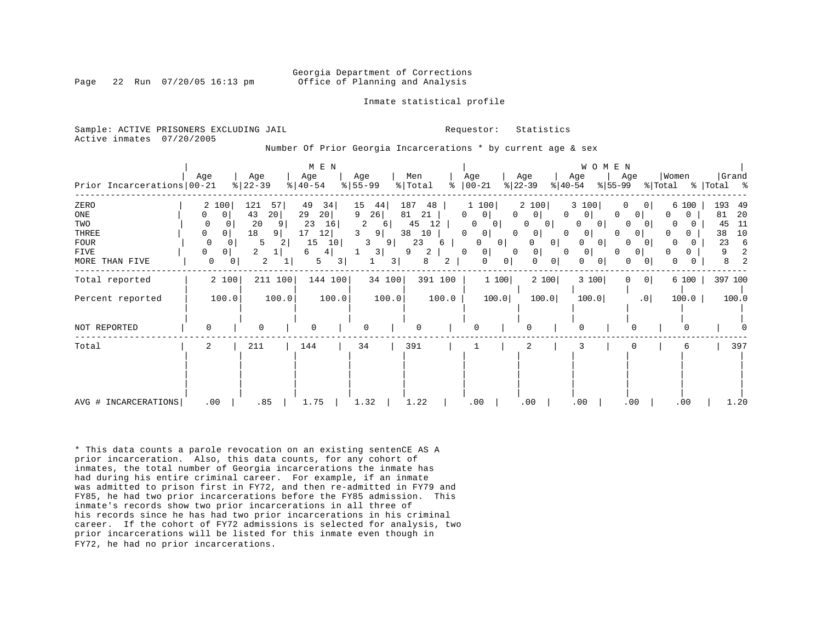#### Georgia Department of Corrections Page 22 Run 07/20/05 16:13 pm Office of Planning and Analysis

Inmate statistical profile

Sample: ACTIVE PRISONERS EXCLUDING JAIL **Requestor:** Statistics Active inmates 07/20/2005

Number Of Prior Georgia Incarcerations \* by current age & sex

| Prior Incarcerations   00-21                                         | Age                                                                                           | Age<br>$8   22 - 39$                                        | M E N<br>Age<br>$\frac{1}{6}$   40-54                                         | Age<br>$8 55-99$                                                                    | Men<br>% Total<br>ႜ                                                          | Age<br>$ 00-21$                                                                                                          | Age<br>$ 22-39 $<br>$ 40-54 $                                                                                                                                     | WOMEN<br>Age<br>Age<br>$ 55-99 $                                                                                                                                                       | Women<br>Grand<br>% Total<br>% Total %                                          |                                     |
|----------------------------------------------------------------------|-----------------------------------------------------------------------------------------------|-------------------------------------------------------------|-------------------------------------------------------------------------------|-------------------------------------------------------------------------------------|------------------------------------------------------------------------------|--------------------------------------------------------------------------------------------------------------------------|-------------------------------------------------------------------------------------------------------------------------------------------------------------------|----------------------------------------------------------------------------------------------------------------------------------------------------------------------------------------|---------------------------------------------------------------------------------|-------------------------------------|
| ZERO<br>ONE<br>TWO<br>THREE<br><b>FOUR</b><br>FIVE<br>MORE THAN FIVE | 2 100<br>$\mathbf 0$<br>0<br>0<br>$\overline{0}$<br>0<br>$\Omega$<br>0 <sup>1</sup><br>0<br>0 | 121<br>57<br>43<br>20 <br>20<br>18<br>9<br>5<br>2<br>2<br>2 | 49<br>34<br>29<br>20 <br>23<br>16<br>12<br>17<br>15<br>10<br>6<br>4<br>5<br>3 | 15<br>44 <br>9<br>26<br>2<br>6<br>3<br>9<br>9<br>3.<br>3<br>$\overline{\mathbf{3}}$ | 187<br>48<br>81<br>21<br>45<br>12<br>38<br>10<br>23<br>6<br>9<br>2<br>8<br>2 | 1 100<br>0 <sup>1</sup><br>0<br>$\Omega$<br>0<br>0<br>0 <sup>1</sup><br>0<br>$\Omega$<br> 0 <br>0<br>0 <sup>1</sup><br>0 | 2 100<br>$\Omega$<br>0 <sup>1</sup><br>$\Omega$<br>0 <sup>1</sup><br>0 <sup>1</sup><br>0<br>0<br>O<br>0<br>0 <sup>1</sup><br>0<br>0<br>$\Omega$<br>$\overline{0}$ | 3 100<br>$\Omega$<br>$\overline{0}$<br>$\mathbf{0}$<br>0<br>0 <sup>1</sup><br>O<br>$\Omega$<br>0<br>0<br>$\overline{0}$<br>O<br>$\circ$<br> 0 <br>0 <sup>1</sup><br>$\Omega$<br>0<br>0 | 193<br>6 100<br>81<br>0<br>0<br>45<br>38<br>0<br>23<br>9<br>O.<br>8<br>$\Omega$ | 49<br>20<br>11<br>10<br>6<br>2<br>2 |
| Total reported                                                       | 2 100                                                                                         | 211 100                                                     | 144 100                                                                       | 34 100                                                                              | 391 100                                                                      | 1100                                                                                                                     | 2 100                                                                                                                                                             | 3 100<br>0 <sup>1</sup><br>0                                                                                                                                                           | 397 100<br>6 100                                                                |                                     |
| Percent reported                                                     | 100.0                                                                                         | 100.0                                                       | 100.0                                                                         | 100.0                                                                               | 100.0                                                                        | 100.0                                                                                                                    | 100.0                                                                                                                                                             | 100.0<br>.0 <sub>1</sub>                                                                                                                                                               | 100.0<br>100.0                                                                  |                                     |
| NOT REPORTED                                                         | $\Omega$                                                                                      | $\mathbf 0$                                                 | $\Omega$                                                                      | $\Omega$                                                                            |                                                                              |                                                                                                                          | O                                                                                                                                                                 |                                                                                                                                                                                        |                                                                                 |                                     |
| Total                                                                | 2                                                                                             | 211                                                         | 144                                                                           | 34                                                                                  | 391                                                                          |                                                                                                                          | 2                                                                                                                                                                 |                                                                                                                                                                                        | 6                                                                               | 397                                 |
| AVG # INCARCERATIONS                                                 | .00                                                                                           | .85                                                         | 1.75                                                                          | 1.32                                                                                | 1.22                                                                         | .00                                                                                                                      | .00                                                                                                                                                               | .00<br>.00                                                                                                                                                                             | .00<br>1.20                                                                     |                                     |

\* This data counts a parole revocation on an existing sentenCE AS A prior incarceration. Also, this data counts, for any cohort of inmates, the total number of Georgia incarcerations the inmate has had during his entire criminal career. For example, if an inmate was admitted to prison first in FY72, and then re-admitted in FY79 and FY85, he had two prior incarcerations before the FY85 admission. This inmate's records show two prior incarcerations in all three of his records since he has had two prior incarcerations in his criminal career. If the cohort of FY72 admissions is selected for analysis, two prior incarcerations will be listed for this inmate even though in FY72, he had no prior incarcerations.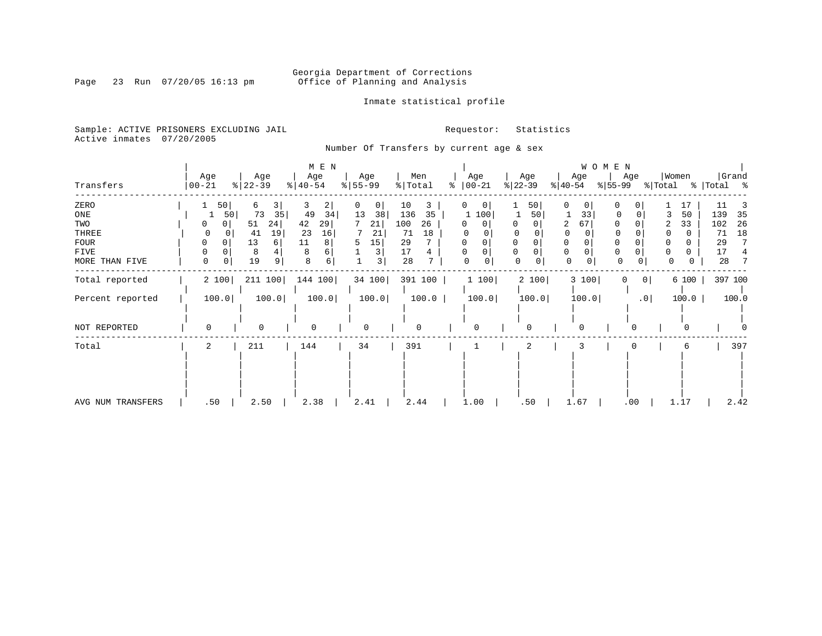Inmate statistical profile

Sample: ACTIVE PRISONERS EXCLUDING JAIL **Requestor:** Statistics Active inmates 07/20/2005

Page 23 Run 07/20/05 16:13 pm

Number Of Transfers by current age & sex

| Transfers         | Age<br>  00-21 | Age<br>$ 22-39 $  | M E N<br>Age<br>$8   40 - 54$ | Age<br>$\frac{8}{55}$ 55 - 99 | Men<br>% Total | ႜ | Age<br>$ 00-21$      | Age<br>$ 22-39 $ | Age<br>$ 40-54 $ | WOMEN<br>Age<br>$ 55-99 $ | Women<br>% Total | Grand<br>%   Total % |
|-------------------|----------------|-------------------|-------------------------------|-------------------------------|----------------|---|----------------------|------------------|------------------|---------------------------|------------------|----------------------|
| ZERO              |                | 50<br>6           | 3<br>3<br>2                   | 0                             | 10<br>3        |   | $\circ$              | 50               | 0<br>0           | 0                         | 17               | 11                   |
| $_{\rm ONE}$      |                | 73<br>50          | 49<br>34<br>35                | 13<br>38                      | 35<br>136      |   | 1 100                | 50               | 33               | 0<br>0                    | 50               | 139<br>35            |
| TWO               |                | 51                | 42<br>29<br>24                | 21                            | 100<br>26      |   | 0<br>0               |                  | 67<br>2          |                           | 33<br>2          | 26<br>102            |
| THREE             | 0              | 41                | 23<br>19<br>16                | 21                            | 18<br>71       |   |                      |                  |                  |                           |                  | 18<br>71             |
| FOUR              | $\Omega$       | 13                | 11<br>8<br>6                  | 15<br>5                       | 29             |   | $\Omega$<br>$\Omega$ |                  | $\Omega$         |                           |                  | 29                   |
| FIVE              |                | 8                 | 4<br>8                        | $\mathbf{3}$                  | 17<br>4        |   |                      |                  | 0<br>0           | $\Omega$                  | O                | 17                   |
| MORE THAN FIVE    | $\mathbf 0$    | 19<br>$\mathbf 0$ | 9<br>8<br>6                   | 3                             | 28             |   | 0<br>$\overline{0}$  | 0<br>0           | $\mathbf 0$      | 0<br>0                    | 0                | 28                   |
| Total reported    | 2 100          | 211 100           | 144 100                       | 34 100                        | 391 100        |   | 1 100                | 2 100            | 3 100            | 0                         | 0 <br>6 100      | 397 100              |
| Percent reported  | 100.0          | 100.0             | 100.0                         | 100.0                         | 100.0          |   | 100.0                | 100.0            | 100.0            |                           | .0<br>100.0      | 100.0                |
| NOT REPORTED      | $\Omega$       | 0                 | $\Omega$                      | 0                             | 0              |   | $\Omega$             |                  | 0                |                           |                  |                      |
| Total             | $\overline{2}$ | 211               | 144                           | 34                            | 391            |   |                      | 2                |                  |                           | 6                | 397                  |
|                   |                |                   |                               |                               |                |   |                      |                  |                  |                           |                  |                      |
| AVG NUM TRANSFERS | .50            | 2.50              | 2.38                          | 2.41                          | 2.44           |   | 1.00                 | .50              | 1.67             | .00                       | 1.17             | 2.42                 |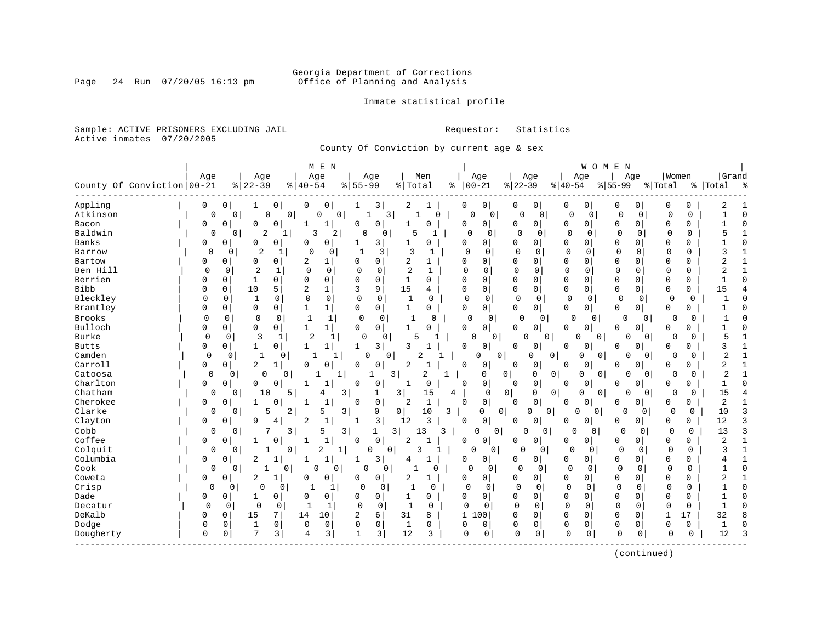### Georgia Department of Corrections<br>Page 24 Run 07/20/05 16:13 pm office of Planning and Analysis Office of Planning and Analysis

Inmate statistical profile

Sample: ACTIVE PRISONERS EXCLUDING JAIL **Requestor:** Statistics Active inmates 07/20/2005

County Of Conviction by current age & sex

|              |                              |             |             |                              |                       | M E N             |              |             |                               |              |               |                         |                |                   |              | WOMEN          |             |                |              |             |                |              |
|--------------|------------------------------|-------------|-------------|------------------------------|-----------------------|-------------------|--------------|-------------|-------------------------------|--------------|---------------|-------------------------|----------------|-------------------|--------------|----------------|-------------|----------------|--------------|-------------|----------------|--------------|
|              |                              | Age         |             | Age                          |                       | Age               |              | Age         |                               | Men          |               | Age                     |                | Age               | Age          |                |             | Age            | Women        |             | Grand          |              |
|              | County Of Conviction   00-21 |             |             | $ 22-39$                     | $\frac{1}{6}$   40-54 |                   | $8 55-99$    |             | % Total                       |              | $ 00-21$<br>ႜ |                         | $ 22-39$       |                   | $8 40-54$    |                | $8155 - 99$ |                | % Total      |             | %   Total      | ್ಠಿ          |
| Appling      |                              | 0           | 0           | 0<br>ı                       | 0                     | 0                 | 1            | 3           | 2                             | 1            | 0             | 0                       | 0              | 0                 | 0            | 0              | 0           | 0              | 0            | 0           | 2              |              |
| Atkinson     |                              | 0           | 0           | 0                            | $\overline{0}$        | $\mathbf 0$<br>0  | $\mathbf{1}$ | 3           | 1                             | 0            | $\Omega$      | $\mathbf 0$             | $\mathbf 0$    | $\mathbf 0$       | 0            | $\mathbf 0$    | 0           | $\mathbf 0$    | $\Omega$     | $\mathbf 0$ |                | $\Omega$     |
| Bacon        |                              | 0           | 0           | $\mathbf 0$<br>0             | -1                    | $\mathbf{1}$      | $\Omega$     | $\mathbf 0$ | 1                             | $\Omega$     | 0             | 0 <sup>1</sup>          | 0              | 0                 | 0            | $\overline{0}$ | $\Omega$    | 0              | $\Omega$     | 0           |                | $\cap$       |
| Baldwin      |                              | 0           | 0           | $\overline{c}$               |                       | 3<br>2            | 0            | 0           | 5                             | 1            | $\Omega$      | 0                       | $\Omega$       | 0                 | 0            | 0              | $\Omega$    | 0              | $\Omega$     | 0           | 5              |              |
| Banks        |                              | 0           | 0           | $\Omega$<br>$\Omega$         | O                     | 0                 |              | 3           | 1                             | $\Omega$     | $\Omega$      | 0                       | <sup>0</sup>   | $\Omega$          | 0            | 0              | $\Omega$    | 0              | $\Omega$     | 0           |                | $\cap$       |
| Barrow       |                              | 0           | 0           | $\overline{2}$<br>-1         | $\Omega$              | 0                 | -1           | 3           | 3                             | -1           | 0             | $\Omega$                | $\Omega$       | $\Omega$          | $\mathbf 0$  | 0              | 0           | 0              | 0            | 0           | 3              |              |
| Bartow       |                              | 0           | 0           | $\mathbf 0$<br>0             | 2                     | 1                 | $\Omega$     | $\mathbf 0$ | 2                             | 1            | 0             | 0                       | 0              | 0                 | 0            | $\Omega$       | $\Omega$    | $\Omega$       | $\mathbf 0$  | 0           | 2              |              |
| Ben Hill     |                              | 0           | 0           | $\overline{2}$<br>1          | 0                     | $\mathbf 0$       | $\Omega$     | $\mathbf 0$ | $\overline{c}$                | $\mathbf{1}$ | $\Omega$      | 0                       | 0              | $\mathbf 0$       | $\mathbf 0$  | 0              | $\mathbf 0$ | $\Omega$       | $\Omega$     | 0           | 2              | $\mathbf{1}$ |
| Berrien      |                              | 0           | 0           | $\mathbf 0$<br>1             | $\Omega$              | 0                 | $\Omega$     | 0           | 1                             | 0            | $\Omega$      | 0                       | 0              | $\mathbf 0$       | 0            | $\mathbf 0$    | $\Omega$    | 0              | 0            | 0           |                | $\cap$       |
| Bibb         |                              | 0           | 0           | 10<br>5                      | $\overline{2}$        | $\mathbf{1}$      | 3            | 9           | 15                            | 4            | $\mathbf 0$   | 0                       | 0              | $\mathbf 0$       | $\mathbf 0$  | 0              | 0           | 0              | $\mathbf{0}$ | 0           | 15             |              |
| Bleckley     |                              | $\Omega$    | $\mathbf 0$ | $\mathbf{1}$<br>0            | $\mathbf 0$           | $\mathbf 0$       | $\Omega$     | 0           | 1                             | 0            | 0             | $\mathbf 0$             | $\Omega$       | 0                 | $\mathbf 0$  | 0              | 0           | $\mathbf{0}$   | 0            | 0           | -1             |              |
| Brantley     |                              | 0           | 0           | $\mathbf 0$<br>0             | 1                     | 1                 | 0            | $\mathbf 0$ | 1                             | 0            | 0             | 0                       | 0              | $\mathbf{0}$      | 0            | 0              | 0           | 0              | 0            | 0           |                |              |
| Brooks       |                              | 0           | 0           | $\mathbf 0$<br>$\Omega$      | 1                     | $\mathbf{1}$      | 0            | 0           | $\mathbf{1}$                  | $\Omega$     | 0             | $\mathbf 0$             | 0              | 0                 | $\Omega$     | 0              | 0           | 0              | 0            | 0           |                |              |
| Bulloch      |                              | 0           | 0           | 0<br>0                       | $\mathbf{1}$          | $\mathbf{1}$      | $\mathbf 0$  | $\mathbf 0$ | 1                             | $\Omega$     | $\Omega$      | 0                       | <sup>0</sup>   | 0                 | 0            | 0              | 0           | 0              | $\Omega$     | 0           |                |              |
| Burke        |                              | $\mathbf 0$ | 0           | 3<br>1                       | 2                     | 1                 | $\Omega$     | 0           | 5                             |              | 0             | 0                       | 0              | 0                 | <sup>0</sup> | 0              | $\Omega$    | 0              | 0            | 0           | 5              |              |
| <b>Butts</b> |                              | 0           | 0           | 0<br>1                       | $\mathbf{1}$          | 1                 | 1            | 3           | 3                             |              | 0             | 0                       | O              | 0                 | 0            | 0              | $\Omega$    | 0              | $\Omega$     | 0           | 3              |              |
| Camden       |                              | 0           | 0           | $\mathbf 1$                  | $\mathbf{1}$<br>0     | 1                 | 0            | $\Omega$    | $\mathcal{L}$                 |              |               | $\mathbf 0$<br>0        |                | 0<br>0            | $\Omega$     | 0              | U           | $\Omega$       | 0            | 0           | 2              |              |
| Carroll      |                              | 0           | 0           | 2                            | 0                     | 0                 | 0            | 0           | 2                             |              | 0             | 0                       | 0              | 0                 | 0            | 0              | 0           | 0              | $\Omega$     | 0           | 2              |              |
| Catoosa      |                              | 0           | 0           | $\Omega$                     | 0                     | $\mathbf{1}$<br>1 |              | 3<br>1      |                               | 2<br>1       |               | 0                       | 0 <sup>1</sup> | $\mathbf{0}$<br>0 | 0            | 0              | 0           | $\overline{0}$ | 0            | 0           | $\overline{2}$ |              |
| Charlton     |                              | 0           | 0           | 0<br>0                       | -1                    | 1                 | $\Omega$     | 0           | $\mathbf{1}$                  | 0            | 0             | 0                       | 0              | 0                 | 0            | 0              | $\Omega$    | 0              | $\Omega$     | 0           | 1              | $\cap$       |
| Chatham      |                              | 0           | 0           | 10                           | 5                     | 4                 | 3            | 1           | 3                             | 15           | 4             | 0                       | $\overline{0}$ | 0<br>0            | $\Omega$     | $\overline{0}$ | $\Omega$    | 0              | 0            | 0           | 15             |              |
| Cherokee     |                              | 0           | 0           | $\mathbf{0}$<br>$\mathbf{1}$ | $\mathbf{1}$          | $\mathbf{1}$      | $\Omega$     | $\mathbf 0$ | $\overline{a}$                | $\mathbf{1}$ | $\Omega$      | $\overline{0}$          | $\Omega$       | $\mathbf 0$       | 0            | $\mathbf 0$    | $\Omega$    | 0              | $\Omega$     | 0           | 2              |              |
| Clarke       |                              | 0           | 0           | 5                            | 2                     | 5                 | 3            | 0           | 0                             | 10<br>3      |               | $\Omega$<br>$\mathbf 0$ |                | 0<br>0            | $\Omega$     | $\Omega$       | $\Omega$    | $\Omega$       | $\Omega$     | $\Omega$    | 10             |              |
| Clayton      |                              | 0           | 0           | 9<br>4                       | $\overline{2}$        | $1\,$             |              | 3           | 12                            | 3            | 0             | 0                       | $\Omega$       | 0                 | 0            | 0              | 0           | 0              | $\Omega$     | 0           | 12             | 3            |
| Cobb         |                              | 0           | 0           | 7                            | 3                     | 5                 | 3            | 1           | $\overline{\mathbf{3}}$<br>13 | 3            |               | 0<br>0                  | 0              | 0                 | $\Omega$     | 0              | 0           | 0              | $\Omega$     | 0           | 13             | 3            |
| Coffee       |                              | 0           | 0           | 0<br>-1                      | $\mathbf{1}$          | $1\,$             | $\Omega$     | $\mathsf 0$ | 2                             | -1           | 0             | 0                       | 0              | 0                 | 0            | 0              | 0           | 0              | 0            | 0           | $\overline{2}$ | $\mathbf{1}$ |
| Colquit      |                              | 0           | 0           |                              | 0                     | 2<br>1            |              | 0<br>0      | 3                             |              | $\Omega$      | 0                       | 0              | 0                 | $\Omega$     | 0              | 0           | 0              | 0            | 0           | 3              | $\mathbf{1}$ |
| Columbia     |                              | 0           | 0           | 2                            | 1                     | $\mathbf 1$       | 1            | 3           | 4                             | $\mathbf{1}$ | 0             | 0                       | 0              | 0                 | 0            | 0              | 0           | 0              | 0            | 0           |                | $\mathbf{1}$ |
| Cook         |                              | 0           | 0           |                              | 0                     | 0<br>$\Omega$     | $\cap$       | 0           |                               | 0            | $\Omega$      | $\mathbf 0$             | $\cap$         | $\mathbf 0$       | $\Omega$     | 0              | $\Omega$    | 0              | $\mathbf 0$  | $\Omega$    |                | $\cap$       |
| Coweta       |                              | 0           | 0           | 2                            | 0                     | 0                 | 0            | 0           | 2                             | 1            | 0             | 0                       | 0              | 0                 | 0            | 0              | 0           | $\Omega$       | 0            | 0           | 2              | 1            |
| Crisp        |                              | 0           | 0           | 0                            | $\mathbf 0$           | 1                 | 0            | 0           | 1                             | 0            | 0             | 0                       | 0              | 0                 | $\mathbf 0$  | 0              | 0           | 0              | $\Omega$     | 0           |                | $\Omega$     |
| Dade         |                              | 0           | 0           | $\mathbf 0$<br>1             | $\Omega$              | 0                 | $\Omega$     | $\mathbf 0$ | 1                             | $\Omega$     | $\Omega$      | $\mathbf 0$             | $\mathbf 0$    | $\mathbf 0$       | 0            | $\mathbf 0$    | $\Omega$    | $\Omega$       | $\Omega$     | $\Omega$    |                | $\cap$       |
| Decatur      |                              | $\Omega$    | 0           | $\Omega$<br>0                | 1                     | 1                 | $\mathbf 0$  | 0           | $\mathbf{1}$                  | $\Omega$     | $\mathbf 0$   | $\Omega$                | $\Omega$       | $\Omega$          | $\Omega$     | $\mathbf 0$    | $\mathbf 0$ | $\mathbf 0$    | $\Omega$     | 0           |                | $\Omega$     |
| DeKalb       |                              | 0           | $\mathbf 0$ | 15<br>7                      | 14                    | 10                | 2            | 6           | 31                            | 8            | $\mathbf{1}$  | .00                     | $\Omega$       | $\mathbf 0$       | $\Omega$     | $\Omega$       | $\Omega$    | $\Omega$       | $\mathbf{1}$ | 17          | 32             |              |
| Dodge        |                              | $\Omega$    | 0           | $\mathbf{1}$<br>0            | 0                     | 0                 | $\mathbf 0$  | 0           | $\mathbf{1}$                  | 0            | 0             | 0                       | 0              | $\mathbf 0$       | 0            | $\Omega$       | $\mathbf 0$ | 0              | 0            | 0           |                | $\cap$       |
| Dougherty    |                              | $\mathbf 0$ | $\mathbf 0$ | 7<br>3                       | 4                     | 3                 | $\mathbf{1}$ | 3           | 12                            | 3            | $\Omega$      | 0                       | $\mathbf 0$    | $\mathbf 0$       | $\Omega$     | 0              | $\Omega$    | 0              | O            | 0           | 12             | ٦            |
|              |                              |             |             |                              |                       |                   |              |             |                               |              |               |                         |                |                   |              |                |             |                |              |             |                |              |

(continued)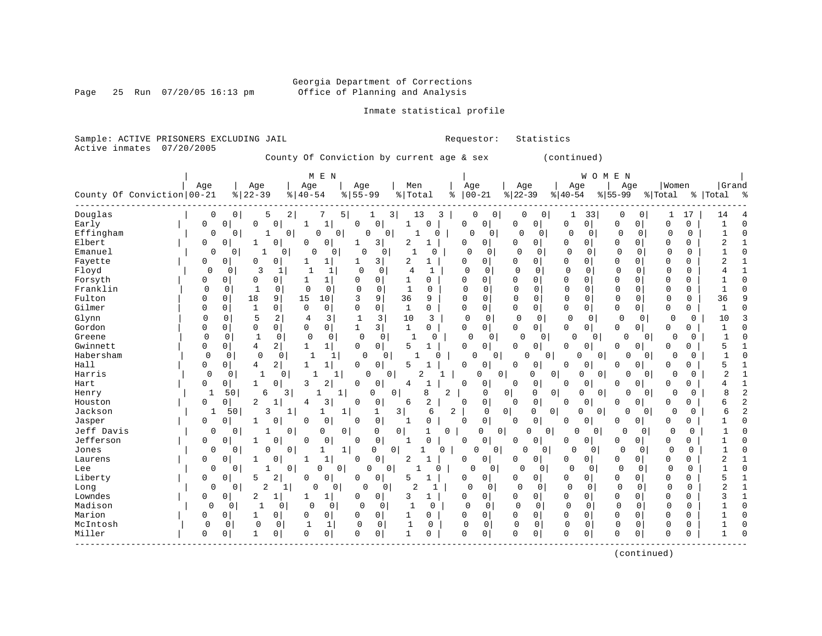Page 25 Run  $07/20/05$  16:13 pm

#### Inmate statistical profile

Sample: ACTIVE PRISONERS EXCLUDING JAIL **Requestor:** Statistics Active inmates 07/20/2005

County Of Conviction by current age & sex (continued)

| Women<br>Grand<br>Age<br>Age<br>Age<br>Men<br>Age<br>Age<br>Age<br>Age<br>Age<br>$ 22-39$<br>County Of Conviction 00-21<br>$ 22-39$<br>$8   40 - 54$<br>$8 55-99$<br>$ 00-21$<br>% Total<br>$ 40-54$<br>$8 55-99$<br>% Total<br>%   Total<br>ႜ<br>0<br>5<br>$\overline{a}$<br>3 <br>0<br>$\mathbf 0$<br>0<br>33<br>17<br>14<br>0<br>7<br>5 <br>1<br>13<br>3<br>1<br>0<br>0<br><sup>0</sup><br>1<br>Early<br>$\circ$<br>0<br>0<br>$\Omega$<br>$\mathbf 0$<br>$\Omega$<br>$\mathbf 1$<br>$\Omega$<br>$\mathbf 0$<br>0 <sup>1</sup><br>$\mathbf 0$<br>0<br>$\Omega$<br>0<br>O<br>0<br>$\Omega$<br>0<br>1<br>Effingham<br>0<br>$\overline{0}$<br>0 <sup>1</sup><br>0<br>0<br>0<br>0<br>$\Omega$<br>0<br>0<br>$\Omega$<br>0<br>$\Omega$<br>$\Omega$<br>0<br>1<br>0<br>$\Omega$<br>0<br>1<br>1<br>Elbert<br>0<br>2<br>0<br>$\Omega$<br>$\mathbf 0$<br>2<br>0<br>$\mathbf 0$<br>0<br>3 <sup>1</sup><br>1<br>$\overline{0}$<br>0<br>0<br>$\Omega$<br>0<br>0<br>0<br>0<br>Emanuel<br>0<br>$\Omega$<br>$\mathbf 0$<br>$\mathbf 0$<br>$\Omega$<br>$\mathbf 0$<br>$\Omega$<br>1<br>$\cap$<br>$\mathbf{1}$<br>$\Omega$<br>0<br>$\cap$<br>0<br>0<br>$\Omega$<br>1<br>0<br>0<br>0<br>O<br>Fayette<br>0<br>$\Omega$<br>$\overline{3}$<br>2<br>0<br>0<br>$\Omega$<br>0<br>0<br>$\mathbf 0$<br>2<br>0<br>0<br>1<br>0<br>$\Omega$<br>0<br>$\Omega$<br>Floyd<br>$\Omega$<br>$\Omega$<br>$\overline{0}$<br>3<br>$\Omega$<br>0<br>$\Omega$<br>$\Omega$<br>$\Omega$<br>$\Omega$<br>1<br>4<br>$\Omega$<br>$\Omega$<br>$\Omega$<br>$\Omega$<br>O<br>Forsyth<br>$\Omega$<br>$\Omega$<br>$\Omega$<br>$\Omega$<br>0<br>$\Omega$<br>$\Omega$<br>1<br>$\Omega$<br>$\Omega$<br>O<br>0<br>0<br>$\Omega$<br>$\Omega$<br>$\Omega$<br>$\Omega$<br>0<br>1<br>Franklin<br>$\mathbf 0$<br>$\Omega$<br>$\mathbf{1}$<br>$\mathbf 0$<br>$\Omega$<br>$\Omega$<br>$\mathbf{1}$<br>$\Omega$<br>$\Omega$<br>$\Omega$<br>$\Omega$<br>$\Omega$<br>$\mathbf 0$<br>$\Omega$<br>$\Omega$<br>$\Omega$<br>$\Omega$<br>$\Omega$<br>0<br>0<br>9<br>15<br>36<br>0<br>Fulton<br>18<br>10<br>9<br>$\Omega$<br>$\Omega$<br>0<br>0<br>36<br>0<br>3<br>9<br>$\Omega$<br>$\Omega$<br>$\Omega$<br>$\Omega$<br>$\mathbf{0}$<br>0<br>0<br>$\Omega$<br>0<br>$\overline{0}$<br>$\mathbf{1}$<br>$\Omega$<br>0<br>$\mathbf 0$<br>0<br>0<br>$\Omega$<br>1<br>O<br>$\Omega$<br>0<br>0<br>0<br>0<br>O<br>0<br>1<br>Glynn<br>5<br>2<br>3<br>$\mathbf 0$<br>$\Omega$<br>$\mathbf 0$<br>3<br>10<br>3<br>$\mathbf 0$<br>0<br>$\mathbf 0$<br>0<br>$\mathbf 0$<br>0<br>$\mathbf 0$<br>10<br>4<br>1<br>$\Omega$<br>$\Omega$<br>$\mathbf 0$<br>0<br>0<br>3 <br>$\mathbf{1}$<br>$\circ$<br>0<br>$\Omega$<br>$\Omega$<br>$\mathbf{1}$<br>0<br>0<br>0<br>$\Omega$<br>0<br>0<br>0 <sup>1</sup><br>0<br>0<br>0<br>$\Omega$<br>$\Omega$<br>0<br>0<br>0<br>1<br>$\Omega$<br>$\Omega$<br>0<br>0<br>0<br>0<br>$\Omega$<br>$\Omega$<br>0 <sup>1</sup><br>0<br>-1<br>$\Omega$<br>0 <sup>1</sup><br>$\Omega$<br>$\overline{4}$<br>2<br>$\circ$<br>0<br>5<br>0<br>0<br>1<br>0<br>5<br>0<br>0<br>0<br>0<br>$\Omega$<br>0<br>0<br>0<br>O<br>Habersham<br>$\Omega$<br>$\mathbf 0$<br>$\overline{0}$<br>$\mathbf 0$<br>0<br>0<br>$\mathbf{1}$<br>$\Omega$<br>0<br>U<br>0<br>$\Omega$<br>0<br>U<br>0<br>$\cap$<br>$\Omega$<br>Hall<br>$\overline{2}$<br>0<br>0<br>0<br>4<br>1<br>$\Omega$<br>$\Omega$<br>0<br>0<br>$\Omega$<br>$\Omega$<br>U<br>5<br>$\mathbf{1}$<br>5<br>0<br>$\Omega$<br>0<br>$\Omega$<br>Harris<br>0<br>0<br>$\Omega$<br>$\Omega$<br>0<br>2<br>$\Omega$<br>0<br>0<br>0<br>$\Omega$<br>$\overline{0}$<br>0<br>2<br>1<br>1<br>0<br>0<br>$\Omega$<br>2<br>0<br>0<br>3<br>$\Omega$<br>0<br>$\mathbf 0$<br>$\overline{0}$<br>Hart<br>0<br>0 <sup>1</sup><br>0<br>$\Omega$<br>0<br>0<br>0<br>0<br>4<br>1<br>0<br>8<br>$\mathbf{1}$<br>50<br>6<br>0<br>0<br>2<br>$\mathbf 0$<br> 0 <br>0<br>0<br>$\mathbf 0$<br>8<br>Henry<br>3<br>1<br>0<br>0<br>$\Omega$<br>$\overline{0}$<br>$\Omega$<br>3<br>$\overline{2}$<br>$\overline{2}$<br>0<br>$\mathbf 0$<br>0<br>0<br>$\Omega$<br>0<br>0<br>0<br>$\Omega$<br>0<br>б<br>1<br>6<br>$\Omega$<br>$\Omega$<br>0<br>4<br>$\Omega$<br>3<br>2<br>50<br>3<br>6<br>$\mathbf 0$<br>0<br>0<br>0<br>$\Omega$<br>$\Omega$<br>1<br>1<br>1<br>0 <sup>1</sup><br>O<br>$\Omega$<br>0<br>б<br>1<br>1<br>$\mathbf 0$<br>$\mathbf 0$<br>0<br>0<br>$\mathbf 0$<br>0<br>Jasper<br>0<br>0<br>$\Omega$<br>$\Omega$<br>$\Omega$<br>$\Omega$<br>0<br>0<br>$\Omega$<br>0<br>O<br>-1<br>0<br>Jeff Davis<br>0<br>0<br>$\Omega$<br>$\circ$<br>$\Omega$<br>$\Omega$<br>0<br>$\Omega$<br>0<br>$\mathbf{1}$<br>$\Omega$<br>0<br>$\Omega$<br>$\Omega$<br>0<br>$\Omega$<br>1<br>0<br>0<br>0<br>$\mathbf{0}$<br>0<br>$\Omega$<br>0<br>$\mathbf 0$<br>0<br><sup>0</sup><br>$\Omega$<br>$\Omega$<br>0<br>0<br>0<br>0<br>0<br>0<br>0<br>-1<br>-1<br>0<br>0<br>Jones<br>0<br>$\mathbf{0}$<br>0<br>$\overline{0}$<br>0<br>$\mathbf 0$<br>$\mathbf 0$<br>$\mathbf 0$<br>0<br>0<br>0<br>1<br>0<br>0<br>0<br>$\Omega$<br>0<br>$\Omega$<br>1<br>$\mathbf{1}$<br>$\circ$<br>0 <sup>1</sup><br>2<br>0<br>0<br>2<br>0<br>0<br>0<br>0<br>Laurens<br>0<br>0<br>0<br>0<br>0<br>0<br><sup>0</sup><br>$\circ$<br>$\mathbf 0$<br>0<br>$\mathbf{1}$<br>0<br>$\Omega$<br>0<br>$\Omega$<br>$\Omega$<br>$\Omega$<br>$\Omega$<br>$\Omega$<br>$\Omega$<br>0<br>0<br>O<br>0<br>$\Omega$<br>0<br>2<br>0<br>5<br>0<br>$\circ$<br>$\Omega$<br>0<br>0<br>0<br>0<br>5<br>1<br>0<br>$\Omega$<br>0<br>0<br>0<br>$\overline{0}$<br>5<br>O<br>O<br>2<br>0<br>2<br>$\Omega$<br>$\mathbf 0$<br>$\mathbf 0$<br>$\mathbf 0$<br>$\overline{2}$<br>Long<br>0<br>O<br>0<br>U<br>0<br>1<br>$\Omega$<br>0<br>0<br>0<br>0<br>0<br>1<br>0<br>2<br>1<br>0 <sup>1</sup><br>3<br>0<br>$\Omega$<br>0<br>0<br>$\Omega$<br>0<br>0<br>0<br>3<br>$\Omega$<br>$\Omega$<br>$\mathbf{1}$<br>0<br>$\Omega$<br>$\Omega$<br>$\Omega$<br>$\Omega$<br>$\Omega$<br>$\mathbf{1}$<br>0<br>0<br>$\Omega$<br>$\Omega$<br>$\Omega$<br>$\Omega$<br>$\Omega$<br>$\Omega$<br>0<br><sup>0</sup><br>$\Omega$<br>$\Omega$<br>$\Omega$<br>0<br>0<br>$\overline{0}$<br>0<br>$\mathbf 0$<br>$\mathbf 0$<br>0<br>0<br>$\mathbf 0$<br>$\Omega$<br>0<br>$\mathbf 0$<br>0<br>0<br>0<br>1<br>0<br>0<br>0<br>0<br>$\mathbf 0$<br>$\mathbf 0$<br>0<br>$\mathbf{1}$<br>$\mathbf 0$<br>0<br>$\mathbf 0$<br>0<br>0<br>$\mathbf 0$<br>0<br>$\mathbf 0$<br>0<br>1<br>1<br>0<br>0<br>0<br>$\Omega$<br>$\Omega$<br>0<br>0<br>$\Omega$<br>$\mathbf 0$<br>$\mathbf{1}$<br>0<br>$\mathbf 0$<br>0<br>$\Omega$<br>0<br>$\Omega$<br>1<br>$\Omega$<br>0<br>U<br>$\Omega$<br>0<br>0<br>0 |           |  |  | M E N |  |  |  |  |  | WOMEN |  |  |  |
|-----------------------------------------------------------------------------------------------------------------------------------------------------------------------------------------------------------------------------------------------------------------------------------------------------------------------------------------------------------------------------------------------------------------------------------------------------------------------------------------------------------------------------------------------------------------------------------------------------------------------------------------------------------------------------------------------------------------------------------------------------------------------------------------------------------------------------------------------------------------------------------------------------------------------------------------------------------------------------------------------------------------------------------------------------------------------------------------------------------------------------------------------------------------------------------------------------------------------------------------------------------------------------------------------------------------------------------------------------------------------------------------------------------------------------------------------------------------------------------------------------------------------------------------------------------------------------------------------------------------------------------------------------------------------------------------------------------------------------------------------------------------------------------------------------------------------------------------------------------------------------------------------------------------------------------------------------------------------------------------------------------------------------------------------------------------------------------------------------------------------------------------------------------------------------------------------------------------------------------------------------------------------------------------------------------------------------------------------------------------------------------------------------------------------------------------------------------------------------------------------------------------------------------------------------------------------------------------------------------------------------------------------------------------------------------------------------------------------------------------------------------------------------------------------------------------------------------------------------------------------------------------------------------------------------------------------------------------------------------------------------------------------------------------------------------------------------------------------------------------------------------------------------------------------------------------------------------------------------------------------------------------------------------------------------------------------------------------------------------------------------------------------------------------------------------------------------------------------------------------------------------------------------------------------------------------------------------------------------------------------------------------------------------------------------------------------------------------------------------------------------------------------------------------------------------------------------------------------------------------------------------------------------------------------------------------------------------------------------------------------------------------------------------------------------------------------------------------------------------------------------------------------------------------------------------------------------------------------------------------------------------------------------------------------------------------------------------------------------------------------------------------------------------------------------------------------------------------------------------------------------------------------------------------------------------------------------------------------------------------------------------------------------------------------------------------------------------------------------------------------------------------------------------------------------------------------------------------------------------------------------------------------------------------------------------------------------------------------------------------------------------------------------------------------------------------------------------------------------------------------------------------------------------------------------------------------------------------------------------------------------------------------------------------------------------------------------------------------------------------------------------------------------------------------------------------------------------------------------------------------------------------------------------------------------------------------------------------------------------------------------------------------------------------------------------------------------------------------------------------------------------------------------------------------------------------------------------------------------------------------------------------------------------------------------------------------------------------------------------------------------------------------------------------------------------------------------------------------------------------------------------------------------------------------------------------------------------------------------------------------------------------------------------------------------------------------------------------------------------------------------------------------------------------------------------------------------------------------------------------------------------|-----------|--|--|-------|--|--|--|--|--|-------|--|--|--|
|                                                                                                                                                                                                                                                                                                                                                                                                                                                                                                                                                                                                                                                                                                                                                                                                                                                                                                                                                                                                                                                                                                                                                                                                                                                                                                                                                                                                                                                                                                                                                                                                                                                                                                                                                                                                                                                                                                                                                                                                                                                                                                                                                                                                                                                                                                                                                                                                                                                                                                                                                                                                                                                                                                                                                                                                                                                                                                                                                                                                                                                                                                                                                                                                                                                                                                                                                                                                                                                                                                                                                                                                                                                                                                                                                                                                                                                                                                                                                                                                                                                                                                                                                                                                                                                                                                                                                                                                                                                                                                                                                                                                                                                                                                                                                                                                                                                                                                                                                                                                                                                                                                                                                                                                                                                                                                                                                                                                                                                                                                                                                                                                                                                                                                                                                                                                                                                                                                                                                                                                                                                                                                                                                                                                                                                                                                                                                                                                                                                                                                           |           |  |  |       |  |  |  |  |  |       |  |  |  |
|                                                                                                                                                                                                                                                                                                                                                                                                                                                                                                                                                                                                                                                                                                                                                                                                                                                                                                                                                                                                                                                                                                                                                                                                                                                                                                                                                                                                                                                                                                                                                                                                                                                                                                                                                                                                                                                                                                                                                                                                                                                                                                                                                                                                                                                                                                                                                                                                                                                                                                                                                                                                                                                                                                                                                                                                                                                                                                                                                                                                                                                                                                                                                                                                                                                                                                                                                                                                                                                                                                                                                                                                                                                                                                                                                                                                                                                                                                                                                                                                                                                                                                                                                                                                                                                                                                                                                                                                                                                                                                                                                                                                                                                                                                                                                                                                                                                                                                                                                                                                                                                                                                                                                                                                                                                                                                                                                                                                                                                                                                                                                                                                                                                                                                                                                                                                                                                                                                                                                                                                                                                                                                                                                                                                                                                                                                                                                                                                                                                                                                           |           |  |  |       |  |  |  |  |  |       |  |  |  |
|                                                                                                                                                                                                                                                                                                                                                                                                                                                                                                                                                                                                                                                                                                                                                                                                                                                                                                                                                                                                                                                                                                                                                                                                                                                                                                                                                                                                                                                                                                                                                                                                                                                                                                                                                                                                                                                                                                                                                                                                                                                                                                                                                                                                                                                                                                                                                                                                                                                                                                                                                                                                                                                                                                                                                                                                                                                                                                                                                                                                                                                                                                                                                                                                                                                                                                                                                                                                                                                                                                                                                                                                                                                                                                                                                                                                                                                                                                                                                                                                                                                                                                                                                                                                                                                                                                                                                                                                                                                                                                                                                                                                                                                                                                                                                                                                                                                                                                                                                                                                                                                                                                                                                                                                                                                                                                                                                                                                                                                                                                                                                                                                                                                                                                                                                                                                                                                                                                                                                                                                                                                                                                                                                                                                                                                                                                                                                                                                                                                                                                           | Douglas   |  |  |       |  |  |  |  |  |       |  |  |  |
|                                                                                                                                                                                                                                                                                                                                                                                                                                                                                                                                                                                                                                                                                                                                                                                                                                                                                                                                                                                                                                                                                                                                                                                                                                                                                                                                                                                                                                                                                                                                                                                                                                                                                                                                                                                                                                                                                                                                                                                                                                                                                                                                                                                                                                                                                                                                                                                                                                                                                                                                                                                                                                                                                                                                                                                                                                                                                                                                                                                                                                                                                                                                                                                                                                                                                                                                                                                                                                                                                                                                                                                                                                                                                                                                                                                                                                                                                                                                                                                                                                                                                                                                                                                                                                                                                                                                                                                                                                                                                                                                                                                                                                                                                                                                                                                                                                                                                                                                                                                                                                                                                                                                                                                                                                                                                                                                                                                                                                                                                                                                                                                                                                                                                                                                                                                                                                                                                                                                                                                                                                                                                                                                                                                                                                                                                                                                                                                                                                                                                                           |           |  |  |       |  |  |  |  |  |       |  |  |  |
|                                                                                                                                                                                                                                                                                                                                                                                                                                                                                                                                                                                                                                                                                                                                                                                                                                                                                                                                                                                                                                                                                                                                                                                                                                                                                                                                                                                                                                                                                                                                                                                                                                                                                                                                                                                                                                                                                                                                                                                                                                                                                                                                                                                                                                                                                                                                                                                                                                                                                                                                                                                                                                                                                                                                                                                                                                                                                                                                                                                                                                                                                                                                                                                                                                                                                                                                                                                                                                                                                                                                                                                                                                                                                                                                                                                                                                                                                                                                                                                                                                                                                                                                                                                                                                                                                                                                                                                                                                                                                                                                                                                                                                                                                                                                                                                                                                                                                                                                                                                                                                                                                                                                                                                                                                                                                                                                                                                                                                                                                                                                                                                                                                                                                                                                                                                                                                                                                                                                                                                                                                                                                                                                                                                                                                                                                                                                                                                                                                                                                                           |           |  |  |       |  |  |  |  |  |       |  |  |  |
|                                                                                                                                                                                                                                                                                                                                                                                                                                                                                                                                                                                                                                                                                                                                                                                                                                                                                                                                                                                                                                                                                                                                                                                                                                                                                                                                                                                                                                                                                                                                                                                                                                                                                                                                                                                                                                                                                                                                                                                                                                                                                                                                                                                                                                                                                                                                                                                                                                                                                                                                                                                                                                                                                                                                                                                                                                                                                                                                                                                                                                                                                                                                                                                                                                                                                                                                                                                                                                                                                                                                                                                                                                                                                                                                                                                                                                                                                                                                                                                                                                                                                                                                                                                                                                                                                                                                                                                                                                                                                                                                                                                                                                                                                                                                                                                                                                                                                                                                                                                                                                                                                                                                                                                                                                                                                                                                                                                                                                                                                                                                                                                                                                                                                                                                                                                                                                                                                                                                                                                                                                                                                                                                                                                                                                                                                                                                                                                                                                                                                                           |           |  |  |       |  |  |  |  |  |       |  |  |  |
|                                                                                                                                                                                                                                                                                                                                                                                                                                                                                                                                                                                                                                                                                                                                                                                                                                                                                                                                                                                                                                                                                                                                                                                                                                                                                                                                                                                                                                                                                                                                                                                                                                                                                                                                                                                                                                                                                                                                                                                                                                                                                                                                                                                                                                                                                                                                                                                                                                                                                                                                                                                                                                                                                                                                                                                                                                                                                                                                                                                                                                                                                                                                                                                                                                                                                                                                                                                                                                                                                                                                                                                                                                                                                                                                                                                                                                                                                                                                                                                                                                                                                                                                                                                                                                                                                                                                                                                                                                                                                                                                                                                                                                                                                                                                                                                                                                                                                                                                                                                                                                                                                                                                                                                                                                                                                                                                                                                                                                                                                                                                                                                                                                                                                                                                                                                                                                                                                                                                                                                                                                                                                                                                                                                                                                                                                                                                                                                                                                                                                                           |           |  |  |       |  |  |  |  |  |       |  |  |  |
|                                                                                                                                                                                                                                                                                                                                                                                                                                                                                                                                                                                                                                                                                                                                                                                                                                                                                                                                                                                                                                                                                                                                                                                                                                                                                                                                                                                                                                                                                                                                                                                                                                                                                                                                                                                                                                                                                                                                                                                                                                                                                                                                                                                                                                                                                                                                                                                                                                                                                                                                                                                                                                                                                                                                                                                                                                                                                                                                                                                                                                                                                                                                                                                                                                                                                                                                                                                                                                                                                                                                                                                                                                                                                                                                                                                                                                                                                                                                                                                                                                                                                                                                                                                                                                                                                                                                                                                                                                                                                                                                                                                                                                                                                                                                                                                                                                                                                                                                                                                                                                                                                                                                                                                                                                                                                                                                                                                                                                                                                                                                                                                                                                                                                                                                                                                                                                                                                                                                                                                                                                                                                                                                                                                                                                                                                                                                                                                                                                                                                                           |           |  |  |       |  |  |  |  |  |       |  |  |  |
|                                                                                                                                                                                                                                                                                                                                                                                                                                                                                                                                                                                                                                                                                                                                                                                                                                                                                                                                                                                                                                                                                                                                                                                                                                                                                                                                                                                                                                                                                                                                                                                                                                                                                                                                                                                                                                                                                                                                                                                                                                                                                                                                                                                                                                                                                                                                                                                                                                                                                                                                                                                                                                                                                                                                                                                                                                                                                                                                                                                                                                                                                                                                                                                                                                                                                                                                                                                                                                                                                                                                                                                                                                                                                                                                                                                                                                                                                                                                                                                                                                                                                                                                                                                                                                                                                                                                                                                                                                                                                                                                                                                                                                                                                                                                                                                                                                                                                                                                                                                                                                                                                                                                                                                                                                                                                                                                                                                                                                                                                                                                                                                                                                                                                                                                                                                                                                                                                                                                                                                                                                                                                                                                                                                                                                                                                                                                                                                                                                                                                                           |           |  |  |       |  |  |  |  |  |       |  |  |  |
|                                                                                                                                                                                                                                                                                                                                                                                                                                                                                                                                                                                                                                                                                                                                                                                                                                                                                                                                                                                                                                                                                                                                                                                                                                                                                                                                                                                                                                                                                                                                                                                                                                                                                                                                                                                                                                                                                                                                                                                                                                                                                                                                                                                                                                                                                                                                                                                                                                                                                                                                                                                                                                                                                                                                                                                                                                                                                                                                                                                                                                                                                                                                                                                                                                                                                                                                                                                                                                                                                                                                                                                                                                                                                                                                                                                                                                                                                                                                                                                                                                                                                                                                                                                                                                                                                                                                                                                                                                                                                                                                                                                                                                                                                                                                                                                                                                                                                                                                                                                                                                                                                                                                                                                                                                                                                                                                                                                                                                                                                                                                                                                                                                                                                                                                                                                                                                                                                                                                                                                                                                                                                                                                                                                                                                                                                                                                                                                                                                                                                                           |           |  |  |       |  |  |  |  |  |       |  |  |  |
|                                                                                                                                                                                                                                                                                                                                                                                                                                                                                                                                                                                                                                                                                                                                                                                                                                                                                                                                                                                                                                                                                                                                                                                                                                                                                                                                                                                                                                                                                                                                                                                                                                                                                                                                                                                                                                                                                                                                                                                                                                                                                                                                                                                                                                                                                                                                                                                                                                                                                                                                                                                                                                                                                                                                                                                                                                                                                                                                                                                                                                                                                                                                                                                                                                                                                                                                                                                                                                                                                                                                                                                                                                                                                                                                                                                                                                                                                                                                                                                                                                                                                                                                                                                                                                                                                                                                                                                                                                                                                                                                                                                                                                                                                                                                                                                                                                                                                                                                                                                                                                                                                                                                                                                                                                                                                                                                                                                                                                                                                                                                                                                                                                                                                                                                                                                                                                                                                                                                                                                                                                                                                                                                                                                                                                                                                                                                                                                                                                                                                                           |           |  |  |       |  |  |  |  |  |       |  |  |  |
|                                                                                                                                                                                                                                                                                                                                                                                                                                                                                                                                                                                                                                                                                                                                                                                                                                                                                                                                                                                                                                                                                                                                                                                                                                                                                                                                                                                                                                                                                                                                                                                                                                                                                                                                                                                                                                                                                                                                                                                                                                                                                                                                                                                                                                                                                                                                                                                                                                                                                                                                                                                                                                                                                                                                                                                                                                                                                                                                                                                                                                                                                                                                                                                                                                                                                                                                                                                                                                                                                                                                                                                                                                                                                                                                                                                                                                                                                                                                                                                                                                                                                                                                                                                                                                                                                                                                                                                                                                                                                                                                                                                                                                                                                                                                                                                                                                                                                                                                                                                                                                                                                                                                                                                                                                                                                                                                                                                                                                                                                                                                                                                                                                                                                                                                                                                                                                                                                                                                                                                                                                                                                                                                                                                                                                                                                                                                                                                                                                                                                                           |           |  |  |       |  |  |  |  |  |       |  |  |  |
|                                                                                                                                                                                                                                                                                                                                                                                                                                                                                                                                                                                                                                                                                                                                                                                                                                                                                                                                                                                                                                                                                                                                                                                                                                                                                                                                                                                                                                                                                                                                                                                                                                                                                                                                                                                                                                                                                                                                                                                                                                                                                                                                                                                                                                                                                                                                                                                                                                                                                                                                                                                                                                                                                                                                                                                                                                                                                                                                                                                                                                                                                                                                                                                                                                                                                                                                                                                                                                                                                                                                                                                                                                                                                                                                                                                                                                                                                                                                                                                                                                                                                                                                                                                                                                                                                                                                                                                                                                                                                                                                                                                                                                                                                                                                                                                                                                                                                                                                                                                                                                                                                                                                                                                                                                                                                                                                                                                                                                                                                                                                                                                                                                                                                                                                                                                                                                                                                                                                                                                                                                                                                                                                                                                                                                                                                                                                                                                                                                                                                                           | Gilmer    |  |  |       |  |  |  |  |  |       |  |  |  |
|                                                                                                                                                                                                                                                                                                                                                                                                                                                                                                                                                                                                                                                                                                                                                                                                                                                                                                                                                                                                                                                                                                                                                                                                                                                                                                                                                                                                                                                                                                                                                                                                                                                                                                                                                                                                                                                                                                                                                                                                                                                                                                                                                                                                                                                                                                                                                                                                                                                                                                                                                                                                                                                                                                                                                                                                                                                                                                                                                                                                                                                                                                                                                                                                                                                                                                                                                                                                                                                                                                                                                                                                                                                                                                                                                                                                                                                                                                                                                                                                                                                                                                                                                                                                                                                                                                                                                                                                                                                                                                                                                                                                                                                                                                                                                                                                                                                                                                                                                                                                                                                                                                                                                                                                                                                                                                                                                                                                                                                                                                                                                                                                                                                                                                                                                                                                                                                                                                                                                                                                                                                                                                                                                                                                                                                                                                                                                                                                                                                                                                           |           |  |  |       |  |  |  |  |  |       |  |  |  |
|                                                                                                                                                                                                                                                                                                                                                                                                                                                                                                                                                                                                                                                                                                                                                                                                                                                                                                                                                                                                                                                                                                                                                                                                                                                                                                                                                                                                                                                                                                                                                                                                                                                                                                                                                                                                                                                                                                                                                                                                                                                                                                                                                                                                                                                                                                                                                                                                                                                                                                                                                                                                                                                                                                                                                                                                                                                                                                                                                                                                                                                                                                                                                                                                                                                                                                                                                                                                                                                                                                                                                                                                                                                                                                                                                                                                                                                                                                                                                                                                                                                                                                                                                                                                                                                                                                                                                                                                                                                                                                                                                                                                                                                                                                                                                                                                                                                                                                                                                                                                                                                                                                                                                                                                                                                                                                                                                                                                                                                                                                                                                                                                                                                                                                                                                                                                                                                                                                                                                                                                                                                                                                                                                                                                                                                                                                                                                                                                                                                                                                           | Gordon    |  |  |       |  |  |  |  |  |       |  |  |  |
|                                                                                                                                                                                                                                                                                                                                                                                                                                                                                                                                                                                                                                                                                                                                                                                                                                                                                                                                                                                                                                                                                                                                                                                                                                                                                                                                                                                                                                                                                                                                                                                                                                                                                                                                                                                                                                                                                                                                                                                                                                                                                                                                                                                                                                                                                                                                                                                                                                                                                                                                                                                                                                                                                                                                                                                                                                                                                                                                                                                                                                                                                                                                                                                                                                                                                                                                                                                                                                                                                                                                                                                                                                                                                                                                                                                                                                                                                                                                                                                                                                                                                                                                                                                                                                                                                                                                                                                                                                                                                                                                                                                                                                                                                                                                                                                                                                                                                                                                                                                                                                                                                                                                                                                                                                                                                                                                                                                                                                                                                                                                                                                                                                                                                                                                                                                                                                                                                                                                                                                                                                                                                                                                                                                                                                                                                                                                                                                                                                                                                                           | Greene    |  |  |       |  |  |  |  |  |       |  |  |  |
|                                                                                                                                                                                                                                                                                                                                                                                                                                                                                                                                                                                                                                                                                                                                                                                                                                                                                                                                                                                                                                                                                                                                                                                                                                                                                                                                                                                                                                                                                                                                                                                                                                                                                                                                                                                                                                                                                                                                                                                                                                                                                                                                                                                                                                                                                                                                                                                                                                                                                                                                                                                                                                                                                                                                                                                                                                                                                                                                                                                                                                                                                                                                                                                                                                                                                                                                                                                                                                                                                                                                                                                                                                                                                                                                                                                                                                                                                                                                                                                                                                                                                                                                                                                                                                                                                                                                                                                                                                                                                                                                                                                                                                                                                                                                                                                                                                                                                                                                                                                                                                                                                                                                                                                                                                                                                                                                                                                                                                                                                                                                                                                                                                                                                                                                                                                                                                                                                                                                                                                                                                                                                                                                                                                                                                                                                                                                                                                                                                                                                                           | Gwinnett  |  |  |       |  |  |  |  |  |       |  |  |  |
|                                                                                                                                                                                                                                                                                                                                                                                                                                                                                                                                                                                                                                                                                                                                                                                                                                                                                                                                                                                                                                                                                                                                                                                                                                                                                                                                                                                                                                                                                                                                                                                                                                                                                                                                                                                                                                                                                                                                                                                                                                                                                                                                                                                                                                                                                                                                                                                                                                                                                                                                                                                                                                                                                                                                                                                                                                                                                                                                                                                                                                                                                                                                                                                                                                                                                                                                                                                                                                                                                                                                                                                                                                                                                                                                                                                                                                                                                                                                                                                                                                                                                                                                                                                                                                                                                                                                                                                                                                                                                                                                                                                                                                                                                                                                                                                                                                                                                                                                                                                                                                                                                                                                                                                                                                                                                                                                                                                                                                                                                                                                                                                                                                                                                                                                                                                                                                                                                                                                                                                                                                                                                                                                                                                                                                                                                                                                                                                                                                                                                                           |           |  |  |       |  |  |  |  |  |       |  |  |  |
|                                                                                                                                                                                                                                                                                                                                                                                                                                                                                                                                                                                                                                                                                                                                                                                                                                                                                                                                                                                                                                                                                                                                                                                                                                                                                                                                                                                                                                                                                                                                                                                                                                                                                                                                                                                                                                                                                                                                                                                                                                                                                                                                                                                                                                                                                                                                                                                                                                                                                                                                                                                                                                                                                                                                                                                                                                                                                                                                                                                                                                                                                                                                                                                                                                                                                                                                                                                                                                                                                                                                                                                                                                                                                                                                                                                                                                                                                                                                                                                                                                                                                                                                                                                                                                                                                                                                                                                                                                                                                                                                                                                                                                                                                                                                                                                                                                                                                                                                                                                                                                                                                                                                                                                                                                                                                                                                                                                                                                                                                                                                                                                                                                                                                                                                                                                                                                                                                                                                                                                                                                                                                                                                                                                                                                                                                                                                                                                                                                                                                                           |           |  |  |       |  |  |  |  |  |       |  |  |  |
|                                                                                                                                                                                                                                                                                                                                                                                                                                                                                                                                                                                                                                                                                                                                                                                                                                                                                                                                                                                                                                                                                                                                                                                                                                                                                                                                                                                                                                                                                                                                                                                                                                                                                                                                                                                                                                                                                                                                                                                                                                                                                                                                                                                                                                                                                                                                                                                                                                                                                                                                                                                                                                                                                                                                                                                                                                                                                                                                                                                                                                                                                                                                                                                                                                                                                                                                                                                                                                                                                                                                                                                                                                                                                                                                                                                                                                                                                                                                                                                                                                                                                                                                                                                                                                                                                                                                                                                                                                                                                                                                                                                                                                                                                                                                                                                                                                                                                                                                                                                                                                                                                                                                                                                                                                                                                                                                                                                                                                                                                                                                                                                                                                                                                                                                                                                                                                                                                                                                                                                                                                                                                                                                                                                                                                                                                                                                                                                                                                                                                                           |           |  |  |       |  |  |  |  |  |       |  |  |  |
|                                                                                                                                                                                                                                                                                                                                                                                                                                                                                                                                                                                                                                                                                                                                                                                                                                                                                                                                                                                                                                                                                                                                                                                                                                                                                                                                                                                                                                                                                                                                                                                                                                                                                                                                                                                                                                                                                                                                                                                                                                                                                                                                                                                                                                                                                                                                                                                                                                                                                                                                                                                                                                                                                                                                                                                                                                                                                                                                                                                                                                                                                                                                                                                                                                                                                                                                                                                                                                                                                                                                                                                                                                                                                                                                                                                                                                                                                                                                                                                                                                                                                                                                                                                                                                                                                                                                                                                                                                                                                                                                                                                                                                                                                                                                                                                                                                                                                                                                                                                                                                                                                                                                                                                                                                                                                                                                                                                                                                                                                                                                                                                                                                                                                                                                                                                                                                                                                                                                                                                                                                                                                                                                                                                                                                                                                                                                                                                                                                                                                                           |           |  |  |       |  |  |  |  |  |       |  |  |  |
|                                                                                                                                                                                                                                                                                                                                                                                                                                                                                                                                                                                                                                                                                                                                                                                                                                                                                                                                                                                                                                                                                                                                                                                                                                                                                                                                                                                                                                                                                                                                                                                                                                                                                                                                                                                                                                                                                                                                                                                                                                                                                                                                                                                                                                                                                                                                                                                                                                                                                                                                                                                                                                                                                                                                                                                                                                                                                                                                                                                                                                                                                                                                                                                                                                                                                                                                                                                                                                                                                                                                                                                                                                                                                                                                                                                                                                                                                                                                                                                                                                                                                                                                                                                                                                                                                                                                                                                                                                                                                                                                                                                                                                                                                                                                                                                                                                                                                                                                                                                                                                                                                                                                                                                                                                                                                                                                                                                                                                                                                                                                                                                                                                                                                                                                                                                                                                                                                                                                                                                                                                                                                                                                                                                                                                                                                                                                                                                                                                                                                                           |           |  |  |       |  |  |  |  |  |       |  |  |  |
|                                                                                                                                                                                                                                                                                                                                                                                                                                                                                                                                                                                                                                                                                                                                                                                                                                                                                                                                                                                                                                                                                                                                                                                                                                                                                                                                                                                                                                                                                                                                                                                                                                                                                                                                                                                                                                                                                                                                                                                                                                                                                                                                                                                                                                                                                                                                                                                                                                                                                                                                                                                                                                                                                                                                                                                                                                                                                                                                                                                                                                                                                                                                                                                                                                                                                                                                                                                                                                                                                                                                                                                                                                                                                                                                                                                                                                                                                                                                                                                                                                                                                                                                                                                                                                                                                                                                                                                                                                                                                                                                                                                                                                                                                                                                                                                                                                                                                                                                                                                                                                                                                                                                                                                                                                                                                                                                                                                                                                                                                                                                                                                                                                                                                                                                                                                                                                                                                                                                                                                                                                                                                                                                                                                                                                                                                                                                                                                                                                                                                                           | Houston   |  |  |       |  |  |  |  |  |       |  |  |  |
|                                                                                                                                                                                                                                                                                                                                                                                                                                                                                                                                                                                                                                                                                                                                                                                                                                                                                                                                                                                                                                                                                                                                                                                                                                                                                                                                                                                                                                                                                                                                                                                                                                                                                                                                                                                                                                                                                                                                                                                                                                                                                                                                                                                                                                                                                                                                                                                                                                                                                                                                                                                                                                                                                                                                                                                                                                                                                                                                                                                                                                                                                                                                                                                                                                                                                                                                                                                                                                                                                                                                                                                                                                                                                                                                                                                                                                                                                                                                                                                                                                                                                                                                                                                                                                                                                                                                                                                                                                                                                                                                                                                                                                                                                                                                                                                                                                                                                                                                                                                                                                                                                                                                                                                                                                                                                                                                                                                                                                                                                                                                                                                                                                                                                                                                                                                                                                                                                                                                                                                                                                                                                                                                                                                                                                                                                                                                                                                                                                                                                                           | Jackson   |  |  |       |  |  |  |  |  |       |  |  |  |
|                                                                                                                                                                                                                                                                                                                                                                                                                                                                                                                                                                                                                                                                                                                                                                                                                                                                                                                                                                                                                                                                                                                                                                                                                                                                                                                                                                                                                                                                                                                                                                                                                                                                                                                                                                                                                                                                                                                                                                                                                                                                                                                                                                                                                                                                                                                                                                                                                                                                                                                                                                                                                                                                                                                                                                                                                                                                                                                                                                                                                                                                                                                                                                                                                                                                                                                                                                                                                                                                                                                                                                                                                                                                                                                                                                                                                                                                                                                                                                                                                                                                                                                                                                                                                                                                                                                                                                                                                                                                                                                                                                                                                                                                                                                                                                                                                                                                                                                                                                                                                                                                                                                                                                                                                                                                                                                                                                                                                                                                                                                                                                                                                                                                                                                                                                                                                                                                                                                                                                                                                                                                                                                                                                                                                                                                                                                                                                                                                                                                                                           |           |  |  |       |  |  |  |  |  |       |  |  |  |
|                                                                                                                                                                                                                                                                                                                                                                                                                                                                                                                                                                                                                                                                                                                                                                                                                                                                                                                                                                                                                                                                                                                                                                                                                                                                                                                                                                                                                                                                                                                                                                                                                                                                                                                                                                                                                                                                                                                                                                                                                                                                                                                                                                                                                                                                                                                                                                                                                                                                                                                                                                                                                                                                                                                                                                                                                                                                                                                                                                                                                                                                                                                                                                                                                                                                                                                                                                                                                                                                                                                                                                                                                                                                                                                                                                                                                                                                                                                                                                                                                                                                                                                                                                                                                                                                                                                                                                                                                                                                                                                                                                                                                                                                                                                                                                                                                                                                                                                                                                                                                                                                                                                                                                                                                                                                                                                                                                                                                                                                                                                                                                                                                                                                                                                                                                                                                                                                                                                                                                                                                                                                                                                                                                                                                                                                                                                                                                                                                                                                                                           |           |  |  |       |  |  |  |  |  |       |  |  |  |
|                                                                                                                                                                                                                                                                                                                                                                                                                                                                                                                                                                                                                                                                                                                                                                                                                                                                                                                                                                                                                                                                                                                                                                                                                                                                                                                                                                                                                                                                                                                                                                                                                                                                                                                                                                                                                                                                                                                                                                                                                                                                                                                                                                                                                                                                                                                                                                                                                                                                                                                                                                                                                                                                                                                                                                                                                                                                                                                                                                                                                                                                                                                                                                                                                                                                                                                                                                                                                                                                                                                                                                                                                                                                                                                                                                                                                                                                                                                                                                                                                                                                                                                                                                                                                                                                                                                                                                                                                                                                                                                                                                                                                                                                                                                                                                                                                                                                                                                                                                                                                                                                                                                                                                                                                                                                                                                                                                                                                                                                                                                                                                                                                                                                                                                                                                                                                                                                                                                                                                                                                                                                                                                                                                                                                                                                                                                                                                                                                                                                                                           | Jefferson |  |  |       |  |  |  |  |  |       |  |  |  |
|                                                                                                                                                                                                                                                                                                                                                                                                                                                                                                                                                                                                                                                                                                                                                                                                                                                                                                                                                                                                                                                                                                                                                                                                                                                                                                                                                                                                                                                                                                                                                                                                                                                                                                                                                                                                                                                                                                                                                                                                                                                                                                                                                                                                                                                                                                                                                                                                                                                                                                                                                                                                                                                                                                                                                                                                                                                                                                                                                                                                                                                                                                                                                                                                                                                                                                                                                                                                                                                                                                                                                                                                                                                                                                                                                                                                                                                                                                                                                                                                                                                                                                                                                                                                                                                                                                                                                                                                                                                                                                                                                                                                                                                                                                                                                                                                                                                                                                                                                                                                                                                                                                                                                                                                                                                                                                                                                                                                                                                                                                                                                                                                                                                                                                                                                                                                                                                                                                                                                                                                                                                                                                                                                                                                                                                                                                                                                                                                                                                                                                           |           |  |  |       |  |  |  |  |  |       |  |  |  |
|                                                                                                                                                                                                                                                                                                                                                                                                                                                                                                                                                                                                                                                                                                                                                                                                                                                                                                                                                                                                                                                                                                                                                                                                                                                                                                                                                                                                                                                                                                                                                                                                                                                                                                                                                                                                                                                                                                                                                                                                                                                                                                                                                                                                                                                                                                                                                                                                                                                                                                                                                                                                                                                                                                                                                                                                                                                                                                                                                                                                                                                                                                                                                                                                                                                                                                                                                                                                                                                                                                                                                                                                                                                                                                                                                                                                                                                                                                                                                                                                                                                                                                                                                                                                                                                                                                                                                                                                                                                                                                                                                                                                                                                                                                                                                                                                                                                                                                                                                                                                                                                                                                                                                                                                                                                                                                                                                                                                                                                                                                                                                                                                                                                                                                                                                                                                                                                                                                                                                                                                                                                                                                                                                                                                                                                                                                                                                                                                                                                                                                           |           |  |  |       |  |  |  |  |  |       |  |  |  |
|                                                                                                                                                                                                                                                                                                                                                                                                                                                                                                                                                                                                                                                                                                                                                                                                                                                                                                                                                                                                                                                                                                                                                                                                                                                                                                                                                                                                                                                                                                                                                                                                                                                                                                                                                                                                                                                                                                                                                                                                                                                                                                                                                                                                                                                                                                                                                                                                                                                                                                                                                                                                                                                                                                                                                                                                                                                                                                                                                                                                                                                                                                                                                                                                                                                                                                                                                                                                                                                                                                                                                                                                                                                                                                                                                                                                                                                                                                                                                                                                                                                                                                                                                                                                                                                                                                                                                                                                                                                                                                                                                                                                                                                                                                                                                                                                                                                                                                                                                                                                                                                                                                                                                                                                                                                                                                                                                                                                                                                                                                                                                                                                                                                                                                                                                                                                                                                                                                                                                                                                                                                                                                                                                                                                                                                                                                                                                                                                                                                                                                           | Lee       |  |  |       |  |  |  |  |  |       |  |  |  |
|                                                                                                                                                                                                                                                                                                                                                                                                                                                                                                                                                                                                                                                                                                                                                                                                                                                                                                                                                                                                                                                                                                                                                                                                                                                                                                                                                                                                                                                                                                                                                                                                                                                                                                                                                                                                                                                                                                                                                                                                                                                                                                                                                                                                                                                                                                                                                                                                                                                                                                                                                                                                                                                                                                                                                                                                                                                                                                                                                                                                                                                                                                                                                                                                                                                                                                                                                                                                                                                                                                                                                                                                                                                                                                                                                                                                                                                                                                                                                                                                                                                                                                                                                                                                                                                                                                                                                                                                                                                                                                                                                                                                                                                                                                                                                                                                                                                                                                                                                                                                                                                                                                                                                                                                                                                                                                                                                                                                                                                                                                                                                                                                                                                                                                                                                                                                                                                                                                                                                                                                                                                                                                                                                                                                                                                                                                                                                                                                                                                                                                           | Liberty   |  |  |       |  |  |  |  |  |       |  |  |  |
|                                                                                                                                                                                                                                                                                                                                                                                                                                                                                                                                                                                                                                                                                                                                                                                                                                                                                                                                                                                                                                                                                                                                                                                                                                                                                                                                                                                                                                                                                                                                                                                                                                                                                                                                                                                                                                                                                                                                                                                                                                                                                                                                                                                                                                                                                                                                                                                                                                                                                                                                                                                                                                                                                                                                                                                                                                                                                                                                                                                                                                                                                                                                                                                                                                                                                                                                                                                                                                                                                                                                                                                                                                                                                                                                                                                                                                                                                                                                                                                                                                                                                                                                                                                                                                                                                                                                                                                                                                                                                                                                                                                                                                                                                                                                                                                                                                                                                                                                                                                                                                                                                                                                                                                                                                                                                                                                                                                                                                                                                                                                                                                                                                                                                                                                                                                                                                                                                                                                                                                                                                                                                                                                                                                                                                                                                                                                                                                                                                                                                                           |           |  |  |       |  |  |  |  |  |       |  |  |  |
|                                                                                                                                                                                                                                                                                                                                                                                                                                                                                                                                                                                                                                                                                                                                                                                                                                                                                                                                                                                                                                                                                                                                                                                                                                                                                                                                                                                                                                                                                                                                                                                                                                                                                                                                                                                                                                                                                                                                                                                                                                                                                                                                                                                                                                                                                                                                                                                                                                                                                                                                                                                                                                                                                                                                                                                                                                                                                                                                                                                                                                                                                                                                                                                                                                                                                                                                                                                                                                                                                                                                                                                                                                                                                                                                                                                                                                                                                                                                                                                                                                                                                                                                                                                                                                                                                                                                                                                                                                                                                                                                                                                                                                                                                                                                                                                                                                                                                                                                                                                                                                                                                                                                                                                                                                                                                                                                                                                                                                                                                                                                                                                                                                                                                                                                                                                                                                                                                                                                                                                                                                                                                                                                                                                                                                                                                                                                                                                                                                                                                                           | Lowndes   |  |  |       |  |  |  |  |  |       |  |  |  |
|                                                                                                                                                                                                                                                                                                                                                                                                                                                                                                                                                                                                                                                                                                                                                                                                                                                                                                                                                                                                                                                                                                                                                                                                                                                                                                                                                                                                                                                                                                                                                                                                                                                                                                                                                                                                                                                                                                                                                                                                                                                                                                                                                                                                                                                                                                                                                                                                                                                                                                                                                                                                                                                                                                                                                                                                                                                                                                                                                                                                                                                                                                                                                                                                                                                                                                                                                                                                                                                                                                                                                                                                                                                                                                                                                                                                                                                                                                                                                                                                                                                                                                                                                                                                                                                                                                                                                                                                                                                                                                                                                                                                                                                                                                                                                                                                                                                                                                                                                                                                                                                                                                                                                                                                                                                                                                                                                                                                                                                                                                                                                                                                                                                                                                                                                                                                                                                                                                                                                                                                                                                                                                                                                                                                                                                                                                                                                                                                                                                                                                           | Madison   |  |  |       |  |  |  |  |  |       |  |  |  |
|                                                                                                                                                                                                                                                                                                                                                                                                                                                                                                                                                                                                                                                                                                                                                                                                                                                                                                                                                                                                                                                                                                                                                                                                                                                                                                                                                                                                                                                                                                                                                                                                                                                                                                                                                                                                                                                                                                                                                                                                                                                                                                                                                                                                                                                                                                                                                                                                                                                                                                                                                                                                                                                                                                                                                                                                                                                                                                                                                                                                                                                                                                                                                                                                                                                                                                                                                                                                                                                                                                                                                                                                                                                                                                                                                                                                                                                                                                                                                                                                                                                                                                                                                                                                                                                                                                                                                                                                                                                                                                                                                                                                                                                                                                                                                                                                                                                                                                                                                                                                                                                                                                                                                                                                                                                                                                                                                                                                                                                                                                                                                                                                                                                                                                                                                                                                                                                                                                                                                                                                                                                                                                                                                                                                                                                                                                                                                                                                                                                                                                           | Marion    |  |  |       |  |  |  |  |  |       |  |  |  |
|                                                                                                                                                                                                                                                                                                                                                                                                                                                                                                                                                                                                                                                                                                                                                                                                                                                                                                                                                                                                                                                                                                                                                                                                                                                                                                                                                                                                                                                                                                                                                                                                                                                                                                                                                                                                                                                                                                                                                                                                                                                                                                                                                                                                                                                                                                                                                                                                                                                                                                                                                                                                                                                                                                                                                                                                                                                                                                                                                                                                                                                                                                                                                                                                                                                                                                                                                                                                                                                                                                                                                                                                                                                                                                                                                                                                                                                                                                                                                                                                                                                                                                                                                                                                                                                                                                                                                                                                                                                                                                                                                                                                                                                                                                                                                                                                                                                                                                                                                                                                                                                                                                                                                                                                                                                                                                                                                                                                                                                                                                                                                                                                                                                                                                                                                                                                                                                                                                                                                                                                                                                                                                                                                                                                                                                                                                                                                                                                                                                                                                           | McIntosh  |  |  |       |  |  |  |  |  |       |  |  |  |
|                                                                                                                                                                                                                                                                                                                                                                                                                                                                                                                                                                                                                                                                                                                                                                                                                                                                                                                                                                                                                                                                                                                                                                                                                                                                                                                                                                                                                                                                                                                                                                                                                                                                                                                                                                                                                                                                                                                                                                                                                                                                                                                                                                                                                                                                                                                                                                                                                                                                                                                                                                                                                                                                                                                                                                                                                                                                                                                                                                                                                                                                                                                                                                                                                                                                                                                                                                                                                                                                                                                                                                                                                                                                                                                                                                                                                                                                                                                                                                                                                                                                                                                                                                                                                                                                                                                                                                                                                                                                                                                                                                                                                                                                                                                                                                                                                                                                                                                                                                                                                                                                                                                                                                                                                                                                                                                                                                                                                                                                                                                                                                                                                                                                                                                                                                                                                                                                                                                                                                                                                                                                                                                                                                                                                                                                                                                                                                                                                                                                                                           | Miller    |  |  |       |  |  |  |  |  |       |  |  |  |

(continued)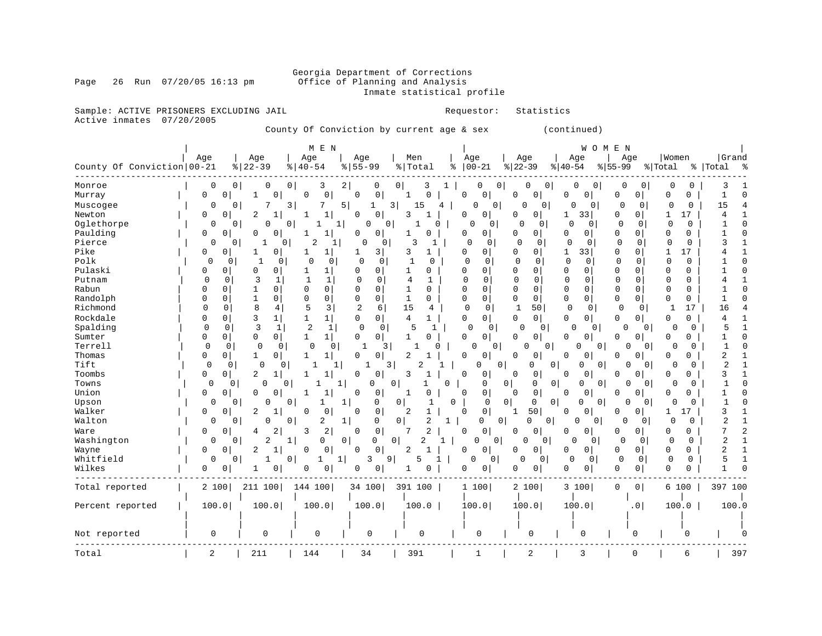### Georgia Department of Corrections<br>Page 26 Run 07/20/05 16:13 pm office of Planning and Analysis Office of Planning and Analysis Inmate statistical profile

Sample: ACTIVE PRISONERS EXCLUDING JAIL **Requestor:** Statistics Active inmates 07/20/2005

County Of Conviction by current age & sex (continued)

| Women<br>Age<br>Age<br>Men<br>Age<br>Age<br>Age<br>Age<br>Age<br>Age                                                                                                                                                           | Grand               |
|--------------------------------------------------------------------------------------------------------------------------------------------------------------------------------------------------------------------------------|---------------------|
|                                                                                                                                                                                                                                |                     |
| County Of Conviction   00-21<br>$8   22 - 39$<br>$8155 - 99$<br>$ 00-21$<br>$ 22-39$<br>$8140 - 54$<br>%   Total<br>နွ<br>$ 40-54$<br>$8155 - 99$<br>% Total                                                                   | %   Total<br>န္     |
| 2<br>0<br>0<br>0<br>0<br>0<br>3<br>0<br>0<br>0<br>0<br>0<br>O<br>0<br>0<br>0<br>0<br>Monroe<br>3<br>0                                                                                                                          | 3                   |
| 0<br>0<br>$\mathbf 0$<br>$\Omega$<br>0<br>0<br>$\Omega$<br>0<br>0<br>0<br>0<br>0<br>$\Omega$<br>Murray<br>0<br>$\Omega$<br>1<br>0<br>0<br>0<br>1                                                                               | $\mathbf 1$         |
| 0<br>3<br>3  <br>0<br>$\circ$<br>$\mathbf 0$<br>$\mathbf 0$<br>$\mathbf 0$<br>$\mathbf 0$<br>$\Omega$<br>0<br>$\mathbf 0$<br>7<br>5<br>4<br>$\Omega$<br>0<br>Muscogee<br>1<br>15                                               | 15                  |
| $\overline{2}$<br>1<br>$\mathbf 0$<br>3<br>0<br>33<br>$\mathbf 0$<br>$\overline{0}$<br>17<br>Newton<br>0<br>0<br>0<br>0<br>0<br>$\mathbf{1}$<br>0<br>1                                                                         | 4                   |
| Oglethorpe<br>$\Omega$<br>$\Omega$<br>$\mathbf 0$<br>0<br>$\mathbf 0$<br>0<br>$\mathbf 0$<br>0<br>0<br>$1\vert$<br>0<br>0<br>O<br>0<br>$\Omega$<br>0<br>0<br>$\Omega$                                                          | 1                   |
| Paulding<br>0<br>0<br>0<br>0<br>0<br>0<br>$\Omega$<br>0<br>1<br>0<br>0<br>0<br>0<br>$\circ$<br>$\overline{0}$<br>0<br>0<br>1<br>O                                                                                              |                     |
| 2<br>Pierce<br>0<br>0<br>3<br>$\Omega$<br>0<br>0<br>$\Omega$<br>0<br>$\Omega$<br>0<br>0<br>$\cap$<br>0<br>0<br>0<br>-1<br>0<br>1<br>1                                                                                          | κ                   |
| $\mathbf 0$<br>17<br>Pike<br>0<br>0<br>1<br>3<br>3<br>0<br>0<br>$\Omega$<br>$\Omega$<br>1<br>33<br>0<br>$\mathbf{1}$<br>0<br>1<br>1<br>1<br>1                                                                                  |                     |
| Polk<br>$\mathbf{0}$<br>$\mathbf 0$<br>0<br>0<br>1<br>0<br>$\Omega$<br>0<br>$\Omega$<br>0<br>$\mathbf{1}$<br>0<br>0<br>0<br>0<br>$\Omega$<br>0<br>0<br>0<br>0                                                                  |                     |
| Pulaski<br>$\Omega$<br>$\mathbf 0$<br>$\Omega$<br>0<br>0<br>$\mathbf{1}$<br>0<br>0<br>1<br>O<br>0<br>0<br>$\Omega$<br>0<br>0<br>0<br>0<br>1<br>0<br>0                                                                          |                     |
| $\Omega$<br>3<br>$\mathbf{1}$<br>$\Omega$<br>$\Omega$<br>$\Omega$<br>$\Omega$<br>Putnam<br>0<br>1<br>$\mathbf{1}$<br>$\Omega$<br>1<br>$\Omega$<br>0<br>$\Omega$<br>$\Omega$<br>0<br>0<br>$\cap$<br>4                           |                     |
| 0<br>Rabun<br>$\Omega$<br>$\Omega$<br>$\Omega$<br>0<br>$\Omega$<br>$\mathbf{0}$<br>$\Omega$<br>U<br>0<br>1<br>0<br>1<br>0<br>U<br>0<br>0<br>0<br>$\Omega$<br>$\Omega$                                                          |                     |
| Randolph<br>$\mathbf 0$<br>1<br>0<br>0<br>$\mathbf 0$<br>0<br>1<br>$\Omega$<br>0<br>$\mathbf{0}$<br>0<br>0<br>0<br>0<br>0<br>0<br>$\Omega$<br>0<br>0<br>0                                                                      |                     |
| 8<br>3<br>$\overline{2}$<br>$\mathbf 0$<br>50<br>$\mathbf 0$<br>17<br>Richmond<br>$\Omega$<br>5<br>6<br>15<br>$\mathbf 0$<br>$\mathbf 0$<br>$\mathbf{1}$<br>0<br>4<br>1<br>0<br>0<br>4                                         | 16                  |
| Rockdale<br>3<br>$\mathbf 1$<br>$\circ$<br>0<br>$\mathbf 1$<br>1<br>0<br>0 <sup>1</sup><br>4<br>1<br>0<br>0<br><sup>0</sup><br>0<br>0 <sup>1</sup><br>0<br>$\overline{0}$<br>$\Omega$<br>0<br>0                                | 4                   |
| 3<br>Spalding<br>$\overline{2}$<br>$\mathbf{1}$<br>$\mathbf 0$<br>0<br>$\mathbf{1}$<br>$\mathbf 0$<br>$\mathsf{O}$<br>5<br>$\mathbf 0$<br>$\circ$<br>$\mathbf{1}$<br>0<br>$\Omega$<br>0<br>0<br>$\Omega$<br>0<br>$\Omega$<br>∩ | 5                   |
| Sumter<br>$\mathbf 0$<br>$\overline{0}$<br>$1\vert$<br>$\mathbf 0$<br>$\circ$<br>0<br>$\overline{0}$<br>0<br>0<br>1<br>1<br>0<br><sup>0</sup><br>0<br>0<br>0<br>$\Omega$<br>O<br>0<br>O                                        |                     |
| Terrell<br>$\mathbf 0$<br>$\Omega$<br>$\mathbf{1}$<br>3<br>0<br>0<br>0<br>0<br>0<br>$\Omega$<br>0<br>በ<br>$\Omega$<br>O<br>$\overline{0}$<br>0<br>$\Omega$<br>U                                                                | $\mathbf{1}$        |
| 0<br>$\circ$<br>$\mathbf{1}$<br>$\mathbf 0$<br>2<br>0<br>$\overline{0}$<br>Thomas<br>0<br>1<br>1<br>0<br>1<br>0<br>0<br>0<br>0<br>0<br>0<br>0<br>0                                                                             | 2                   |
| Tift<br>0<br>$\mathbf 0$<br>2<br>$\mathbf 0$<br>0<br>1<br>3<br>0<br>0<br>0<br>0<br>$\cap$<br>$\overline{0}$<br>0<br>$\Omega$<br>0<br>0<br>1                                                                                    | 2                   |
| 2<br>3<br>Toombs<br>0<br>1<br>$\Omega$<br>0<br>1<br>0<br>0<br>$\Omega$<br>0<br>0<br>0<br>0<br>0<br>$\Omega$<br>0<br>1<br>-1<br>$\Omega$                                                                                        | 3                   |
| Towns<br>0<br>1<br>0<br>0<br>0<br>0 <sup>1</sup><br>0<br> 0 <br> 0 <br>0<br>0<br>0<br>0<br>0<br>0<br>0<br>0<br>0                                                                                                               |                     |
| 0<br>0<br>Union<br>0<br>0<br>$\Omega$<br>0<br>0<br>0<br>0<br>0<br>$\Omega$<br>1<br>-1<br>O<br>0<br>$\Omega$<br>0<br>O<br>O                                                                                                     | 1                   |
| 0<br>0<br>0<br>0<br>0<br>1<br>0<br>0<br>0<br>0<br>0<br>0<br>$\Omega$<br>Upson<br>0<br>1<br>1<br><sup>0</sup><br>0<br>U<br>0                                                                                                    | $\mathbf{1}$        |
| 0<br>Walker<br>0<br>0<br>2<br>50<br>0<br>0<br>2<br>$\Omega$<br>1<br>0<br>0<br>$\overline{0}$<br>17<br>0<br>O<br>1<br>-1                                                                                                        | 3                   |
| $\overline{a}$<br>2<br>$\mathbf 0$<br>0<br>Walton<br>0<br>0<br>0<br>1<br>0  <br>1<br>$\Omega$<br>0<br>0<br>0<br>$\Omega$<br>0<br>0<br>0<br>0<br>$\Omega$                                                                       | $\overline{2}$      |
| 2<br>2<br>0<br>7<br>2<br>0<br>0<br>4<br>3<br>0<br>0<br>0<br>0<br>0<br>$\Omega$<br>0<br>$\overline{0}$<br>O<br>0<br>Ware<br>O                                                                                                   | 7                   |
| Washington<br>2<br>0<br>0<br>2<br>$\mathbf 0$<br>0<br>$\mathbf 0$<br>1<br>0<br>0<br>$\Omega$<br>$\overline{0}$<br>0<br>0<br>O<br>0<br>0<br>$\Omega$<br>1<br>0                                                                  | $\overline{2}$<br>1 |
| $\overline{2}$<br>0<br>$\mathbf 0$<br>2<br>$\mathbf{1}$<br>0<br>$\mathbf 0$<br>$\overline{0}$<br>0<br>0<br>0<br>0<br>$\Omega$<br>0 <sup>1</sup><br>0<br>0<br>Wayne<br>0<br>U<br>0                                              | 2                   |
| Whitfield<br>0<br>3<br>9<br>5<br>$\mathbf 0$<br>$\mathbf 0$<br>0<br>1<br>0<br>0 <sup>1</sup><br>$\Omega$<br>0<br>0<br>0<br>$\Omega$<br>0<br>1<br>1<br>0                                                                        | 5<br>-1             |
| Wilkes<br>0<br>0<br>$\mathbf 0$<br>0<br>$\mathbf 0$<br>0<br>0<br>0<br>0<br>0<br>0<br>1<br>0<br>0<br>0<br>$\overline{0}$<br>0<br>1<br>0                                                                                         |                     |
| 2 100<br>211 100<br>144 100<br>391 100<br>3 100<br>$\mathsf{O}$<br>0 <sup>1</sup><br>Total reported<br>34 100<br>1 100<br>2 100<br>6 100                                                                                       | 397 100             |
|                                                                                                                                                                                                                                |                     |
| 100.0<br>100.0<br>100.0<br>100.0<br>100.0<br>100.0<br>100.0<br>100.0<br>100.0<br>Percent reported<br>. 0                                                                                                                       | 100.0               |
|                                                                                                                                                                                                                                |                     |
|                                                                                                                                                                                                                                |                     |
| 0<br>0<br>0<br>0<br>0<br>0<br>0<br>0<br>0<br>Not reported<br>$\Omega$                                                                                                                                                          |                     |
| 2<br>211<br>144<br>34<br>391<br>2<br>3<br>0<br>Total<br>6<br>1                                                                                                                                                                 | 397                 |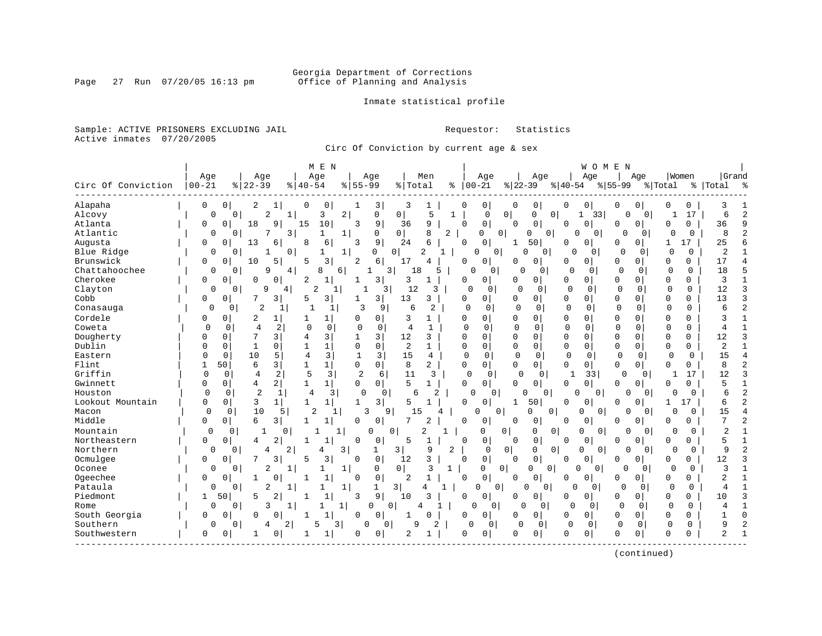### Georgia Department of Corrections<br>Page 27 Run 07/20/05 16:13 pm office of Planning and Analysis Office of Planning and Analysis

Inmate statistical profile

Sample: ACTIVE PRISONERS EXCLUDING JAIL **Requestor:** Statistics Active inmates 07/20/2005

Circ Of Conviction by current age & sex

|                    |              |                     |                               | M E N                          |                |                     |                |                                |              |                               |                |                      |             | WOMEN                      |              |                |              |             |                |                |
|--------------------|--------------|---------------------|-------------------------------|--------------------------------|----------------|---------------------|----------------|--------------------------------|--------------|-------------------------------|----------------|----------------------|-------------|----------------------------|--------------|----------------|--------------|-------------|----------------|----------------|
|                    | Age          |                     | Age                           | Age                            |                | Age                 |                | Men                            |              | Age                           |                | Age                  |             | Age                        |              | Age            |              | Women       | Grand          |                |
| Circ Of Conviction | $ 00 - 21$   | $\frac{8}{22} - 39$ |                               | $8   40 - 54$                  | $8155 - 99$    |                     | %   Total      |                                | %            | $00 - 21$                     | $ 22-39 $      |                      | $ 40-54$    |                            | $8 55-99$    |                | % Total      |             | %   Total      | ్య             |
| Alapaha            | 0            | 0                   | 2                             | 0<br>0                         |                | 3                   | 3              | 1                              | 0            | 0                             | 0              | 0                    | 0           | 0                          | 0            | 0              | 0            | 0           | 3              |                |
| Alcovy             | 0            | $\mathbf 0$         | $\overline{2}$<br>1           | 3                              | 2              | $\mathbf 0$         | 0              | 5                              | $\mathbf{1}$ | $\mathbf 0$                   | 0 <sup>1</sup> | 0<br>0               | 1           | 33                         | 0            | 0 <sup>1</sup> |              | 17          | 6              | $\overline{2}$ |
| Atlanta            | $\Omega$     | $\Omega$<br>18      | 9                             | 10<br>15                       | 3              | 9                   | 36             | 9                              | $\Omega$     | $\mathbf{0}$                  | $\Omega$       | $\mathbf 0$          | 0           | $\mathbf 0$                | $\Omega$     | 0              | $\Omega$     | $\mathbf 0$ | 36             | 9              |
| Atlantic           | $\Omega$     | 0                   | 3<br>7                        | 1                              | 1              | $\Omega$            | 0              | 8                              | 2            | $\Omega$                      | $\circ$<br>0   | 0                    | $\Omega$    | 0                          | $\Omega$     | $\Omega$       | O            | $\Omega$    | 8              | $\overline{2}$ |
| Augusta            | 0            | 13<br>0             | 6                             | 8<br>6                         | 3              | 9                   | 24             | 6                              | $\Omega$     | 0                             | 1              | 50                   | U           | $\Omega$                   | 0            | 0              | 1            | 17          | 25             |                |
| Blue Ridge         | $\Omega$     | 0                   | $\mathbf 0$<br>-1             | 1                              | 1              | $\Omega$            | $\overline{0}$ | $\overline{2}$<br>$\mathbf{1}$ |              | 0<br>$\Omega$                 | $\Omega$       | $\Omega$             | ∩           | 0                          | $\Omega$     | $\Omega$       | $\Omega$     | $\Omega$    | 2              |                |
| Brunswick          | 0            | 10<br>0             | 5                             | 3<br>5                         | 2              | 6                   | 17             | 4                              | 0            | 0                             | O              | $\circ$              | 0           | 0                          | 0            | 0              | 0            | 0           | 17             |                |
| Chattahoochee      | 0            | $\Omega$            | 9<br>4                        | 8                              | 6              | $\mathbf{1}$        | 3 <br>18       | 5                              |              | $\Omega$<br>0                 | $\Omega$       | $\Omega$             | $\Omega$    | $\Omega$                   | 0            | $\Omega$       | $\Omega$     | $\Omega$    | 18             | 5              |
| Cherokee           | 0            | 0<br>0              | 0                             | 2<br>$\mathbf{1}$              | -1             | $\overline{3}$      | 3              | -1                             | 0            | 0                             | O              | 0                    | 0           | $\mathbf{0}$               | $\Omega$     | 0              | 0            | 0           | 3              | 1              |
| Clayton            | $\Omega$     | 0                   | 9<br>4                        | $\overline{c}$                 | 1              | 3                   | 12             | 3                              |              | $\Omega$<br>0                 | $\cap$         | 0                    | $\Omega$    | 0                          | $\Omega$     | $\mathbf 0$    | $\Omega$     | $\Omega$    | 12             | 3              |
| Cobb               | 0            | 0                   | 7<br>3                        | 3<br>5                         |                | 3 <sup>1</sup>      | 13             | 3                              | 0            | 0                             | O              | $\Omega$             | 0           | 0                          | U            | $\Omega$       | 0            | 0           | 13             | 3              |
| Conasauga          | $\Omega$     | 0                   | $\overline{2}$<br>1           | 1                              | 3              | 9                   | 6              | 2                              |              | $\Omega$<br>$\Omega$          | 0              | $\Omega$             | $\mathbf 0$ | 0                          | $\Omega$     | 0              | $\mathbf 0$  | 0           | 6              | $\overline{2}$ |
| Cordele            | 0            | 0                   | 2<br>1                        | 1                              | 0              | $\Omega$            | 3              | 1                              | 0            | $\Omega$                      | 0              | $\Omega$             | 0           | $\Omega$                   | $\Omega$     | $\Omega$       | $\mathbf 0$  | $\Omega$    | 3              |                |
| Coweta             | $\Omega$     | $\mathbf 0$         | 4<br>2                        | $\Omega$<br>$\mathbf 0$        | $\mathbf 0$    | $\mathbf 0$         | $\overline{4}$ | $\mathbf{1}$                   |              | $\Omega$<br>$\Omega$          | $\Omega$       | $\Omega$             | $\Omega$    | $\Omega$                   | $\Omega$     | $\Omega$       | $\Omega$     | 0           | $\overline{4}$ |                |
| Dougherty          | $\Omega$     | 7<br>$\Omega$       | 3                             | 3<br>4                         | 1              | $\overline{3}$      | 12             | 3                              | $\Omega$     | $\Omega$                      | $\Omega$       | $\Omega$             | $\Omega$    | $\Omega$                   | $\Omega$     | $\Omega$       | $\mathbf 0$  | $\Omega$    | 12             | 3              |
| Dublin             | $\Omega$     | $\Omega$<br>1       | $\Omega$                      | $\mathbf 1$                    | $\mathbf 0$    | $\mathbf 0$         | $\overline{2}$ | $\mathbf{1}$                   | $\Omega$     | 0                             | $\Omega$       | $\Omega$             | 0           | $\mathbf 0$                | $\Omega$     | $\Omega$       | $\mathbf 0$  | 0           | $\overline{2}$ |                |
| Eastern            | $\cap$       | 10<br>$\Omega$      | 5                             | 3<br>$\overline{4}$            | $\mathbf{1}$   | 3                   | 15             | 4                              |              | $\Omega$<br>$\Omega$          | $\Omega$       | $\Omega$             | $\Omega$    | $\Omega$                   | $\Omega$     | $\Omega$       | $\Omega$     | $\Omega$    | 15             | $\overline{4}$ |
| Flint              | $\mathbf{1}$ | 50                  | 3<br>6                        | 1 <sup>1</sup><br>$\mathbf{1}$ | $\Omega$       | $\circ$             | 8              | 2                              |              | 0<br>0                        | 0              | 0                    | 0           | $\overline{0}$             | $\Omega$     | $\overline{0}$ | $\Omega$     | 0           | 8              | $\overline{c}$ |
| Griffin            | $\mathbf 0$  | 0                   | 2<br>$\overline{4}$           | 5<br>$\overline{3}$            | $\overline{c}$ | 6                   | 11             | 3                              |              | $\mathbf 0$<br>0              | Ω              | $\mathbf 0$          |             | 33                         | $\Omega$     | 0 <sup>1</sup> | 1            | 17          | 12             | 3              |
| Gwinnett           | $\Omega$     | 0                   | $\overline{2}$<br>4           | $\mathbf 1$<br>1 <sup>1</sup>  | $\Omega$       | 0 <sup>1</sup>      | 5              | $\mathbf{1}$                   | $\Omega$     | $\overline{0}$                | <sup>0</sup>   | 0                    | $\Omega$    | 0                          | $\Omega$     | $\Omega$       | $\Omega$     | $\Omega$    | $\overline{5}$ | $\mathbf{1}$   |
| Houston            | $\Omega$     | 0                   | $\overline{2}$<br>1           | 4                              | 3 <br>$\Omega$ | $\overline{0}$      | 6              | $\overline{2}$                 |              | $\Omega$<br>0                 | O              | $\mathbf{0}$         | $\Omega$    | 0                          | O            | $\Omega$       | O            | 0           | 6              | $\overline{2}$ |
| Lookout Mountain   | $\Omega$     | $\mathbf 0$         | 3<br>$\mathbf{1}$             | $\mathbf{1}$<br>$\mathbf{1}$   | $\mathbf 1$    | $\overline{3}$      | 5              | 1                              | O            | 0                             | 1              | 50                   | O           | 0                          | <sup>0</sup> | 0              | -1           | 17          | 6              | $\overline{c}$ |
| Macon              | $\Omega$     | $\Omega$            | 10<br>5                       | $\overline{2}$                 | 1              | 3<br>9              | 1.5            | 4                              |              | $\cap$                        | 0              | 0<br>0               |             | $\Omega$<br>O              |              | $\Omega$       | U            | 0           | 15             |                |
| Middle             | 0            | 0                   | 6<br>3                        | $\mathbf{1}$<br>$\mathbf{1}$   | 0              | $\circ$             | 7              | 2                              | 0            | 0                             | <sup>0</sup>   | 0                    | 0           | 0                          | 0            | 0              | 0            | 0           | 7              | $\overline{c}$ |
| Mountain           | 0            | 0                   | 0                             |                                |                | $\Omega$            | 0              | 2                              |              | 0                             | 0              | 0<br>0               |             | $\overline{0}$<br>$\Omega$ | 0            | $\Omega$       | $\Omega$     | 0           | $\overline{c}$ |                |
| Northeastern       | 0            | $\Omega$            | 2<br>4                        | 1                              | $\mathbf 0$    | $\mathbf 0$         | 5              | $\mathbf{1}$                   | $\Omega$     | 0                             | $\Omega$       | $\mathbf 0$          | 0           | $\mathbf 0$                | <sup>0</sup> | $\mathbf 0$    | $\mathbf 0$  | 0           | 5              |                |
| Northern           | 0            | $\Omega$            | 2<br>4                        | 4                              | 3              | 1                   | 3              | 9                              | 2            | $\mathbf 0$                   | $\overline{0}$ | 0<br>$\mathbf 0$     | $\mathbf 0$ | 0 <sup>1</sup>             | $\Omega$     | $\Omega$       | $\Omega$     | 0           | 9              | 2              |
| Ocmulgee           | $\Omega$     | 0                   | 7<br>3                        | 3<br>5                         | $\Omega$       | $\mathbf 0$         | 12             | 3                              | $\Omega$     | 0                             | $\Omega$       | $\mathbf 0$          | 0           | $\Omega$                   | 0            | 0              | $\Omega$     | 0           | 12             | 3              |
| Oconee             | $\Omega$     | $\Omega$            | $\overline{a}$<br>$\mathbf 1$ | 1                              | $\mathbf{1}$   | $\Omega$            | 0              | 3                              | $\mathbf{1}$ | $\Omega$                      | $\Omega$       | $\Omega$<br>$\Omega$ | U           | $\Omega$                   | $\Omega$     | $\Omega$       | $\Omega$     | $\Omega$    | 3              | $\mathbf{1}$   |
| Ogeechee           | 0            | $\Omega$            | $\Omega$                      | $\mathbf{1}$                   | $\Omega$       | 0                   | $\overline{2}$ | $\mathbf{1}$                   | 0            | 0                             | $\Omega$       | 0                    | 0           | 0                          | 0            | $\Omega$       | $\Omega$     | 0           | $\overline{2}$ |                |
| Pataula            | 0            | 0                   | $\overline{2}$<br>1           |                                | 1              | 1                   | 3              | 4<br>1                         |              | $\overline{0}$<br>$\mathbf 0$ | $\Omega$       | $\mathbf 0$          | $\Omega$    | 0                          | 0            | $\mathbf{0}$   | $\Omega$     | 0           | 4              |                |
| Piedmont           | 1            | 50<br>5             | $\overline{a}$                | $\mathbf{1}$<br>-1             | 3              | 9 <sup>1</sup>      | 10             | 3                              | U            | 0                             | O              | 0                    | 0           | 0                          | $\Omega$     | 0              | $\mathbf{0}$ | 0           | 10             | 3              |
| Rome               | 0            | 0                   | 3<br>1                        |                                | 1              | U                   | $\mathbf 0$    |                                |              | 0                             | 0              | $\Omega$             | $\Omega$    | $\Omega$                   | $\Omega$     | 0              | 0            | $\Omega$    | 4              |                |
| South Georgia      | $\Omega$     | <sup>0</sup>        | O<br>$\Omega$                 | $\mathbf{1}$<br>1              | 0              | $\Omega$            | 1              | <sup>0</sup>                   | U            | 0                             | $\Omega$       | $\Omega$             | 0           | $\Omega$                   | <sup>0</sup> | $\Omega$       | $\Omega$     | $\Omega$    |                | $\Omega$       |
| Southern           | 0            | $\mathbf{0}$        | 2 <br>4                       | 5                              | 3              | 0<br>$\overline{0}$ | 9              | $\overline{2}$                 |              | $\Omega$<br>$\Omega$          | $\mathbf 0$    | $\mathbf 0$          | $\mathbf 0$ | $\Omega$                   | $\mathbf 0$  | 0              | $\Omega$     | $\Omega$    | 9              | $\overline{c}$ |
| Southwestern       | 0            | 0                   | 0                             | 1                              | 0              | $\mathbf 0$         | $\overline{2}$ | 1                              |              | 0<br>0                        | O              | 0                    | 0           | 0                          | $\Omega$     | $\mathbf 0$    | $\Omega$     | U           | $\overline{a}$ | $\mathbf{1}$   |
|                    |              |                     |                               |                                |                |                     |                |                                |              |                               |                |                      |             |                            |              |                |              |             |                |                |

(continued)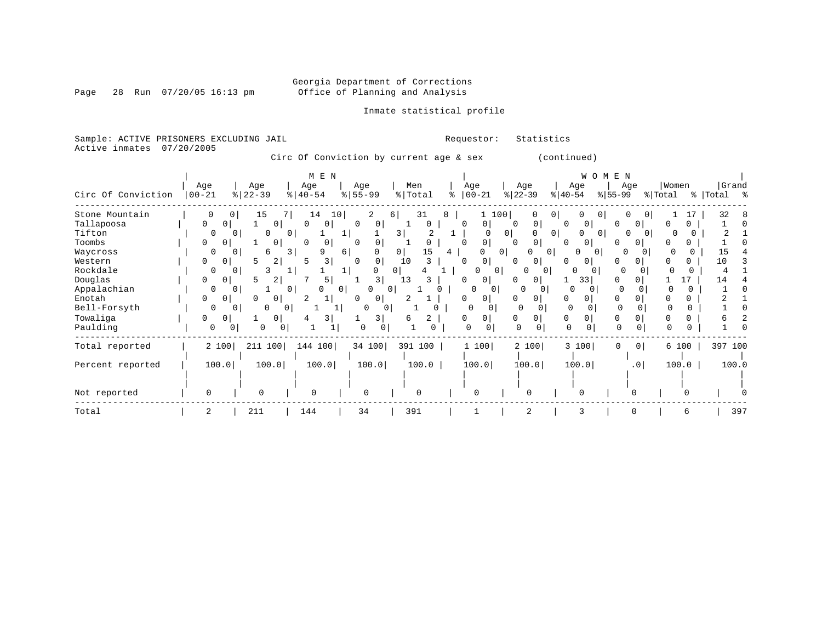Page 28 Run  $07/20/05$  16:13 pm

#### Inmate statistical profile

Sample: ACTIVE PRISONERS EXCLUDING JAIL Requestor: Statistics Active inmates 07/20/2005

Circ Of Conviction by current age & sex (continued)

|                    |               |                          | M E N                 |                          |           |                   |                |                                        | WOMEN                              |          |           |
|--------------------|---------------|--------------------------|-----------------------|--------------------------|-----------|-------------------|----------------|----------------------------------------|------------------------------------|----------|-----------|
|                    | Age           | Age                      | Age                   | Age                      | Men       | Age               | Age            | Age                                    | Age                                | Women    | Grand     |
| Circ Of Conviction | $00 - 21$     | $ 22-39$                 | $\frac{1}{6}$   40-54 | $8 55-99$                | %   Total | $8   00 - 21$     | $ 22-39 $      | $ 40-54 $                              | $ 55-99 $                          | % Total  | % Total % |
| Stone Mountain     |               | 15<br>0                  | 14<br>10              | 2                        | 31<br>6   | 8<br>1 100        | 0              | $\overline{0}$<br>$\Omega$<br>$\Omega$ | 0 <sup>1</sup>                     | 17       | 32        |
| Tallapoosa         | 0<br>$\Omega$ | $\overline{0}$           | 0<br>0                | 0 <sup>1</sup>           | 0         | 0<br><sup>0</sup> | 0              | 0 <sup>1</sup><br>0                    | $\overline{0}$<br>$\left( \right)$ |          |           |
| Tifton             | $\Omega$      |                          | 01                    |                          | 3         |                   | 0 <sup>1</sup> | $\overline{0}$<br>0<br>$\Omega$        | 0 <sup>1</sup>                     |          |           |
| Toombs             | 0<br>0        | 0                        | 0<br>$\Omega$         | $\Omega$                 |           | 0                 | 0              | 0<br>$\Omega$                          |                                    |          |           |
| Waycross           | O             | 6                        | 3<br>Q                | 6                        | 0<br>15   | 4                 | 0              |                                        |                                    |          |           |
| Western            | 0<br>0        | 2<br>5                   | 3                     | $\Omega$<br><sup>n</sup> | 10        | 0<br>n            | $\Omega$       | 0                                      |                                    |          | 10        |
| Rockdale           | $\Omega$      | $\Omega$                 |                       |                          | 0 I       |                   | U<br>- 0       | 0                                      | $\cap$                             |          |           |
| Douglas            | 0<br>0        | $\overline{2}$<br>5      | 5                     | 3                        | 13        | 0                 | $\Omega$       | 33                                     |                                    | 17       | 14        |
| Appalachian        | 0             | $\Omega$                 | 0 <sup>1</sup>        | 01                       | $\Omega$  |                   | $\Omega$       | $\Omega$                               |                                    | $\Omega$ |           |
| Enotah             | 0<br>0        |                          |                       | 0                        |           | 0                 | $\Omega$<br>0  | 0                                      |                                    |          |           |
| Bell-Forsyth       | 0             | <sup>n</sup><br>$\Omega$ | 01                    | 0                        |           |                   |                |                                        |                                    |          |           |
| Towaliga           | 0<br>0        | 0                        | 3                     | 3                        | 2<br>6    | 0                 | 0              | 0                                      | 0                                  |          |           |
| Paulding           | 0             | 0<br>0                   |                       | 0<br>$\Omega$            |           | $\Omega$          | $\cap$         | $\Omega$                               | $\Omega$                           |          |           |
| Total reported     | 2 100         | 211 100                  | 144 100               | 34 100                   | 391 100   | 1 100             | 2 100          | 3 100                                  | 0 <sup>1</sup><br>$\Omega$         | 6 100    | 397 100   |
| Percent reported   | 100.0         | 100.0                    | 100.0                 | 100.0                    | 100.0     | 100.0             | 100.0          | 100.0                                  | .0                                 | 100.0    | 100.0     |
|                    |               |                          |                       |                          |           |                   |                |                                        |                                    |          |           |
| Not reported       |               | $\Omega$                 | 0                     | $\Omega$                 | $\Omega$  | $\Omega$          | $\cap$         | $\Omega$                               |                                    |          |           |
| Total              |               | 211                      | 144                   | 34                       | 391       |                   | $\overline{c}$ | 3                                      |                                    |          | 397       |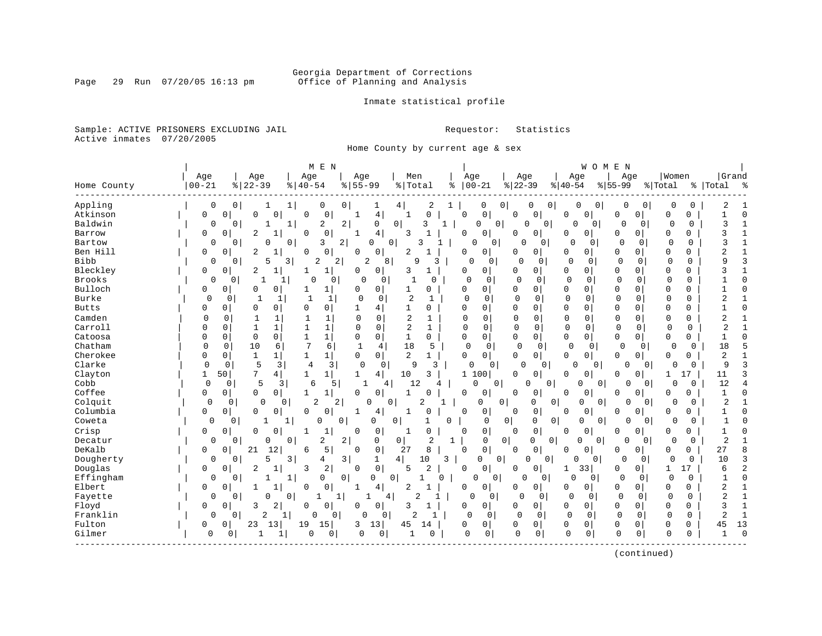#### Georgia Department of Corrections<br>Page 29 Run 07/20/05 16:13 pm office of Planning and Analysis Office of Planning and Analysis

Inmate statistical profile

Sample: ACTIVE PRISONERS EXCLUDING JAIL **Requestor:** Statistics Active inmates 07/20/2005

Home County by current age & sex

|               |             |                         |                                   | M E N                                   |                                  |               |                            |                            | WOMEN                                     |                                        |                          |
|---------------|-------------|-------------------------|-----------------------------------|-----------------------------------------|----------------------------------|---------------|----------------------------|----------------------------|-------------------------------------------|----------------------------------------|--------------------------|
|               | Age         | Age                     | Age                               | Age                                     | Men                              | Age           | Age                        | Age                        | Age                                       | Women                                  | Grand                    |
| Home County   | $ 00 - 21$  | $8   22 - 39$           | $8   40 - 54$                     | $8 55-99$                               | %   Total                        | $ 00-21$<br>ႜ | $ 22-39$                   | $ 40-54$                   | $ 55-99$                                  | % Total                                | %   Total<br>း           |
| Appling       |             | 0<br>0                  | 1                                 | 0<br>0                                  | 4  <br>2                         |               | 0<br>0<br>0                | 0                          | 0<br>0                                    | 0<br>0<br>0                            | 2                        |
| Atkinson      | 0           | $\Omega$<br>$\Omega$    | $\Omega$<br>$\Omega$              | 0<br>$\overline{4}$<br>-1               | 0<br>1                           | $\Omega$      | 0<br>$\Omega$              | $\mathbf 0$<br>0           | $\mathbf 0$<br>0<br>0                     | $\mathbf 0$<br>0                       | $\Omega$                 |
| Baldwin       |             | 0<br>$\overline{0}$     | 1                                 | 2<br>2<br>0                             | 0<br>3                           | 0<br>1        | 0<br>0                     | $\Omega$<br>0              | 0<br>0                                    | 0<br>$\Omega$<br>0                     | 3                        |
| Barrow        | 0           | $\Omega$<br>2           | $\Omega$                          | 0<br>$\overline{4}$<br>1                | 3<br>$\mathbf{1}$                | $\Omega$      | 0<br>$\Omega$              | 0<br>0                     | $\mathbf 0$<br>$\Omega$<br>0              | $\mathbf 0$<br>$\Omega$                | ζ<br>$\mathbf{1}$        |
| Bartow        |             | 0<br>0                  | O<br>0                            | 3<br>2 <br>0                            | 0<br>२                           | O             | 0<br>C                     | $\Omega$<br>0              | $\Omega$<br>0<br>0                        | $\Omega$<br>0                          | 3                        |
| Ben Hill      | 0           | 2<br>$\Omega$           | O                                 | 0<br>$\Omega$<br>$\mathbf 0$            | 2                                | $\Omega$      | $\mathbf 0$<br>0           | 0<br>0                     | 0<br>0<br>0                               | $\Omega$<br>$\Omega$                   | 2                        |
| Bibb          |             | 0<br>$\Omega$           | 5<br>3 <br>2                      | $\overline{2}$<br>2                     | 9<br>8                           | $\Omega$<br>3 | $\Omega$<br>$\Omega$       | $\Omega$<br>$\Omega$       | $\Omega$<br>$\Omega$<br>$\Omega$          | $\Omega$<br>$\Omega$                   | 9<br>3                   |
| Bleckley      | 0           | 0<br>2                  | 1                                 | 1<br>0<br>0                             | 3<br>1                           | 0             | 0<br>$\mathbf 0$           | $\mathbf 0$<br>0           | $\mathbf 0$<br>0<br>0                     | $\mathbf 0$<br>0                       | 3<br>1                   |
| <b>Brooks</b> |             | 0<br>$\mathbf 0$<br>1   | 0<br>1                            | $\mathbf 0$<br>0                        | 0<br>$\mathbf{1}$<br>$\mathbf 0$ | $\mathbf 0$   | $\mathbf 0$<br>$\Omega$    | $\mathbf 0$<br>$\mathbf 0$ | $\mathbf 0$<br>$\mathbf 0$<br>$\mathbf 0$ | $\mathbf 0$<br>0                       | $\Omega$                 |
| Bulloch       | 0           | 0<br>0                  | 0<br>1                            | 0<br>0<br>$\mathbf{1}$                  | $\mathbf{1}$<br>0                | $\mathbf 0$   | $\mathbf{0}$<br>0          | 0<br>0                     | 0<br>$\Omega$<br>0                        | 0<br>0                                 | $\Omega$                 |
| Burke         | 0           | 0<br>1                  | $\mathbf{1}$<br>1                 | 1<br>$\mathcal{C}$<br>0                 | $\overline{2}$<br>1              | 0             | 0<br>$\Omega$              | $\mathbf 0$<br>0           | $\mathbf 0$<br>$\mathbf 0$<br>0           | 0<br>0                                 | 2                        |
| <b>Butts</b>  | O           | $\Omega$<br>$\Omega$    | 0<br>$\Omega$                     | 0<br>4                                  | 1<br>0                           | $\Omega$      | $\Omega$<br>$\Omega$       | 0<br>0                     | 0<br>$\Omega$<br>0                        | $\mathbf 0$<br>$\Omega$                | $\Omega$                 |
| Camden        | $\mathbf 0$ | $\Omega$<br>1           | $\mathbf 1$<br>1                  | $\mathbf 1$<br>$\mathbf 0$<br>$\Omega$  | $\overline{2}$<br>1              | $\Omega$      | $\Omega$<br>$\mathbf 0$    | $\mathbf 0$<br>0           | $\mathbf 0$<br>$\Omega$<br>$\Omega$       | $\mathbf 0$<br>0                       | $\overline{a}$<br>1      |
| Carroll       | 0           | 0<br>$\mathbf{1}$       | $\mathbf{1}$<br>$\mathbf{1}$      | $\mathbf{1}$<br>$\Omega$<br>$\mathbf 0$ | $\overline{2}$<br>$\mathbf 1$    | 0             | 0<br>$\mathbf 0$           | $\mathbf 0$<br>$\mathbf 0$ | $\mathbf 0$<br>$\mathbf 0$<br>0           | $\Omega$<br>$\mathbf 0$                | $\overline{2}$           |
| Catoosa       | 0           | $\mathbf 0$<br>0        | 0<br>$\mathbf{1}$                 | $\mathbf{1}$<br>$\mathbf 0$<br>$\Omega$ | $\mathbf{1}$<br>0                | $\mathbf 0$   | $\mathbf 0$<br>$\mathbf 0$ | $\mathbf 0$<br>0           | $\mathbf 0$<br>0<br>0                     | $\mathbf 0$<br>0                       | $\cap$                   |
| Chatham       | $\Omega$    | 10<br>0                 | 7<br>6                            | 6<br>1<br>4                             | 18<br>5                          | $\Omega$      | 0<br>$\Omega$              | $\mathbf 0$<br>0           | 0<br>$\Omega$                             | 0<br>0<br>0                            | 18                       |
| Cherokee      | 0           | $\mathbf{1}$<br>0       | 1                                 | $\mathbf 0$<br>0<br>$\mathbf{1}$        | $\overline{2}$<br>1              | $\Omega$      | 0<br>$\mathbf 0$           | 0<br>0                     | 0<br>0<br>0                               | $\mathbf 0$<br>0                       | $\overline{2}$           |
| Clarke        | $\Omega$    | 5<br>0                  | 3<br>$\overline{4}$               | 3<br>$\mathbf 0$                        | 9<br>0                           | 3<br>$\Omega$ | 0<br>$\Omega$              | 0<br>U                     | $\Omega$<br>$\Omega$                      | $\Omega$<br>0<br>0                     | 9                        |
| Clayton       | 1           | 50<br>7                 | 4<br>1                            | $\mathbf{1}$<br>4 <sup>1</sup><br>1     | 10<br>3                          | 1 100         | 0                          | 0<br>0                     | 0<br>0<br>0                               | 17<br>1                                | 3<br>11                  |
| Cobb          | $\Omega$    | 5<br>0                  | 6<br>3                            | 5<br>-1                                 | 12<br>4                          | O<br>4        | 0<br>0                     | 0<br>0                     | 0 <sup>1</sup><br>0                       | $\overline{0}$<br>0<br>0               | 12<br>$\overline{4}$     |
| Coffee        | 0           | $\mathbf 0$<br>0        | 0<br>$\mathbf{1}$                 | $\mathbf 0$<br>1<br>$\Omega$            | $\mathbf{1}$<br>O                | 0             | 0<br>$\Omega$              | 0<br>0                     | 0<br>0<br>$\Omega$                        | 0<br>$\Omega$                          | $\Omega$<br>$\mathbf{1}$ |
| Colquit       | $\mathbf 0$ | $\mathbf 0$<br>0        | $\overline{2}$<br>0               | $\overline{2}$<br>$\Omega$              | 2<br>0                           | 0             | 0                          | 0<br>0<br>$\Omega$         | 0 <sup>1</sup><br>0                       | $\Omega$<br>O<br>0                     | $\overline{c}$           |
| Columbia      | 0           | 0<br>$\Omega$           | $\Omega$<br>$\Omega$              | 0<br>1<br>4                             | 1<br>O                           | $\mathbf 0$   | $\Omega$<br>0              | $\mathbf 0$<br>0           | $\mathbf 0$<br>$\Omega$<br><sup>0</sup>   | $\Omega$<br><sup>0</sup>               | $\Omega$                 |
| Coweta        |             | $\Omega$<br>$\mathbf 0$ | $\mathbf{1}$<br>$\Omega$          | $\mathbf 0$<br>$\Omega$                 | 0                                | 0             | $\Omega$<br>$\mathbf{0}$   | 0<br>0<br>0                | 0                                         | $\mathbf 0$<br>$\Omega$<br>0           | $\mathbf{1}$<br>$\cap$   |
| Crisp         | 0           | 0<br>0                  | 0                                 | 1<br>$\Omega$<br>0                      | 0                                | 0             | 0<br>$\mathbf 0$           | 0<br>0                     | 0<br>0<br>0                               | 0<br>0                                 |                          |
| Decatur       |             | 0<br>0                  | 0<br>0                            | $\overline{2}$<br>2<br>0                | 0<br>2                           | 1             | 0<br>$\overline{0}$<br>0   | $\Omega$<br>0              | 0<br>$\Omega$                             | $\mathbf 0$<br>0<br>$\Omega$           | $\overline{2}$           |
| DeKalb        | 0           | 21<br>0                 | 12<br>6                           | 5<br>$\mathsf 0$<br>$\Omega$            | 27<br>8                          | $\Omega$      | $\mathsf{O}$<br>$\Omega$   | 0<br>0                     | $\mathbf 0$<br>0<br>0                     | $\mathbf 0$<br>0                       | 27<br>8                  |
| Dougherty     |             | 0<br>$\Omega$           | 5<br>3                            | 3<br>4<br>1                             | 4 <sup>1</sup><br>10             | 3<br>0        | 0<br>$\Omega$              | $\Omega$<br>0              | 0<br>$\Omega$                             | $\mathbf 0$<br>$\mathbf 0$<br>$\Omega$ | 3<br>10                  |
| Douglas       | 0           | 2<br>0                  | 3                                 | 2<br>$\mathbf 0$<br>$\Omega$            | 2<br>5                           | $\Omega$      | 0<br>$\Omega$              | 0<br>1                     | 33<br>0<br>0                              | 17<br>1                                | $\overline{2}$<br>6      |
| Effingham     |             | 0<br>$\mathbf 0$        | 1                                 | $\mathbf 0$<br>0<br>0                   | $\overline{0}$<br>1              | 0<br>0        | $\mathbf 0$<br>0           | $\mathbf 0$<br>$\Omega$    | $\mathbf 0$<br>0                          | 0<br>$\mathbf 0$<br>$\mathbf 0$        | $\Omega$<br>$\mathbf{1}$ |
| Elbert        | 0           | 0                       | 0                                 | 0<br>4                                  | 2<br>$\mathbf{1}$                | 0             | 0<br>0                     | 0<br>0                     | $\overline{0}$<br>0<br>0                  | 0<br>0                                 | 2                        |
| Fayette       |             | 0<br>$\overline{0}$     | 0<br>$\mathbf{0}$<br>$\mathbf{1}$ | 1<br>1 <sup>1</sup>                     | $\overline{2}$<br>$\frac{4}{ }$  | 0<br>1        | 0<br>0                     | $\mathbf 0$<br>$\mathbf 0$ | $\mathbf 0$<br>0<br>$\mathbf 0$           | $\mathbf 0$<br>0                       | 2<br>$\mathbf{1}$        |
| Floyd         | 0           | 3<br>0                  | 2<br>$\Omega$                     | 0<br>0<br>$\Omega$                      | 3<br>1                           | 0             | 0<br>0                     | 0<br>0                     | 0<br>0<br>0                               | 0<br>0                                 | 3                        |
| Franklin      |             | 0<br>0                  | $\overline{2}$<br>1<br>$\Omega$   | $\Omega$<br>0                           | $\overline{2}$<br>1<br>$\Omega$  | $\Omega$      | $\mathbf 0$<br>$\Omega$    | $\mathbf 0$<br>0           | $\mathbf 0$<br>0<br>0                     | $\mathbf 0$<br>0                       | 2<br>$\mathbf{1}$        |
| Fulton        | 0           | 23<br>0                 | 13<br>19                          | 15<br>13<br>3                           | 45<br>14                         | 0             | 0<br>0                     | 0<br>0                     | 0<br>0<br>0                               | 0<br>0                                 | 13<br>45                 |
| Gilmer        |             | $\mathbf 0$<br>1<br>0   | O<br>1                            | 0<br>$\Omega$                           | 0<br>$\mathbf{1}$<br>0           | 0             | $\Omega$<br>0              | $\mathbf 0$<br>$\mathbf 0$ | $\mathbf 0$<br>$\mathbf 0$<br>0           | $\mathbf 0$<br>0                       | $\Omega$<br>$\mathbf{1}$ |
|               |             |                         |                                   |                                         |                                  |               |                            |                            |                                           |                                        |                          |

(continued)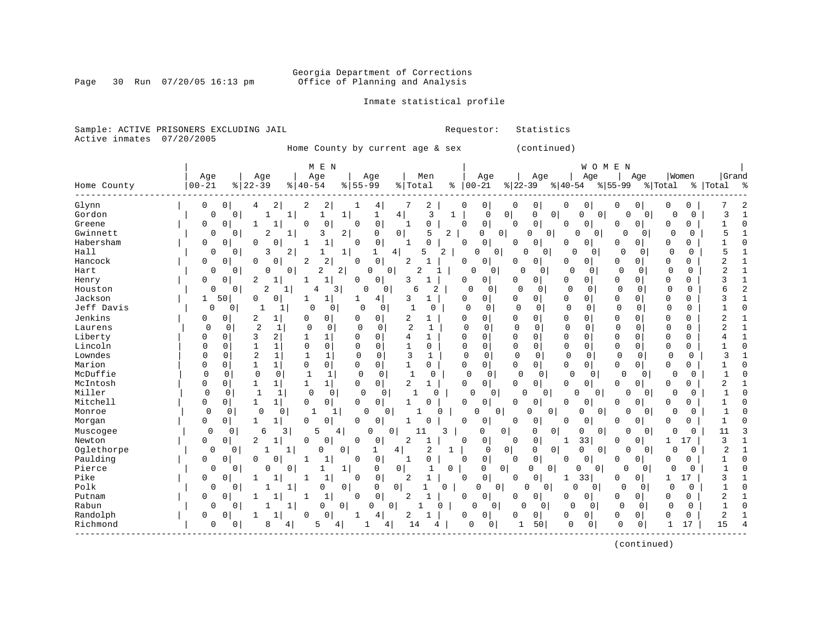#### Georgia Department of Corrections<br>Page 30 Run 07/20/05 16:13 pm office of Planning and Analysis Office of Planning and Analysis

#### Inmate statistical profile

Sample: ACTIVE PRISONERS EXCLUDING JAIL **Requestor:** Statistics Active inmates 07/20/2005

Home County by current age & sex (continued)

|             |                   |                         | M E N                         |                               |                                |             |                            |                             | WOMEN                |                             |                      |             |              |
|-------------|-------------------|-------------------------|-------------------------------|-------------------------------|--------------------------------|-------------|----------------------------|-----------------------------|----------------------|-----------------------------|----------------------|-------------|--------------|
|             | Age               | Age                     | Age                           | Age                           | Men                            |             | Age                        | Age                         | Age                  | Age                         | Women                |             | Grand        |
| Home County | $00 - 21$         | $ 22-39$                | $\frac{1}{6}$   40-54         | $55 - 99$<br>%                | % Total                        | ိ           | $00 - 21$                  | $ 22-39 $                   | $8 40-54$            | $8 55-99$                   | % Total              | %   Total   | ్య           |
| Glynn       | 0<br>0            | 4                       | 2<br>2<br>2                   | 4                             | 2                              | 0           | 0                          | 0<br>0                      | 0<br>0               | 0<br>0                      | 0<br>0               |             |              |
| Gordon      | 0                 | $\Omega$                | 1                             | $\mathbf{1}$<br>1             | 4<br>3                         | 1           | $\Omega$                   | 0 <br>0<br>0                | 0<br>0               | $\Omega$                    | 0                    | $\Omega$    | 3            |
| Greene      | 0<br>O            |                         | 0<br>U                        | $\mathbf 0$<br>U              | 0<br>-1                        | $\Omega$    | 0                          | $\mathbf 0$<br><sup>0</sup> | 0<br>0               | $\Omega$<br>$\Omega$        | 0<br>0               |             | 1<br>C       |
| Gwinnett    | 0                 | 2<br>0                  | 3<br>1                        | 2<br>0                        | 0<br>5                         | 2           | 0<br>0                     | 0<br>0                      | $\Omega$<br>O        | 0<br>0                      | $\Omega$             | 0           | 5            |
| Habersham   | 0<br>0            | $\Omega$                | U<br>1                        | 0<br>$\Omega$                 | O<br>1                         | $\Omega$    | 0                          | 0<br><sup>0</sup>           | 0<br>0               | 0<br>$\Omega$               | 0<br>0               |             |              |
| Hall        | 0                 | 3<br>0                  | 2<br>1                        | 1<br>1                        | 5<br>4<br>2                    |             | $\Omega$<br>$\Omega$       | 0<br>0                      | U<br>0               | $\Omega$<br>0               | $\Omega$             | $\Omega$    | 5            |
| Hancock     | 0<br>0            | $\Omega$                | $\overline{2}$<br>0<br>2      | $\mathbf{0}$<br>$\Omega$      | $\overline{2}$                 | 0           | 0                          | 0<br><sup>0</sup>           | 0<br>0               | 0<br>0                      | 0<br>0               |             | 2            |
| Hart        | 0                 | 0<br>$\Omega$           | 0<br>2                        | 2<br>O                        | 0<br>2                         |             | 0<br>0                     | $\Omega$<br>0               | $\Omega$<br>$\Omega$ | $\mathbf{0}$<br>0           | $\mathbf 0$          | $\Omega$    | 2            |
| Henry       | 0<br>0            | 2                       | $\mathbf{1}$                  | 0<br>0                        | 3                              | 0           | 0                          | 0<br><sup>0</sup>           | 0<br><sup>0</sup>    | $\Omega$<br>0               | 0<br>0               |             |              |
| Houston     | 0                 | 2<br>$\Omega$           | $\mathbf{1}$<br>4             | 3<br>$\Omega$                 | $\overline{2}$<br>0<br>6       |             | $\Omega$<br>$\Omega$       | $\Omega$<br>$\Omega$        | $\Omega$<br>$\Omega$ | $\Omega$<br>$\Omega$        | $\Omega$             | $\Omega$    | 6            |
| Jackson     | 50<br>1           | 0                       | 0<br>1                        | 4                             | 3<br>1                         | 0           | 0                          | 0<br>0                      | 0<br>0               | 0<br>0                      | 0<br>0               |             | 3            |
| Jeff Davis  | 0                 | 0<br>1                  | $\mathbf 0$<br>1              | 0 <br>$\Omega$<br>$\mathbf 0$ | 1<br>$\Omega$                  | $\mathbf 0$ | $\mathbf 0$                | $\Omega$<br>$\mathbf 0$     | 0<br>0               | $\mathbf{0}$<br>0           | $\Omega$<br>$\Omega$ |             | C            |
| Jenkins     | 0<br>0            | 2                       | 0<br>1<br>0                   | $\overline{0}$<br>0           | 2<br>1                         | 0           | 0                          | 0<br>0                      | 0<br>0               | 0<br>0                      | 0<br>0               |             | 2            |
| Laurens     | $\Omega$          | 2<br>0                  | 1<br>$\mathbf 0$<br>$\Omega$  | $\mathbf 0$<br>0              | $\overline{2}$<br>$\mathbf{1}$ | $\Omega$    | $\mathbf 0$                | $\mathbf 0$<br>$\Omega$     | $\mathbf 0$<br>0     | $\Omega$<br>$\Omega$        | $\mathbf 0$          | $\Omega$    | 2            |
| Liberty     | 0<br>O            | 3                       | 2<br>$\mathbf{1}$<br>1        | $\Omega$<br>0                 | 4<br>1                         | Ω           | 0                          | 0<br>0                      | 0<br>0               | $\Omega$<br>$\Omega$        | 0<br>0               |             | $\mathbf{1}$ |
| Lincoln     | 0<br>0            |                         | $\mathbf 0$<br>1<br>$\Omega$  | $\Omega$<br>0                 | 0                              | 0           | 0                          | 0<br>$\Omega$               | 0<br>0               | $\Omega$<br>0               | 0<br>0               |             | $\bigcap$    |
| Lowndes     | <sup>0</sup><br>0 | $\overline{2}$          | $\mathbf{1}$<br>$\mathbf 1$   | 0<br>0                        | 3                              | $\mathbf 0$ | $\mathbf 0$                | $\mathbf 0$<br>$\Omega$     | $\mathbf 0$<br>0     | $\Omega$<br>0               | $\mathbf 0$          | $\mathbf 0$ |              |
| Marion      | 0<br>O            | 1                       | 0<br>1<br>0                   | $\overline{0}$<br>0           | $\mathbf{1}$<br>0              | 0           | 0                          | $\Omega$<br>$\Omega$        | 0<br>$\Omega$        | 0<br>$\Omega$               | 0<br>0               |             |              |
| McDuffie    | 0                 | $\mathbf 0$<br>$\Omega$ | $\Omega$<br>1<br>$\mathbf{1}$ | $\mathbf 0$<br>0              | $\Omega$<br>$\mathbf{1}$       |             | $\mathbf 0$<br>0           | U<br>$\Omega$               | $\Omega$<br>0        | $\Omega$<br>$\Omega$        | 0                    | $\Omega$    |              |
| McIntosh    | 0<br>0            | 1                       | 1 <br>1<br>1                  | $\Omega$<br>$\circ$           | 2<br>$\mathbf{1}$              | 0           | 0                          | 0<br>0                      | 0<br>0               | 0<br>0                      | 0<br>0               |             | 2            |
| Miller      | $\Omega$          | $\mathbf{1}$<br>0       | $\mathbf 0$<br>1              | $\mathbf 0$<br>0<br>0         | $\mathbf{1}$<br>$\Omega$       |             | $\Omega$<br>0              | <sup>0</sup><br>0           | $\Omega$<br>0        | $\Omega$<br>0               | 0                    | $\Omega$    |              |
| Mitchell    | 0<br>0            | 1                       | 0<br>0                        | 0<br>$\overline{0}$           | U                              | $\Omega$    | 0                          | $\mathbf 0$<br>n            | $\Omega$<br>0        | $\mathbf 0$<br><sup>0</sup> | O<br>0               |             |              |
| Monroe      | $\Omega$          | $\mathbf 0$<br>0        | $\mathbf 0$<br>1              | O<br>1                        | 0<br>O                         |             | $\Omega$<br>0              | O<br>$\Omega$               | $\Omega$<br>0        | $\Omega$                    | U                    | $\Omega$    |              |
| Morgan      | 0<br>0            | 1.                      | $\Omega$<br>0                 | $\Omega$<br>0                 |                                | $\Omega$    | 0                          | 0<br><sup>0</sup>           | 0<br>0               | 0<br>$\Omega$               | 0<br>0               |             |              |
| Muscogee    | $\Omega$          | 0<br>6                  | 3<br>5                        | $\Omega$<br>4                 | 0<br>11                        | 3           | 0<br>0                     | 0<br>0                      | 0<br>0               | $\Omega$<br>U               | $\Omega$             | $\Omega$    | 11           |
| Newton      | 0<br>0            | 2                       | $\Omega$<br>0                 | $\Omega$<br>0                 | $\overline{2}$                 | $\Omega$    | 0                          | $\mathbf 0$<br>$\Omega$     | 33<br>1              | 0<br>$\Omega$               | 1<br>17              |             | 3            |
| Oglethorpe  | $\Omega$          | 0                       | 0<br>1                        | 0                             | 4<br>2                         | ı           | 0                          | 0 <br>0<br>0                | 0<br>0               | $\Omega$<br>0               | U                    | $\Omega$    | 2            |
| Paulding    | 0<br>0            | 0                       | $\mathbf{1}$<br>0             | $\mathbf 0$<br>$\Omega$       | 0<br>1                         | 0           | 0                          | $\mathsf 0$<br>0            | 0<br>0               | 0<br>0                      | 0<br>0               |             |              |
| Pierce      | 0                 | 0<br>0                  | 0                             | 1<br>0                        | 0<br>1                         | 0           | 0<br>0                     | 0<br>0                      | 0<br>0               | $\Omega$<br>0               | $\Omega$             | 0           |              |
| Pike        | 0<br>0            |                         | 1<br>1<br>-1                  | $\mathsf{O}$<br>$\Omega$      | 2<br>1                         | $\Omega$    | 0                          | $\Omega$<br>0               | 33<br>1              | 0<br>$\Omega$               | 17<br>1              |             | 3            |
| Polk        | 0                 | 0                       | 0<br>1                        | 0<br>0                        | 0 <sup>1</sup>                 | 0           | $\overline{0}$<br>$\Omega$ | $\Omega$<br>0               | 0<br>0               | $\Omega$<br>0               | $\Omega$             | 0           | ſ            |
| Putnam      | 0<br>0            |                         | $\mathbf{1}$<br>1             | 0<br>0                        | $\overline{2}$                 | $\Omega$    | 0                          | 0<br><sup>0</sup>           | 0<br>0               | $\Omega$<br>0               | 0<br>0               |             | 2            |
| Rabun       | O                 | $\Omega$                | 1<br>0                        | 0<br>O                        | 0<br>0                         |             | 0                          | O<br>0                      | $\Omega$<br>$\Omega$ | $\Omega$<br>$\Omega$        | $\Omega$             | 0           | 1<br>r       |
| Randolph    | 0                 |                         | 0<br>0                        |                               | 2                              | 0           | 0                          | 0<br>0                      | $\Omega$<br>0        | 0<br>0                      | 0<br>0               |             | 2            |
| Richmond    | 0                 | 8<br>0                  | 5<br>4                        | 4                             | 4<br>14<br>4                   |             | U<br>0                     | 50<br>1                     | 0<br>0               | 0<br>0                      | 17                   |             | 15           |

(continued)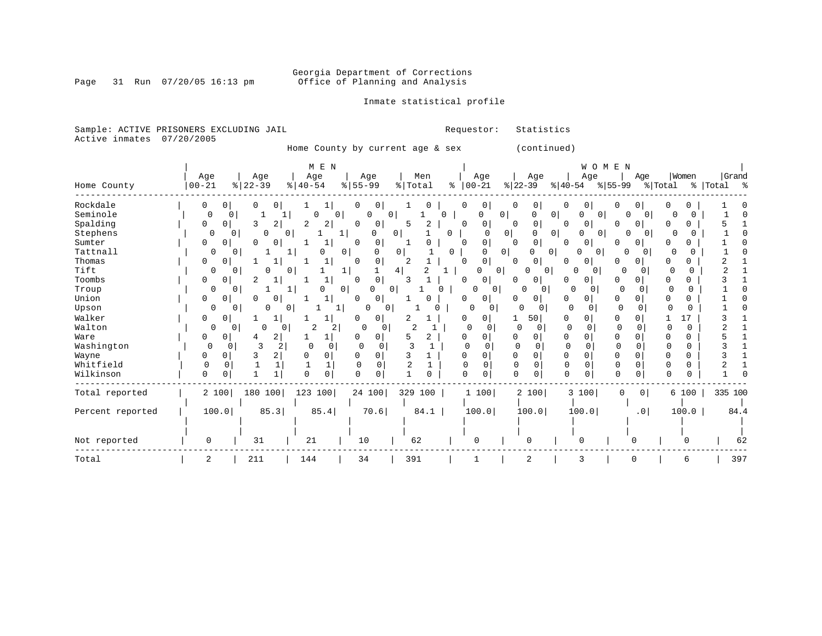Page 31 Run 07/20/05 16:13 pm

Inmate statistical profile

Sample: ACTIVE PRISONERS EXCLUDING JAIL **Requestor:** Statistics Active inmates 07/20/2005

Home County by current age & sex (continued)

|                  |            |                  | M E N               |                                |                |                          |                                 | WOMEN                                 |                               |                     |           |
|------------------|------------|------------------|---------------------|--------------------------------|----------------|--------------------------|---------------------------------|---------------------------------------|-------------------------------|---------------------|-----------|
|                  | Age        | Age              | Age                 | Age                            | Men            | Age                      | Age                             | Age                                   | Age                           | Women               | Grand     |
| Home County      | $ 00 - 21$ | $ 22-39 $        | $8   40 - 54$       | $\frac{8}{55}$ 55 - 99         | % Total        | $8   00 - 21$            | $ 22-39 $                       | $ 40-54 $                             | $ 55-99 $                     | $\frac{1}{2}$ Total | % Total % |
| Rockdale         | 0          | 0                | 0<br>ı.             | 0<br>0                         |                | 0<br>0                   | 0<br>0                          | 0<br>0                                | 0<br>0                        | Ω                   |           |
| Seminole         | $\Omega$   | 0                |                     | 0<br>0                         | 0<br>0         | 0                        | 0<br>0                          | 0 <sup>1</sup><br>0<br>0              | 0<br>0                        |                     |           |
| Spalding         | 0          | $\Omega$<br>3    | 2<br>2<br>2         | $\Omega$<br>0                  | 2<br>5         | 0<br>$\Omega$            | 0<br>$\Omega$                   | $\overline{0}$<br>0                   | 0<br>0                        | 0<br>0              |           |
| Stephens         | $\Omega$   | 0<br>0           | 0 <sup>1</sup>      | $\Omega$<br>1                  | $\overline{0}$ | 0<br>$\Omega$            | 0 <br>0                         | 0 <sup>1</sup><br>$\overline{0}$<br>O | $\Omega$<br>$\overline{0}$    | O                   |           |
| Sumter           | 0          | 0<br>$\Omega$    | 0                   | $\Omega$<br>0                  |                | 0<br>0                   | 0<br>0                          | 0<br>0 <sup>1</sup>                   | 0<br>O                        | U                   |           |
| Tattnall         | 0          | 0                | 0                   | $\overline{0}$<br>O            | 0              | 0<br>O                   | 0 <sup>1</sup><br>0<br>$\Omega$ | $\overline{0}$<br>O                   | $\Omega$<br>$\Omega$          |                     |           |
| Thomas           | 0          | 0                |                     | 0<br>n                         | 2              | 0<br>$\Omega$            | 0<br>0                          | 0<br>0                                | 0<br>∩                        | 0                   |           |
| Tift             | 0          | 0<br>0           |                     | $\mathbf{1}$                   | 2<br>4         | 0                        | 0<br>0                          | $\Omega$<br>0                         | $\Omega$<br>0                 | 0<br>O              |           |
| Toombs           | 0          | 0<br>2           |                     | $\Omega$<br>0                  | 3              | 0<br>$\Omega$            | 0<br>$\Omega$                   | 0<br>0                                | 0<br>O                        | 0<br>U              |           |
| Troup            | 0          | 0                | U                   | 0 <sup>1</sup><br><sup>0</sup> | 0              | 0<br>0                   | $\Omega$<br>0                   | $\Omega$<br><sup>0</sup>              | $\Omega$                      | 0<br>$\Omega$       |           |
| Union            | 0          | 0<br>$\Omega$    | 0<br>1              | 0<br>0                         | 0              | 0<br>0                   | 0<br>O                          | 0<br>0                                | 0<br>0                        | 0                   |           |
| Upson            | 0          | 0<br>0           | 01                  | 0                              | $\Omega$       | 0<br>$\Omega$            | 0<br>$\Omega$                   | 0<br>$\Omega$                         | $\Omega$<br>0                 | O                   |           |
| Walker           | 0          | 0                |                     | 0                              |                | 0<br>0                   | 50                              | 0<br>O                                | $\Omega$<br>0                 | 17                  |           |
| Walton           | 0          | 0<br>$\Omega$    | 0<br>2              | 2<br>0                         | 2              | $\Omega$<br>U            | O<br>0                          | $\Omega$<br>$\Omega$                  | <sup>0</sup>                  | 0                   |           |
| Ware             | 0          | 0<br>4           | $\overline{a}$      | $\Omega$<br>O                  | 2<br>5         | 0<br>0                   | 0<br>0                          | 0<br>O                                | $\Omega$<br>$\Omega$          | 0<br>O              |           |
| Washington       | $\Omega$   | 3<br>0           | 2<br>0              | $\mathbf 0$<br>0               |                | O                        | <sup>0</sup><br>$\Omega$        | $\mathbf 0$                           | $\Omega$                      | 0<br>$\Omega$       |           |
| Wayne            | 0          | 0                | $\overline{a}$<br>0 | $\Omega$<br>$\Omega$           |                | $\Omega$<br>$\Omega$     | 0<br>0                          | 0<br>$\Omega$                         | $\Omega$<br>0                 | 0<br>$\Omega$       |           |
| Whitfield        | $\Omega$   | $\Omega$         | 1                   | $\Omega$<br>$\Omega$           | $\overline{c}$ | $\Omega$<br><sup>0</sup> | $\Omega$<br>$\Omega$            | $\Omega$<br>$\Omega$                  | 0                             | 0                   |           |
| Wilkinson        | 0          |                  | 0<br>$\Omega$       | $\Omega$<br>$\Omega$           | U              | 0<br>$\cap$              | $\Omega$                        | $\Omega$                              | $\Omega$                      | ∩<br>0              |           |
| Total reported   |            | 180 100<br>2 100 | 123 100             | 24 100                         | 329 100        | 1 100                    | 2 100                           | 3 100                                 | 0 <sup>1</sup><br>$\mathbf 0$ | 6 100               | 335 100   |
|                  |            |                  |                     |                                |                |                          |                                 |                                       |                               |                     |           |
| Percent reported |            | 100.0            | 85.3<br>85.4        | 70.6                           | 84.1           | 100.0                    | 100.0                           | 100.0                                 | .0 <sub>1</sub>               | 100.0               | 84.4      |
|                  |            |                  |                     |                                |                |                          |                                 |                                       |                               |                     |           |
|                  |            |                  |                     |                                |                |                          |                                 |                                       |                               |                     |           |
| Not reported     | 0          | 31               | 21                  | 10                             | 62             | 0                        | 0                               |                                       |                               |                     | 62        |
| Total            | 2          | 211              | 144                 | 34                             | 391            |                          | 2                               | 3                                     | O                             | 6                   | 397       |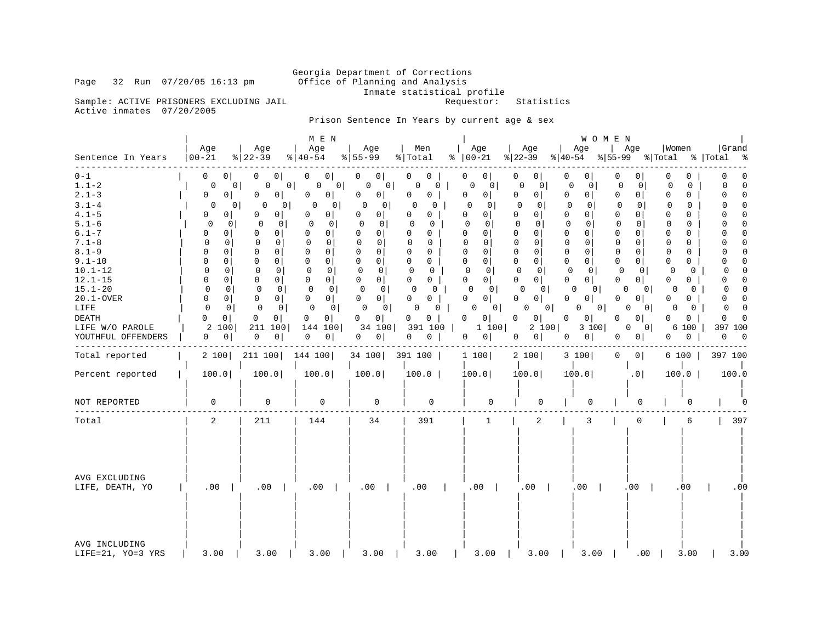Inmate statistical profile<br>Requestor: Statistics

Sample: ACTIVE PRISONERS EXCLUDING JAIL Active inmates 07/20/2005

Page 32 Run 07/20/05 16:13 pm

### Prison Sentence In Years by current age & sex

|                                                                                                                                                                                                                                                              |                                                                                                                                                                                                                                                                             |                                                                                                                                                                                                                                                                                                | M E N                                                                                                                                                                                                                                                                                                                                           |                                                                                                                                                                                                                                                                                                                                                      |                                                                                                                                                                                                                                    |                                                                                                                                                                                                                                                                                                                                                  |                                                                                                                                                                                                                                                                                                                                                 | WOMEN                                                                                                                                                                                                                                          |                                                                                                                                                                                                                                                                                                                                                                                   |                                                                                                                                                                                                                                                                                                                         |                                                                                                                                                                                                                                                                                                                                                                      |
|--------------------------------------------------------------------------------------------------------------------------------------------------------------------------------------------------------------------------------------------------------------|-----------------------------------------------------------------------------------------------------------------------------------------------------------------------------------------------------------------------------------------------------------------------------|------------------------------------------------------------------------------------------------------------------------------------------------------------------------------------------------------------------------------------------------------------------------------------------------|-------------------------------------------------------------------------------------------------------------------------------------------------------------------------------------------------------------------------------------------------------------------------------------------------------------------------------------------------|------------------------------------------------------------------------------------------------------------------------------------------------------------------------------------------------------------------------------------------------------------------------------------------------------------------------------------------------------|------------------------------------------------------------------------------------------------------------------------------------------------------------------------------------------------------------------------------------|--------------------------------------------------------------------------------------------------------------------------------------------------------------------------------------------------------------------------------------------------------------------------------------------------------------------------------------------------|-------------------------------------------------------------------------------------------------------------------------------------------------------------------------------------------------------------------------------------------------------------------------------------------------------------------------------------------------|------------------------------------------------------------------------------------------------------------------------------------------------------------------------------------------------------------------------------------------------|-----------------------------------------------------------------------------------------------------------------------------------------------------------------------------------------------------------------------------------------------------------------------------------------------------------------------------------------------------------------------------------|-------------------------------------------------------------------------------------------------------------------------------------------------------------------------------------------------------------------------------------------------------------------------------------------------------------------------|----------------------------------------------------------------------------------------------------------------------------------------------------------------------------------------------------------------------------------------------------------------------------------------------------------------------------------------------------------------------|
| Sentence In Years                                                                                                                                                                                                                                            | Age<br>$00 - 21$                                                                                                                                                                                                                                                            | Age<br>$8122 - 39$                                                                                                                                                                                                                                                                             | Age<br>$8140 - 54$                                                                                                                                                                                                                                                                                                                              | Age<br>$8 55-99$                                                                                                                                                                                                                                                                                                                                     | Men<br>% Total                                                                                                                                                                                                                     | Age<br>$8   00 - 21$                                                                                                                                                                                                                                                                                                                             | Age<br>$ 22-39 $                                                                                                                                                                                                                                                                                                                                | Age<br>$ 40-54 $                                                                                                                                                                                                                               | Age<br>$ 55-99 $ $ Total$                                                                                                                                                                                                                                                                                                                                                         | Women                                                                                                                                                                                                                                                                                                                   | Grand<br>%   Total<br>ಿ                                                                                                                                                                                                                                                                                                                                              |
| $0 - 1$<br>$1.1 - 2$<br>$2.1 - 3$<br>$3.1 - 4$<br>$4.1 - 5$<br>$5.1 - 6$<br>$6.1 - 7$<br>$7.1 - 8$<br>$8.1 - 9$<br>$9.1 - 10$<br>$10.1 - 12$<br>$12.1 - 15$<br>$15.1 - 20$<br>$20.1 - OVER$<br>LIFE<br><b>DEATH</b><br>LIFE W/O PAROLE<br>YOUTHFUL OFFENDERS | 0<br>$\circ$<br>0<br>0<br>0<br>0<br>0<br>0<br>$\Omega$<br>0<br>$\Omega$<br>0<br><sup>0</sup><br>0<br>0<br>$\Omega$<br>$\Omega$<br>0<br>0<br>0<br>$\Omega$<br>0<br>$\mathbf 0$<br>$\Omega$<br>$\mathbf 0$<br>0<br>0<br>$\Omega$<br>0 <sup>1</sup><br>0<br>2<br>100<br>0<br>0 | 0<br>0 <sup>1</sup><br>0 <sup>1</sup><br>0 <sup>1</sup><br>0<br>0<br>0<br>$\Omega$<br>0<br>$\circ$<br>0<br>0<br>0<br>0<br>0<br>0<br>$\Omega$<br>0<br>$\Omega$<br>0<br>0<br>0<br>0<br>0<br>0<br>0<br>0<br>0<br>0<br>$\overline{0}$<br>0<br>$\mathbf{0}$<br>0<br>$\circ$<br>211<br>100<br>0<br>0 | 0<br>0<br>0 <sup>1</sup><br>0<br>0 <sup>1</sup><br>0<br>0<br>0<br>0<br>$\overline{0}$<br>$\mathbf 0$<br>$\circ$<br>0<br>0<br>$\Omega$<br>0<br>$\mathbf 0$<br>$\mathbf 0$<br>0<br>0<br>$\mathbf 0$<br>0<br>$\mathbf{0}$<br>0<br>0<br>0<br>$\Omega$<br>$\overline{0}$<br>$\mathbf 0$<br>$\overline{0}$<br>0<br>$\circ$<br>144 100<br>0<br>$\circ$ | 0 <sup>1</sup><br>0<br>0 <sup>1</sup><br>0<br>0<br>0 <sup>1</sup><br>0<br>0<br>0<br>$\circ$<br>0<br>0<br>0<br>O<br>$\mathbf 0$<br>0<br>$\Omega$<br>0<br>0<br>0<br>$\mathbf 0$<br>0<br>0<br>0 <sup>1</sup><br>$\mathbf 0$<br>$\mathbf 0$<br>$\Omega$<br>0 <sup>1</sup><br>$\mathbf{0}$<br>$\overline{0}$<br>0 <sup>1</sup><br>0<br>34 100<br> 0 <br>0 | 0<br>0<br>0<br>0<br>0<br>0<br>0<br>$\Omega$<br>0<br>0<br>$\Omega$<br>0<br>U<br>0<br>0<br>0<br>0<br>$\Omega$<br>$\Omega$<br>0<br>0<br>0<br>0<br>0<br>0<br>0<br>0<br>0<br>0<br>$\mathbf 0$<br>0<br>0<br>391 100<br>0<br>$\mathbf{0}$ | 0<br>0<br>0<br>0<br>0<br>$\overline{0}$<br>$\Omega$<br>$\Omega$<br>0<br>$\overline{0}$<br>$\Omega$<br>0<br>$\overline{0}$<br>0<br>$\Omega$<br>$\Omega$<br>$\mathbf 0$<br>$\Omega$<br>0<br>0 <sup>1</sup><br>$\mathbf 0$<br>0<br>0<br>0 <sup>1</sup><br>0<br>0<br>0 <sup>1</sup><br>0<br>0<br> 0 <br>0<br>0 <sup>1</sup><br>1 100<br>$\circ$<br>0 | 0<br>$\overline{0}$<br>0<br>$\Omega$<br>$\mathbf 0$<br> 0 <br>$\Omega$<br>$\Omega$<br>$\mathbf 0$<br>0<br>$\mathbf 0$<br>0<br>$\mathbf 0$<br>0<br>$\mathbf 0$<br>0<br>0<br>0<br>$\mathbf 0$<br>0<br>0<br>0<br>0<br>$\overline{0}$<br>O<br>$\Omega$<br>$\Omega$<br>$\mathbf{0}$<br>0 <sup>1</sup><br><sup>0</sup><br>0<br>0<br>2 100<br> 0 <br>0 | 0<br>0<br>0<br>0<br>0<br>0<br>$\Omega$<br>0<br>0<br>0<br>0<br>0<br>0<br>0<br>$\mathbf 0$<br>0<br>0<br>0<br>0<br>0<br>0<br>0<br>0<br>0<br>$\Omega$<br>$\Omega$<br>0<br>0 <sup>1</sup><br>0<br>$\circ$<br>0<br>0<br>3 100<br>0<br>0 <sup>1</sup> | 0 <sup>1</sup><br>0<br>$\mathbf 0$<br>$\overline{0}$<br>$\mathbf 0$<br>0 <sup>1</sup><br>$\Omega$<br>0<br>$\Omega$<br>$\Omega$<br>0<br>$\mathbf 0$<br>$\Omega$<br>$\Omega$<br>$\mathbf 0$<br>$\Omega$<br>$\Omega$<br>0<br>$\mathbf 0$<br>0<br>$\mathbf 0$<br>$\Omega$<br>$\Omega$<br>0 <sup>1</sup><br>0<br>0<br>0<br>0 <sup>1</sup><br>0<br> 0 <br>0<br>0<br>0<br> 0 <br>$\circ$ | 0<br>0<br>$\mathbf 0$<br>$\Omega$<br>0<br>$\Omega$<br>$\Omega$<br>0<br>0<br>$\mathbf 0$<br>$\mathbf 0$<br>$\mathbf 0$<br>$\Omega$<br>0<br>0<br>0<br>0<br>$\Omega$<br>$\mathbf 0$<br>$\Omega$<br>0<br>$\mathbf 0$<br>0<br>$\Omega$<br>0<br>0<br>0<br>$\mathbf{0}$<br>0<br>0<br>0<br>0<br>100<br>6<br>0<br>$\overline{0}$ | $\mathbf 0$<br>0<br>$\Omega$<br>$\Omega$<br>$\Omega$<br>$\Omega$<br>$\Omega$<br>$\Omega$<br>n<br>$\mathbf 0$<br>$\mathbf 0$<br>n<br>$\mathbf 0$<br><sup>0</sup><br>$\Omega$<br>U<br>$\Omega$<br>n<br>$\mathbf 0$<br>$\Omega$<br>$\Omega$<br>0<br>$\Omega$<br><sup>0</sup><br>$\Omega$<br>0<br>$\Omega$<br>$\Omega$<br>$\Omega$<br>$\Omega$<br>397<br>100<br>0<br>- 0 |
| Total reported                                                                                                                                                                                                                                               | 2 100                                                                                                                                                                                                                                                                       | 211 100                                                                                                                                                                                                                                                                                        | 144 100                                                                                                                                                                                                                                                                                                                                         | 34 100                                                                                                                                                                                                                                                                                                                                               | 391 100                                                                                                                                                                                                                            | 1 100                                                                                                                                                                                                                                                                                                                                            | 2 100                                                                                                                                                                                                                                                                                                                                           | 3 100                                                                                                                                                                                                                                          | 0 <br>0                                                                                                                                                                                                                                                                                                                                                                           | 6 100                                                                                                                                                                                                                                                                                                                   | 397 100                                                                                                                                                                                                                                                                                                                                                              |
| Percent reported                                                                                                                                                                                                                                             | 100.0                                                                                                                                                                                                                                                                       | 100.0                                                                                                                                                                                                                                                                                          | 100.0                                                                                                                                                                                                                                                                                                                                           | 100.0                                                                                                                                                                                                                                                                                                                                                | 100.0                                                                                                                                                                                                                              | 100.0                                                                                                                                                                                                                                                                                                                                            | 100.0                                                                                                                                                                                                                                                                                                                                           | 100.0                                                                                                                                                                                                                                          | .0                                                                                                                                                                                                                                                                                                                                                                                | 100.0                                                                                                                                                                                                                                                                                                                   | 100.0                                                                                                                                                                                                                                                                                                                                                                |
| NOT REPORTED                                                                                                                                                                                                                                                 | 0                                                                                                                                                                                                                                                                           | $\mathbf 0$                                                                                                                                                                                                                                                                                    | 0                                                                                                                                                                                                                                                                                                                                               | 0                                                                                                                                                                                                                                                                                                                                                    | 0                                                                                                                                                                                                                                  | 0                                                                                                                                                                                                                                                                                                                                                | 0                                                                                                                                                                                                                                                                                                                                               |                                                                                                                                                                                                                                                | 0                                                                                                                                                                                                                                                                                                                                                                                 |                                                                                                                                                                                                                                                                                                                         |                                                                                                                                                                                                                                                                                                                                                                      |
| Total                                                                                                                                                                                                                                                        | 2                                                                                                                                                                                                                                                                           | 211                                                                                                                                                                                                                                                                                            | 144                                                                                                                                                                                                                                                                                                                                             | 34                                                                                                                                                                                                                                                                                                                                                   | 391                                                                                                                                                                                                                                | $\mathbf{1}$                                                                                                                                                                                                                                                                                                                                     | 2                                                                                                                                                                                                                                                                                                                                               | 3                                                                                                                                                                                                                                              | 0                                                                                                                                                                                                                                                                                                                                                                                 | 6                                                                                                                                                                                                                                                                                                                       | 397                                                                                                                                                                                                                                                                                                                                                                  |
| AVG EXCLUDING<br>LIFE, DEATH, YO                                                                                                                                                                                                                             | .00                                                                                                                                                                                                                                                                         | .00                                                                                                                                                                                                                                                                                            | .00                                                                                                                                                                                                                                                                                                                                             | .00                                                                                                                                                                                                                                                                                                                                                  | .00                                                                                                                                                                                                                                | .00                                                                                                                                                                                                                                                                                                                                              | .00                                                                                                                                                                                                                                                                                                                                             | .00                                                                                                                                                                                                                                            | .00                                                                                                                                                                                                                                                                                                                                                                               | .00                                                                                                                                                                                                                                                                                                                     | .00                                                                                                                                                                                                                                                                                                                                                                  |
| AVG INCLUDING<br>LIFE=21, YO=3 YRS                                                                                                                                                                                                                           | 3.00                                                                                                                                                                                                                                                                        | 3.00                                                                                                                                                                                                                                                                                           | 3.00                                                                                                                                                                                                                                                                                                                                            | 3.00                                                                                                                                                                                                                                                                                                                                                 | 3.00                                                                                                                                                                                                                               | 3.00                                                                                                                                                                                                                                                                                                                                             | 3.00                                                                                                                                                                                                                                                                                                                                            | 3.00                                                                                                                                                                                                                                           | $.00 \,$                                                                                                                                                                                                                                                                                                                                                                          | 3.00                                                                                                                                                                                                                                                                                                                    | 3.00                                                                                                                                                                                                                                                                                                                                                                 |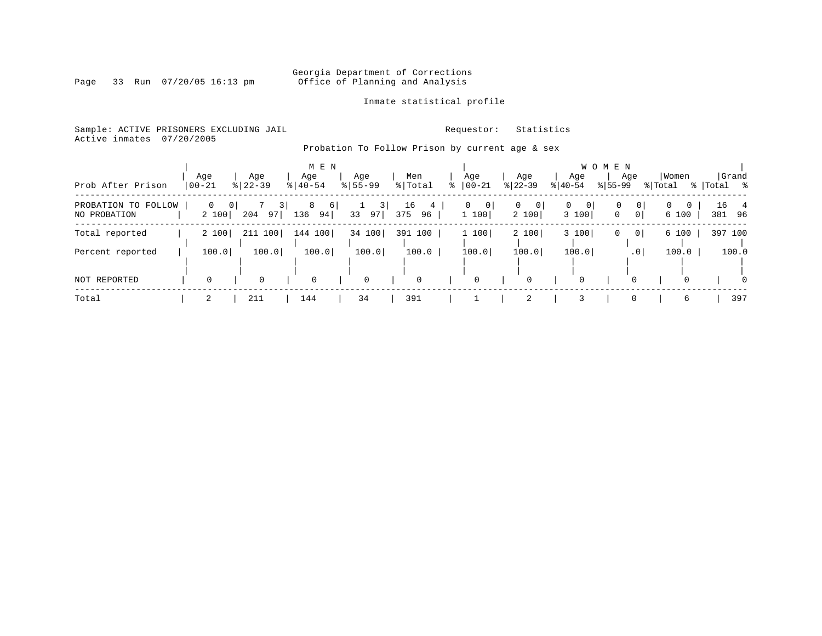### Georgia Department of Corrections<br>Page 33 Run 07/20/05 16:13 pm office of Planning and Analysis Office of Planning and Analysis

Inmate statistical profile

Sample: ACTIVE PRISONERS EXCLUDING JAIL **Requestor:** Statistics Active inmates 07/20/2005

Probation To Follow Prison by current age & sex

|                                     |           |                                     |                  |       | M E N                |                            |           |                |    |                              |                        |             |            | W O M E N |                     |                  |                   |              |                |
|-------------------------------------|-----------|-------------------------------------|------------------|-------|----------------------|----------------------------|-----------|----------------|----|------------------------------|------------------------|-------------|------------|-----------|---------------------|------------------|-------------------|--------------|----------------|
| Prob After Prison                   | $00 - 21$ | Age                                 | Age<br>$ 22-39 $ |       | Age<br>$8   40 - 54$ | Age<br>$8155 - 99$         |           | Men<br>% Total | ిన | Age<br>$ 00 - 21$            | Age<br>$ 22-39 $       | $ 40-54 $   | Age        | $ 55-99 $ | Age                 | Women<br>% Total |                   | % Total %    | Grand          |
| PROBATION TO FOLLOW<br>NO PROBATION |           | $\overline{0}$<br>$\Omega$<br>2 100 | 204              | 97    | 8<br>6<br>136<br>94  | 3 <sup>1</sup><br>33<br>97 | 16<br>375 | 4<br>96        |    | 0<br>$\overline{0}$<br>1 100 | $\Omega$<br>0<br>2 100 | $\mathbf 0$ | 0<br>3 100 | 0<br>0    | 0<br>0 <sup>1</sup> | $\Omega$         | $\Omega$<br>6 100 | 16<br>381 96 | $\overline{4}$ |
| Total reported                      |           | 2 100                               | 211 100          |       | 144 100              | 34 100                     |           | 391 100        |    | 1 100                        | 2 100                  |             | 3 100      | 0         | 0 <sup>1</sup>      |                  | 6 100             | 397 100      |                |
| Percent reported                    |           | 100.0                               |                  | 100.0 | 100.0                | 100.0                      |           | 100.0          |    | 100.0                        | 100.0                  |             | 100.0      |           | .0 <sub>1</sub>     |                  | 100.0             |              | 100.0          |
| <b>NOT REPORTED</b>                 |           |                                     | $\Omega$         |       | 0                    | 0                          |           | $\Omega$       |    | 0                            | $\Omega$               |             | $\Omega$   |           | $\Omega$            |                  | 0                 |              | $\Omega$       |
| Total                               |           |                                     | 211              |       | 144                  | 34                         |           | 391            |    |                              | 2                      |             |            |           |                     |                  | 6                 |              | 397            |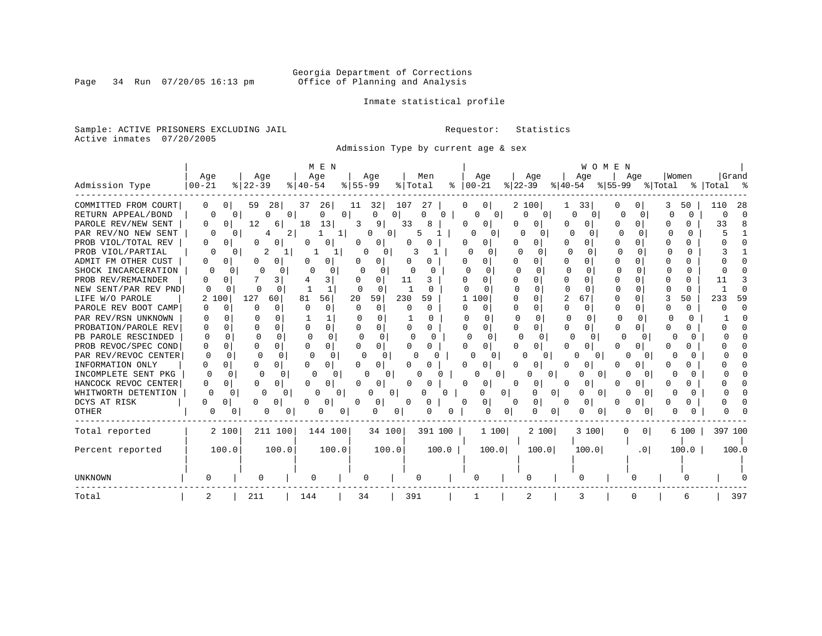Inmate statistical profile

Sample: ACTIVE PRISONERS EXCLUDING JAIL **Requestor:** Statistics Active inmates 07/20/2005

Admission Type by current age & sex

|                      |                      |                            | M E N                |                   |                          |                              |                   | WOMEN         |                   |                   |             |
|----------------------|----------------------|----------------------------|----------------------|-------------------|--------------------------|------------------------------|-------------------|---------------|-------------------|-------------------|-------------|
|                      | Age                  | Age                        | Age                  | Age               | Men                      | Age                          | Age               | Age           | Aqe               | Women             | Grand       |
| Admission Type       | $00 - 21$            | $8$   22-39                | $8140 - 54$          | $8 55-99$         | % Total<br>ႜ             | $ 00-21$                     | $ 22-39 $         | $ 40-54 $     | % 55-99 % Total   |                   | %   Total % |
| COMMITTED FROM COURT | $\Omega$<br>$\Omega$ | 59<br>28                   | 37<br>26             | 32<br>11          | 107<br>27                | 0 <sup>1</sup><br>$\Omega$   | 2 100             | 33            |                   | 50                | -28<br>110  |
| RETURN APPEAL/BOND   | 0                    | $\overline{0}$<br>$\Omega$ | 0                    | O<br>0            | O<br>$\Omega$            | $\overline{0}$<br>0          | Λ<br>$\Omega$     | 0             | $\Omega$          | $\Omega$          | U           |
| PAROLE REV/NEW SENT  | 0<br>O               | 12<br>6                    | 18<br>13             | 3<br>91           | 33                       | 0<br>$^{(1)}$                | O                 | 0             | $\Omega$          | 0                 | 33          |
| PAR REV/NO NEW SENT  |                      | 2<br>0                     |                      | $\Omega$<br>O     |                          | 0                            |                   | U             | <sup>0</sup>      | U                 |             |
| PROB VIOL/TOTAL REV  | 0<br>0               | O                          | 0                    |                   | Ω                        | 0<br>Ω                       | 0                 | O<br>O        | $\Omega$          |                   |             |
| PROB VIOL/PARTIAL    | O                    | 2<br>0                     |                      | U<br>O            |                          | 0<br>$\Omega$                | $\Omega$          | O             | $\cap$            |                   |             |
| ADMIT FM OTHER CUST  | 0<br>$\Omega$        | U                          | 0                    | <sup>0</sup><br>0 |                          | O<br>0                       | 0                 | O<br>U        | <sup>0</sup>      | N                 |             |
| SHOCK INCARCERATION  | n                    | Ω                          | 0                    | O                 | O                        | <sup>0</sup><br><sup>0</sup> | <sup>0</sup>      | $\Omega$<br>U | ∩<br>0            | 0                 |             |
| PROB REV/REMAINDER   | 0<br>O               | 3                          | 3                    | 0                 | 11<br>3                  | 0                            | 0                 | U<br>n        | ∩                 | O                 |             |
| NEW SENT/PAR REV PND | 0<br>0               | $\Omega$                   | $\mathbf{1}$         | ∩<br><sup>0</sup> | -1<br><sup>0</sup>       | ∩                            | $\Omega$          | U<br>∩        | ∩<br><sup>n</sup> | 0                 |             |
| LIFE W/O PAROLE      | 100                  | 127<br>60                  | 56<br>81             | 20<br>59          | 230<br>59                | 1 100                        | $\Omega$          | 2<br>67       | $\Omega$          | 50                | 233<br>59   |
| PAROLE REV BOOT CAMP | O                    | $\Omega$                   | $\Omega$<br>$\Omega$ | $\Omega$          | <sup>0</sup><br>$\Omega$ | 0<br>Ω                       | $\Omega$          | 0<br>$\Omega$ |                   | $\Omega$          |             |
| PAR REV/RSN UNKNOWN  |                      | <sup>n</sup>               |                      | <sup>n</sup><br>U | 0                        | $\Omega$                     | <sup>n</sup><br>U | $\cap$<br>U   |                   | <sup>n</sup><br>U |             |
| PROBATION/PAROLE REV | 0<br>0               | $\cap$<br>O                | 0<br>U               | 0<br>U            | <sup>0</sup><br>0        | 0<br>O                       | <sup>0</sup>      | U<br>O        | 0<br>$\Omega$     | U                 |             |
| PB PAROLE RESCINDED  | $\Omega$<br>U        |                            | $\cap$               | $\Omega$<br>C     | U<br>n                   | $\Omega$<br>$\Omega$         | ∩                 |               |                   |                   |             |
| PROB REVOC/SPEC COND | U<br>O               | $\Omega$<br><sup>0</sup>   | 0                    | 0 I               | O                        | 0<br><sup>0</sup>            | <sup>0</sup>      | U             |                   |                   |             |
| PAR REV/REVOC CENTER | $\Omega$<br>O        | 0                          | $\Omega$             | O<br>$\Omega$     | n                        | U                            |                   |               |                   |                   |             |
| INFORMATION ONLY     | 0<br>O               | U<br>0                     | 0                    | 0                 |                          |                              |                   |               |                   |                   |             |
| INCOMPLETE SENT PKG  | $\cap$               | 0<br>U                     | 0                    |                   |                          |                              | O                 | $\Omega$      |                   |                   |             |
| HANCOCK REVOC CENTER | 0<br>O               | 0                          | 0                    | O                 |                          | 0                            | U<br>0            | Ω<br>0        |                   |                   |             |
| WHITWORTH DETENTION  | $\Omega$<br>$\Omega$ | O<br>0                     | $\Omega$             | 0                 | 0                        | 0                            | 0<br>O            | $\Omega$      |                   |                   |             |
| DCYS AT RISK         | 0<br>U               | 0<br>U                     | 0                    | 0<br>O            | 0<br>O                   | 0 I                          | 0<br>0            | $\Omega$      | 0                 | O                 |             |
| OTHER                | O                    | O<br>U<br>U                | O<br>Ü               | U                 |                          |                              | U<br>0            | n<br>$\sigma$ |                   |                   |             |
| Total reported       | 2 100                | 211 100                    | 144 100              | 34 100            | 391 100                  | 1 100                        | 2 100             | 3 100         | 0 <sup>1</sup>    | 6 100             | 397 100     |
|                      |                      |                            |                      |                   |                          |                              |                   |               |                   |                   |             |
| Percent reported     | 100.0                | 100.0                      | 100.0                | 100.0             | 100.0                    | 100.0                        | 100.0             | 100.0         | .0 <sub>1</sub>   | 100.0             | 100.0       |
|                      |                      |                            |                      |                   |                          |                              |                   |               |                   |                   |             |
| <b>UNKNOWN</b>       |                      | 0                          |                      |                   |                          | O                            |                   |               |                   |                   |             |
| Total                |                      | 211                        | 144                  | 34                | 391                      |                              | 2                 | 3             |                   | 6                 | 397         |

Page 34 Run 07/20/05 16:13 pm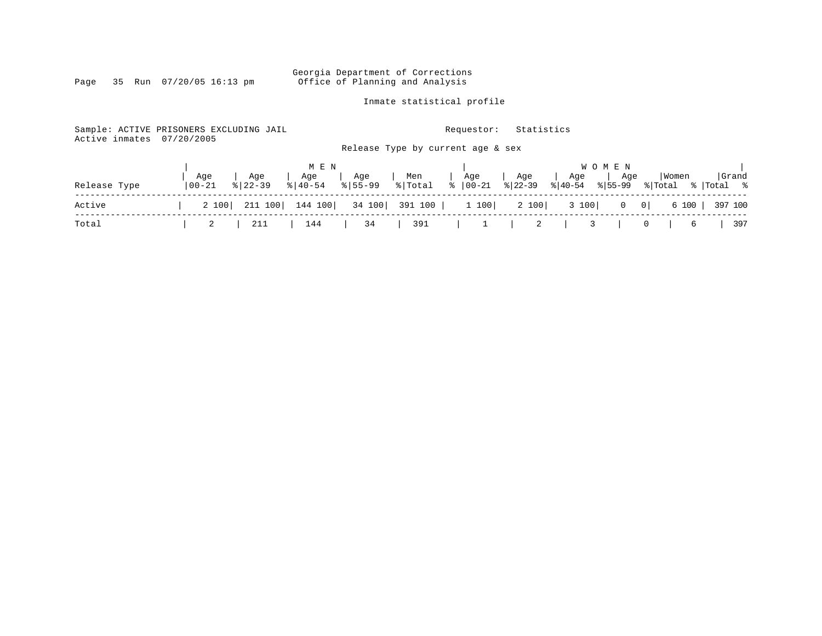Inmate statistical profile

Page 35 Run 07/20/05 16:13 pm

Sample: ACTIVE PRISONERS EXCLUDING JAIL **Requestor:** Statistics Active inmates 07/20/2005

Release Type by current age & sex

|              |                  |                                                                                              | M E N          |                              |     |                                                                        |     |     | W O M E N |                                            |       |
|--------------|------------------|----------------------------------------------------------------------------------------------|----------------|------------------------------|-----|------------------------------------------------------------------------|-----|-----|-----------|--------------------------------------------|-------|
| Release Type | Age<br>$00 - 21$ | Age<br>$8122 - 39$                                                                           | Age<br>%│40-54 | Age<br>$\frac{1}{6}$   55-99 | Men | Age<br>$\frac{1}{2}$ Total $\frac{1}{8}$   00-21 $\frac{1}{8}$   22-39 | Age | Age | Age       | Women<br>% 40-54 % 55-99 % Total % Total % | Grand |
| Active       |                  | 2 100   211 100   144 100   34 100   391 100   1 100   2 100   3 100   0 0   6 100   397 100 |                |                              |     |                                                                        |     |     |           |                                            |       |
| Total        |                  | 2   211   144   34   391   1   2   3   0   6   397                                           |                |                              |     |                                                                        |     |     |           |                                            |       |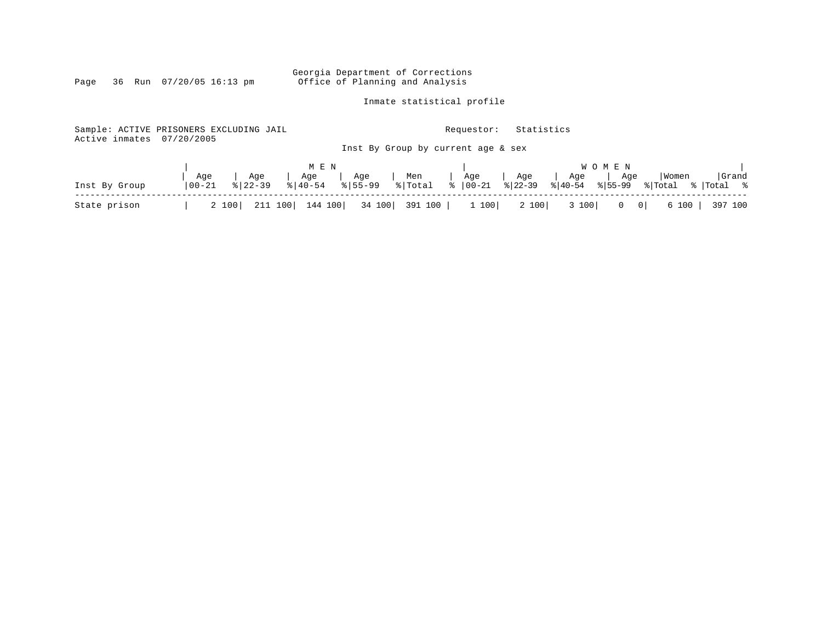Inmate statistical profile

| Sample: ACTIVE PRISONERS EXCLUDING JAIL<br>Active inmates | 07/20/2005  |             |                       |            |         | Requestor:                         | Statistics |                      |                                              |         |                |
|-----------------------------------------------------------|-------------|-------------|-----------------------|------------|---------|------------------------------------|------------|----------------------|----------------------------------------------|---------|----------------|
|                                                           |             |             |                       |            |         | Inst By Group by current age & sex |            |                      |                                              |         |                |
|                                                           |             |             | M E N                 |            |         |                                    |            |                      | W O M E N                                    |         |                |
|                                                           | Age         | Age         | Age                   | Age        | Men     | Age                                | Age        | Age                  | Age                                          | Women   | Grand          |
| Inst By Group                                             | $ 00 - 21 $ | $8122 - 39$ | $\frac{1}{6}$   40-54 | $ 8155-99$ | % Total | $\frac{1}{8}$   00-21              | $ 8 22-39$ | $\frac{2}{6}$  40-54 | $8155 - 99$                                  | % Total | %  Total     % |
| State prison                                              | 2 100       | 211 100     | 144 100               | 34 100     | 391 100 | 1 100                              | 2 100      | 3 100                | $\overline{\phantom{0}}$ 0  <br>$\mathbf{0}$ | 6 100   | 397 100        |

Page 36 Run 07/20/05 16:13 pm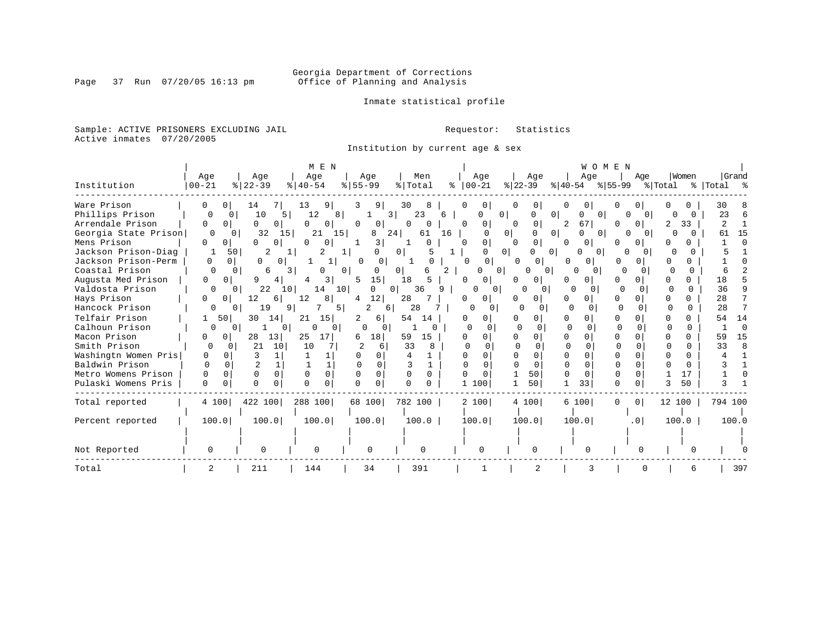Inmate statistical profile

Sample: ACTIVE PRISONERS EXCLUDING JAIL **Requestor:** Statistics Active inmates 07/20/2005

Institution by current age & sex

|                      |                      |                                   | M E N                    |                      |                          |                      |                                       | WOMEN             |                            |              |             |
|----------------------|----------------------|-----------------------------------|--------------------------|----------------------|--------------------------|----------------------|---------------------------------------|-------------------|----------------------------|--------------|-------------|
|                      | Age                  | Age                               | Age                      | Age                  | Men                      | Age                  | Age                                   | Age               | Age                        | Women        | Grand       |
| Institution          | $ 00 - 21$           | $8$   22 – 39                     | $ 40-54 $                | $8 55-99$            | % Total                  | $8   00 - 21$        | $ 22-39 $                             | $ 40-54 $         | % 55−99                    | % Total      | %   Total % |
| Ware Prison          | 0<br>0 <sup>1</sup>  | 14                                | 13<br>9                  | 9  <br>3             | 30<br>8                  | 0<br>0               | 0                                     | 0                 | O                          | 0            | 30          |
| Phillips Prison      | 0<br>0               | 10<br>5                           | 12<br>8                  | 3                    | 23<br>6                  | $\Omega$<br>O        | $\Omega$<br>0                         | $\Omega$          | $\Omega$                   |              | 23          |
| Arrendale Prison     | 0<br>$\mathbf{0}$    | 0<br>0                            | 0<br>0                   | 0<br>0               | 0<br>0                   | 0<br>0               | 0<br>0                                | 67 <br>2          | $\Omega$<br>n              | 33<br>2      | 2           |
| Georgia State Prison | 0                    | 32<br>15<br>$\Omega$              | 21<br>15                 | 8                    | 24<br>61<br>16           | $\Omega$             | 0 <sup>1</sup><br>0 <sup>1</sup><br>0 | U<br>$\Omega$     | $\Omega$<br>$\Omega$       |              | 15<br>61    |
| Mens Prison          | $\Omega$             | U<br><sup>n</sup>                 | $\cap$<br>0              | 3                    | $\Omega$                 | 0<br>$\cap$          | $\Omega$<br>$\cap$                    | $\Omega$<br>0     | 0<br><sup>o</sup>          |              |             |
| Jackson Prison-Diag  | 50                   | 2                                 | 2                        | O<br>ı.              | $\overline{0}$<br>5<br>1 | 0 <sup>1</sup><br>U  | O<br>$\Omega$                         | $\Omega$          | <sup>0</sup>               |              |             |
| Jackson Prison-Perm  | $\Omega$<br>$\Omega$ | 0<br>0                            |                          | $\Omega$<br>0        |                          | $\Omega$<br>$\circ$  | 01<br>0                               | n<br>$\Omega$     | 0                          | 0            |             |
| Coastal Prison       |                      | 6                                 | 3<br>0                   | 0 I                  | 2<br>6                   | 0                    | 0<br>0                                | O<br>$\Omega$     | 0                          | <sup>0</sup> |             |
| Augusta Med Prison   | 0<br>0               | 4                                 | 3                        | 15 <sub>1</sub><br>5 | 18<br>5                  | 0<br>O               | 0<br><sup>n</sup>                     | 0<br>0            | $\Omega$                   | <sup>n</sup> | 18          |
| Valdosta Prison      | 0                    | 22<br>10 <sub>1</sub><br>$\Omega$ | 14<br>10 <sup>1</sup>    | O                    | 36<br>01<br>9            | 0                    | 0                                     | O<br>0            | $\Omega$                   | 0            | 36          |
| Hays Prison          | U<br>0               | 12<br>6                           | 12<br>8                  | 12 <br>4             | 28                       | 0<br>0               | 0                                     | U<br>O            | <sup>n</sup><br>O          | 0            | 28          |
| Hancock Prison       | 0                    | 19<br>9<br>0                      | 5                        | 2<br>6               | 28                       | O<br>0               | U<br>$\Omega$                         | <sup>0</sup><br>∩ | $\Omega$                   | $\Omega$     | 28          |
| Telfair Prison       | 501                  | 30<br>14                          | 21<br>15                 | 2.<br>6              | 54<br>14                 | 0                    | 0                                     | O                 | 0                          |              | 54<br>14    |
| Calhoun Prison       | 0                    | $\mathbf{0}$<br>0                 | $\Omega$<br>$\Omega$     | <sup>0</sup>         |                          | $\Omega$<br>$\Omega$ | 0                                     | $\Omega$          |                            | <sup>0</sup> | $\sqrt{ }$  |
| Macon Prison         | 0 <sup>1</sup>       | 13<br>28                          | 25<br>17 <sup>1</sup>    | 18<br>6              | 59<br>15                 | $\Omega$             | 0                                     | U<br>O            | <sup>0</sup>               | 0            | 15<br>59    |
| Smith Prison         | 0<br><sup>0</sup>    | 21<br>10                          | 10                       | 6                    | 33<br>8                  | O                    | $\cap$                                | $\cap$            |                            | 0            | 33<br>Я     |
| Washingtn Women Pris | 0<br>0               |                                   |                          |                      |                          | 0<br>$\Omega$        | $\Omega$                              |                   | U                          | U            |             |
| Baldwin Prison       | $\Omega$<br>$\cap$   |                                   |                          | U                    |                          |                      | $\Omega$                              | U                 | $\cap$                     | U            |             |
| Metro Womens Prison  | $\Omega$<br>0        | $\Omega$<br>$\Omega$              | $\Omega$                 | $\Omega$             | $\Omega$                 | 0                    | 50                                    | U<br>$\Omega$     | $\Omega$                   | 17           |             |
| Pulaski Womens Pris  | $\Omega$             | $\cap$<br>$\cap$                  | $\Omega$<br><sup>n</sup> | $\Omega$<br>U        |                          | 1 100                | 50                                    | 33                | $\Omega$                   | 50           |             |
| Total reported       | 4 100                | 422 100                           | 288 100                  | 68 100               | 782 100                  | 2 100                | 4 100                                 | 6 100             | 0 <sup>1</sup><br>$\Omega$ | 12 100       | 794 100     |
| Percent reported     | 100.0                | 100.0                             | 100.0                    | 100.0                | 100.0                    | 100.0                | 100.0                                 | 100.0             | .0 <sub>1</sub>            | 100.0        | 100.0       |
|                      |                      |                                   |                          |                      |                          |                      |                                       |                   |                            |              |             |
| Not Reported         |                      |                                   |                          | $\Omega$             | $\Omega$                 |                      |                                       |                   |                            |              |             |
| Total                | 2                    | 211                               | 144                      | 34                   | 391                      |                      | 2                                     | 3                 |                            | 6            | 397         |

Page 37 Run 07/20/05 16:13 pm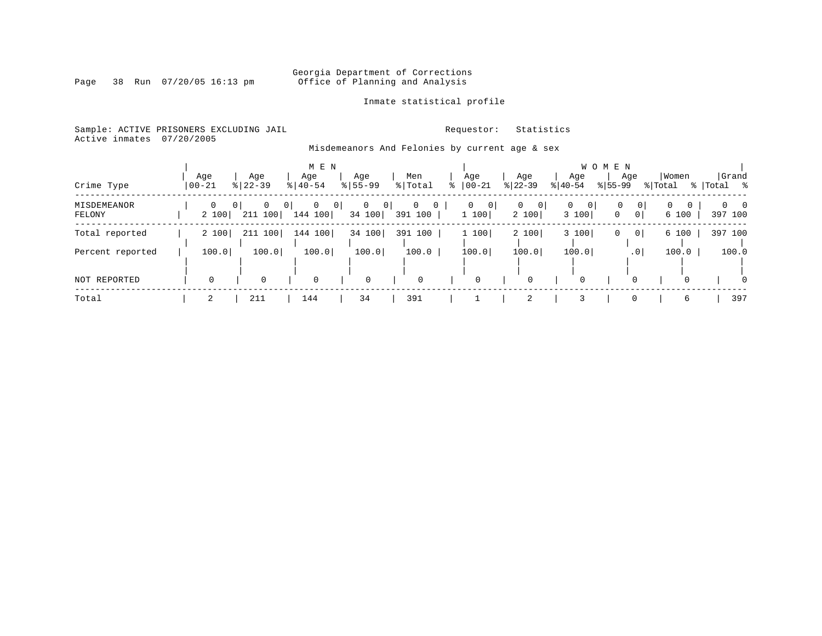### Georgia Department of Corrections<br>Page 38 Run 07/20/05 16:13 pm office of Planning and Analysis Office of Planning and Analysis

Inmate statistical profile

### Sample: ACTIVE PRISONERS EXCLUDING JAIL **Requestor:** Statistics

Active inmates 07/20/2005

### Misdemeanors And Felonies by current age & sex

| Crime Type            | Aqe<br>$ 00 - 21$ |       | Age<br>$8   22 - 39$      |                   | M E N<br>Age<br>$8   40 - 54$ |         | Age<br>$8155 - 99$     |                | Men<br>% Total                            | Age<br>$ 00 - 21$           | Age<br>$ 22 - 39 $    |   | Age<br>$ 40-54 $                   | W O M E N<br>$8155 - 99$ | Age             | Women<br>% Total      |          | Total %             | Grand          |
|-----------------------|-------------------|-------|---------------------------|-------------------|-------------------------------|---------|------------------------|----------------|-------------------------------------------|-----------------------------|-----------------------|---|------------------------------------|--------------------------|-----------------|-----------------------|----------|---------------------|----------------|
| MISDEMEANOR<br>FELONY |                   | 2 100 | 0 <sup>1</sup><br>211 100 | $\mathbf{0}$<br>0 | $\overline{0}$<br>144 100     | $\circ$ | $\mathbf{0}$<br>34 100 | 0 <sup>1</sup> | $\mathbf{0}$<br>$\overline{0}$<br>391 100 | 0 <br>$\mathbf{0}$<br>1 100 | $\mathbf{0}$<br>2 100 | 0 | $\overline{0}$<br>$\circ$<br>3 100 | 0<br>0                   | 0 <sup>1</sup>  | $\mathbf{0}$<br>6 100 |          | $\Omega$<br>397 100 | $\overline{0}$ |
| Total reported        |                   | 2 100 | 211 100                   |                   | 144 100                       |         | 34 100                 |                | 391 100                                   | 1 100                       | 2 100                 |   | 3 100                              | 0                        | 0 <sup>1</sup>  | 6 100                 |          | 397 100             |                |
| Percent reported      |                   | 100.0 |                           | 100.0             | 100.0                         |         | 100.0                  |                | 100.0                                     | 100.0                       | 100.0                 |   | 100.0                              |                          | .0 <sup>1</sup> | 100.0                 |          |                     | 100.0          |
| NOT REPORTED          |                   | 0     |                           |                   | 0                             |         | 0                      |                | $\mathbf 0$                               | 0                           | 0                     |   |                                    |                          |                 |                       | $\Omega$ |                     | $\Omega$       |
| Total                 |                   |       | 211                       |                   | 144                           |         | 34                     |                | 391                                       |                             | $\overline{2}$        |   |                                    |                          |                 |                       | 6        |                     | 397            |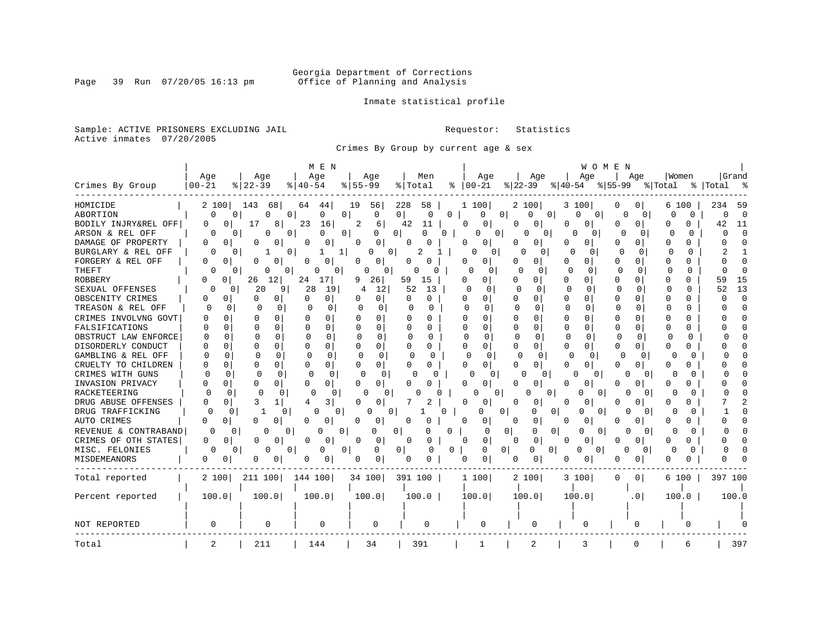Inmate statistical profile

Sample: ACTIVE PRISONERS EXCLUDING JAIL **Requestor:** Statistics Active inmates 07/20/2005

Crimes By Group by current age & sex

|                      |                   |                                      | M E N         |                      |                          |                    | WOMEN                                 |                      |                      |                      |                      |  |  |  |
|----------------------|-------------------|--------------------------------------|---------------|----------------------|--------------------------|--------------------|---------------------------------------|----------------------|----------------------|----------------------|----------------------|--|--|--|
|                      | Age               | Age                                  | Age           | Age                  | Men                      | Age                | Age                                   | Age                  | Aqe                  | Women                | Grand                |  |  |  |
| Crimes By Group      | $00 - 21$         | $8122 - 39$                          | % 40-54       | $8155 - 99$          | % Total                  | $ 00-21 $          | $ 22-39 $                             | $ 40-54 $            | $8 55-99$            | % Total<br>ႜ         | Total                |  |  |  |
| HOMICIDE             | 2 100             | 143<br>68                            | 64<br>44      | 19<br>56             | 228<br>58                | 1 100              | 2 100                                 | 3 100                | 0<br>0               | 6 100                | 234<br>59            |  |  |  |
| ABORTION             | 0                 | 0<br>0<br>O                          | 0<br>$\Omega$ | 0                    | $\overline{0}$<br>0<br>O | 0                  | $\overline{0}$<br>0<br>0 <sup>1</sup> | 0<br>$\circ$         | 0<br>$\Omega$        | $\Omega$<br>$\Omega$ | $\Omega$<br>$\Omega$ |  |  |  |
| BODILY INJRY&REL OFF | 0<br>$\Omega$     | 17<br>8                              | 23<br>16      | 2<br>6               | 42<br>11                 | 0<br>0             | O<br>0                                | 0<br>$\Omega$        | 0<br>$\Omega$        | 0<br>0               | 42<br>11             |  |  |  |
| ARSON & REL OFF      | 0                 | O<br>0<br>0                          | 0<br>0        | $\overline{0}$<br>0  | 0<br>0                   | 0<br>0             | 0<br>$\Omega$                         | O<br>0               | 0<br>$\Omega$        | $\cap$<br>$\Omega$   | $\Omega$<br>$\cap$   |  |  |  |
| DAMAGE OF PROPERTY   | 0<br>0            | 0<br>0                               | 0<br>0        | $\Omega$<br>0        | 0                        | 0<br>0             | 0<br>O                                | 0<br>0               | 0                    | N<br>Ω               |                      |  |  |  |
| BURGLARY & REL OFF   | 0                 | $\Omega$<br>0                        | 1             | 0<br>O               | 2                        | $\Omega$<br>0      | U                                     | n<br><sup>0</sup>    | $\Omega$<br>U        | O<br>O               |                      |  |  |  |
| FORGERY & REL OFF    | 0<br>0            | 0<br>0                               | 0<br>O        | 0<br>0               | 0<br>0                   | 0<br>0             | 0                                     | 0<br>0               | 0<br>$\Omega$        | O<br>0               |                      |  |  |  |
| THEFT                | 0                 | 0<br>0<br>0                          | 0<br>0        | 0<br>0               | $\Omega$<br>0            | O<br>$\Omega$      | U<br>$\Omega$                         | $\Omega$<br>$\Omega$ | $\Omega$<br>$\Omega$ | $\Omega$<br>$\Omega$ |                      |  |  |  |
| <b>ROBBERY</b>       | <sup>0</sup><br>0 | 12 <br>26                            | 24<br>17      | 26<br>9              | 59<br>15                 | U<br>0             | O<br>$\Omega$                         | 0<br>$\Omega$        | $\Omega$<br>$\Omega$ | O<br>0               | 59<br>15             |  |  |  |
| SEXUAL OFFENSES      | U                 | 20<br>9<br>0                         | 28<br>19      | 12<br>4              | 52<br>13                 | ∩                  | $\Omega$<br>ſ                         | $\Omega$<br>0        | $\Omega$<br>0        | <sup>0</sup><br>O    | 13<br>52             |  |  |  |
| OBSCENITY CRIMES     | O<br>$\Omega$     | O<br>0                               | U<br>0        | 0                    | O<br>U                   | U<br>0             | 0                                     | O<br>O               | $\Omega$             | O<br>U               | $\cap$               |  |  |  |
| TREASON & REL OFF    |                   | $\Omega$<br><sup>0</sup><br>$\Omega$ | O<br>0        | $\cap$<br>U          | C<br>0                   | n<br>U             | 0<br>O                                | O                    | O<br>U               | $\Omega$<br>O        | C                    |  |  |  |
| CRIMES INVOLVNG GOVT | O                 | O<br>$\Omega$                        | $\Omega$      | <sup>0</sup><br>O    | U<br>O                   | 0<br>O             | $\Omega$                              | O<br>O               | 0<br>O               | O<br>0               |                      |  |  |  |
| FALSIFICATIONS       | O                 | $\Omega$<br>n                        | $\Omega$      | 0                    | 0<br>O                   | 0<br>U             | $\Omega$                              | 0<br>O               | 0<br>$\Omega$        | U                    |                      |  |  |  |
| OBSTRUCT LAW ENFORCE | O                 | O<br>0                               | $\Omega$      | U<br><sup>0</sup>    | n<br><sup>o</sup>        | $\cap$<br>$\Omega$ | U<br><sup>0</sup>                     | $\Omega$<br>O        | $\Omega$<br>$\Omega$ | U<br>O               |                      |  |  |  |
| DISORDERLY CONDUCT   | Ω<br>O            | O                                    | 0<br>O        | 0                    | U<br>0                   | 0<br>U             | $\Omega$                              | 0<br>O               | <sup>0</sup>         | U                    |                      |  |  |  |
| GAMBLING & REL OFF   | n                 | U                                    | 0<br>U        | $\Gamma$<br>$\Omega$ | n                        | $\cap$<br>$\Omega$ | $\Omega$                              | $\Omega$             | $\cap$<br>U          | U                    |                      |  |  |  |
| CRUELTY TO CHILDREN  | U<br>$^{(1)}$     | <sup>0</sup><br>$\Omega$             | 0<br>O        | $\Omega$<br>O        | U<br>0                   | 0<br>U             | 0<br><sup>0</sup>                     | 0<br>O               | 0<br><sup>0</sup>    | O<br>0               |                      |  |  |  |
| CRIMES WITH GUNS     | 0                 | $\Omega$<br>0<br>$\Omega$            | 0<br>$\Omega$ | 0<br>$\Omega$        | 0<br>0                   | 0<br>0             | 0<br>0                                | 0<br>0               | 0<br>$\Omega$        | 0<br>0               |                      |  |  |  |
| INVASION PRIVACY     | U<br>O            | $\Omega$<br>$\Omega$                 | 0<br>0        | $\Omega$<br>0        | O                        | 0<br><sup>0</sup>  | 0                                     | 0<br>0               | $\Omega$<br>$\Omega$ | 0                    |                      |  |  |  |
| RACKETEERING         | U                 | $\Omega$<br>$\Omega$<br>$\Omega$     | O<br>$\Omega$ | O<br>0               | n                        | U<br>0             | $\Omega$                              | 0<br>$\Omega$        | O<br>$\Omega$        | O<br>O               |                      |  |  |  |
| DRUG ABUSE OFFENSES  | 0<br>Ω            | κ                                    | 3<br>4        | ∩<br>O               | 7                        | O<br>0             | 0                                     | 0<br>O               | n                    | n<br>O               |                      |  |  |  |
| DRUG TRAFFICKING     | 0                 | $\Omega$<br>0                        | $\Omega$<br>O | O<br>0               |                          | 0                  | 0<br>0<br>0                           | $\Omega$<br>O        | $\Omega$             | O<br>O               |                      |  |  |  |
| AUTO CRIMES          | 0                 | 0<br>0                               | O<br>0        | $\Omega$<br>0        | 0<br>0                   | 0<br>0             | 0<br>$\Omega$                         | 0<br>0               | $\Omega$<br>0        | 0<br>0               |                      |  |  |  |
| REVENUE & CONTRABAND | O                 | 0<br>0<br>$\Omega$                   | 0<br>0        | 0<br>0               | U<br>0                   | 0                  | $\overline{0}$<br>0<br>O              | $\Omega$<br>$\Omega$ | O<br>$\Omega$        | O<br>O               |                      |  |  |  |
| CRIMES OF OTH STATES | 0<br>0            | <sup>0</sup><br>0                    | 0<br>O        | <sup>0</sup><br>0    | 0<br>O                   | 0<br>$\Omega$      | $\mathbf 0$<br>0                      | 0<br>O               | n<br>$\Omega$        | 0<br>n               |                      |  |  |  |
| MISC. FELONIES       | 0                 | O<br>$\Omega$<br>0                   | $\Omega$<br>0 | $\Omega$             | $\overline{0}$<br>0<br>O | 0                  | 0<br>0<br>0                           | N<br>0               | U<br>O               | O                    |                      |  |  |  |
| MISDEMEANORS         | U<br>0            | 0<br>0                               | 0<br>C        | 0<br>0               | 0<br>0                   | 0<br>0             | 0                                     | 0<br>0               | 0                    |                      |                      |  |  |  |
| Total reported       | 2 100             | 211 100                              | 144 100       | 34 100               | 391 100                  | 1 100              | 2 100                                 | 3 100                | 0<br>0               | 6 100                | 397 100              |  |  |  |
| Percent reported     | 100.0             | 100.0                                | 100.0         | 100.0                | 100.0                    | 100.0              | 100.0                                 | 100.0                | .0 <sub>1</sub>      | 100.0                | 100.0                |  |  |  |
|                      |                   |                                      |               |                      |                          |                    |                                       |                      |                      |                      |                      |  |  |  |
| NOT REPORTED         | $\mathbf 0$       | $\Omega$                             | 0             | $\Omega$             | 0                        | 0                  | 0                                     | 0                    | 0                    | 0                    |                      |  |  |  |
| Total                | 2                 | 211                                  | 144           | 34                   | 391                      | 1                  | 2                                     | 3                    | $\Omega$             | 6                    | 397                  |  |  |  |

Page 39 Run 07/20/05 16:13 pm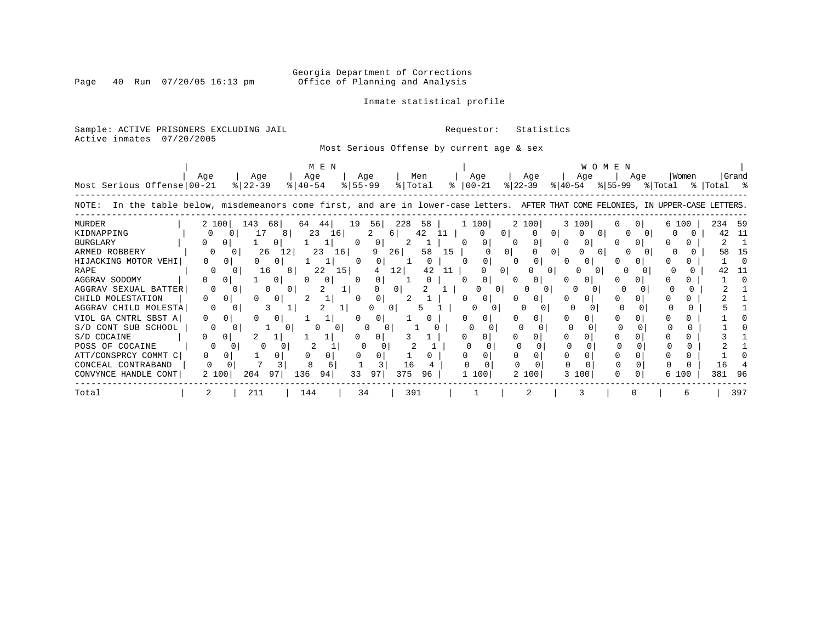Inmate statistical profile

Page 40 Run 07/20/05 16:13 pm

### Sample: ACTIVE PRISONERS EXCLUDING JAIL **Requestor:** Statistics

Active inmates 07/20/2005

### Most Serious Offense by current age & sex

| Most Serious Offense 00-21                                                                                                            | Aqe               | Aqe<br>$ 22-39 $ |          | M E N<br>Age<br>$8   40 - 54$ |                 | Aqe<br>$8 55-99$ |          | Men<br>% Total |    | Age<br>$8   00 - 21$ |          | Age<br>$ 22 - 39 $ | $ 40-54 $        | Age      | WOMEN | Aqe            | % 55-99 % Total | Women | %  Total % | Grand |
|---------------------------------------------------------------------------------------------------------------------------------------|-------------------|------------------|----------|-------------------------------|-----------------|------------------|----------|----------------|----|----------------------|----------|--------------------|------------------|----------|-------|----------------|-----------------|-------|------------|-------|
| In the table below, misdemeanors come first, and are in lower-case letters. AFTER THAT COME FELONIES, IN UPPER-CASE LETTERS.<br>NOTE: |                   |                  |          |                               |                 |                  |          |                |    |                      |          |                    |                  |          |       |                |                 |       |            |       |
| <b>MURDER</b>                                                                                                                         | 2 100             | 143              | 681      | 64<br>44                      | 19              | 56               | 228      | 58             |    | 1 100                |          | 2 100              |                  | 3 100    | 0     | 0 <sup>1</sup> |                 | 6 100 | 234        | - 59  |
| KIDNAPPING                                                                                                                            | 0                 | 0                | 17<br>8  | 23                            | 16              |                  | 61       | 42             |    | $\Omega$             | 01       |                    | 0                |          | 0 I   |                |                 |       | 42         | -11   |
| <b>BURGLARY</b>                                                                                                                       | $\mathbf{0}$<br>0 |                  |          | 1                             | 0               | 0 <sup>1</sup>   | 2        |                |    | 0                    | $\Omega$ | 0                  | $\Omega$         | O        |       |                |                 |       |            |       |
| ARMED ROBBERY                                                                                                                         | $\Omega$          | $\Omega$         | 26<br>12 | 23                            | 16 <sup>1</sup> | 9                | 26       | 58             | 15 |                      |          |                    | 0                |          | () I  |                |                 |       | 58         | 15    |
| HIJACKING MOTOR VEHI                                                                                                                  | 0                 |                  | $\circ$  | 1                             | $\Omega$        | $\overline{0}$   |          | $\mathbf{0}$   |    | 0                    |          | 0                  | $\left( \right)$ | $\Omega$ |       |                |                 |       |            |       |
| RAPE                                                                                                                                  |                   |                  | 16<br>81 | 22                            | 15              | 4                | 12       | 42             | 11 |                      |          |                    |                  |          |       |                |                 |       |            |       |
| AGGRAV SODOMY                                                                                                                         | $\mathbf{0}$<br>0 |                  | $\circ$  | 0                             |                 | 0                |          | $\Omega$       |    | 0                    |          |                    |                  |          |       | $\Omega$       |                 |       |            |       |
| AGGRAV SEXUAL BATTER                                                                                                                  | $\Omega$          |                  | $\Omega$ |                               |                 | 0                | $\Omega$ |                |    | $\Omega$             |          |                    |                  |          |       |                |                 |       |            |       |
| CHILD MOLESTATION                                                                                                                     | 0.                | $\Omega$         | $\circ$  |                               |                 |                  |          |                |    | $\Omega$             |          | 0                  |                  |          |       |                |                 |       |            |       |
| AGGRAV CHILD MOLESTA                                                                                                                  |                   |                  |          |                               |                 |                  |          |                |    |                      |          |                    |                  |          |       |                |                 |       |            |       |
| VIOL GA CNTRL SBST A                                                                                                                  | $\Omega$          | $\Omega$         | $\circ$  |                               |                 |                  |          |                |    | 0                    |          |                    |                  |          |       |                |                 |       |            |       |
| S/D CONT SUB SCHOOL                                                                                                                   |                   |                  |          |                               |                 |                  |          |                |    |                      |          |                    |                  |          |       |                |                 |       |            |       |
| S/D COCAINE                                                                                                                           | 0<br>0            | 2                |          |                               |                 | $\Omega$         |          |                |    |                      |          |                    |                  |          |       |                |                 |       |            |       |
| POSS OF COCAINE                                                                                                                       |                   |                  |          |                               |                 |                  |          |                |    |                      |          |                    |                  |          |       |                |                 |       |            |       |
| ATT/CONSPRCY COMMT C                                                                                                                  |                   | 0                |          |                               |                 |                  |          |                |    | 0                    |          |                    |                  |          |       |                |                 |       |            |       |
| CONCEAL CONTRABAND                                                                                                                    |                   |                  |          |                               |                 |                  | 16       |                |    |                      |          |                    |                  |          |       |                |                 |       | 16         |       |
| CONVYNCE HANDLE CONT                                                                                                                  | 2 100             | 204              | 97       | 136<br>94                     | 33              | 97               | 375      | 96             |    | 1 100                |          | 2 100              | 3                | 100      | 0     |                |                 | 6 100 | 381        | 96    |
| Total                                                                                                                                 |                   | 211              |          | 144                           |                 | 34               | 391      |                |    |                      |          |                    |                  |          |       |                |                 |       |            | 397   |